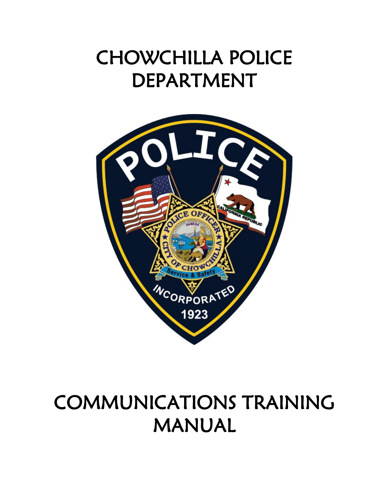# CHOWCHILLA POLICE DEPARTMENT



# COMMUNICATIONS TRAINING MANUAL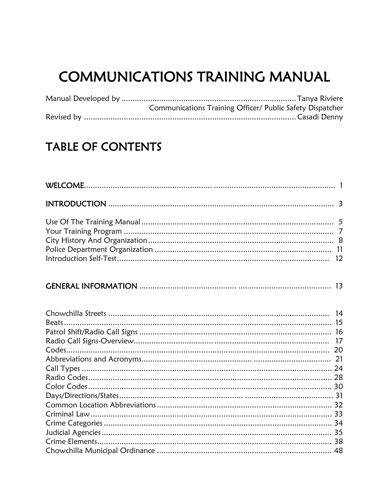# **COMMUNICATIONS TRAINING MANUAL**

| Communications Training Officer/ Public Safety Dispatcher |
|-----------------------------------------------------------|
|                                                           |

# **TABLE OF CONTENTS**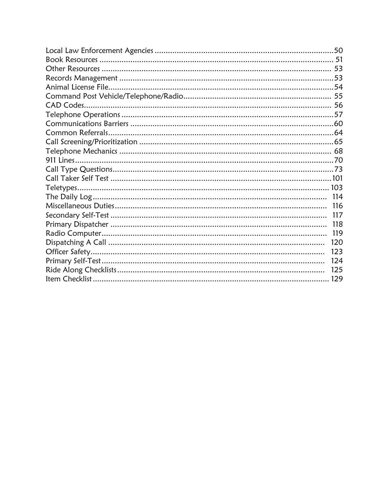| CAD Codes |     |
|-----------|-----|
|           |     |
|           |     |
|           |     |
|           |     |
|           |     |
|           |     |
|           |     |
|           |     |
|           |     |
|           |     |
|           | 116 |
|           | 117 |
|           | 118 |
|           | 119 |
|           | 120 |
|           | 123 |
|           | 124 |
|           | 125 |
|           |     |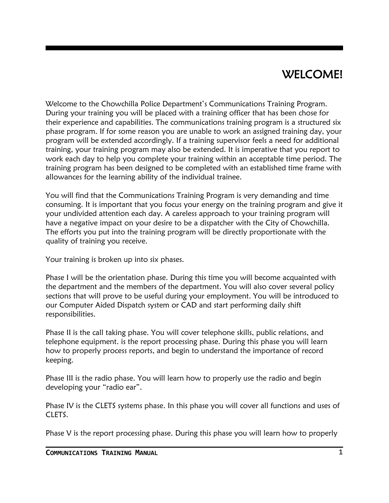### WELCOME!

Welcome to the Chowchilla Police Department's Communications Training Program. During your training you will be placed with a training officer that has been chose for their experience and capabilities. The communications training program is a structured six phase program. If for some reason you are unable to work an assigned training day, your program will be extended accordingly. If a training supervisor feels a need for additional training, your training program may also be extended. It is imperative that you report to work each day to help you complete your training within an acceptable time period. The training program has been designed to be completed with an established time frame with allowances for the learning ability of the individual trainee.

You will find that the Communications Training Program is very demanding and time consuming. It is important that you focus your energy on the training program and give it your undivided attention each day. A careless approach to your training program will have a negative impact on your desire to be a dispatcher with the City of Chowchilla. The efforts you put into the training program will be directly proportionate with the quality of training you receive.

Your training is broken up into six phases.

Phase I will be the orientation phase. During this time you will become acquainted with the department and the members of the department. You will also cover several policy sections that will prove to be useful during your employment. You will be introduced to our Computer Aided Dispatch system or CAD and start performing daily shift responsibilities.

Phase II is the call taking phase. You will cover telephone skills, public relations, and telephone equipment. is the report processing phase. During this phase you will learn how to properly process reports, and begin to understand the importance of record keeping.

Phase III is the radio phase. You will learn how to properly use the radio and begin developing your "radio ear".

Phase IV is the CLETS systems phase. In this phase you will cover all functions and uses of CLETS.

Phase V is the report processing phase. During this phase you will learn how to properly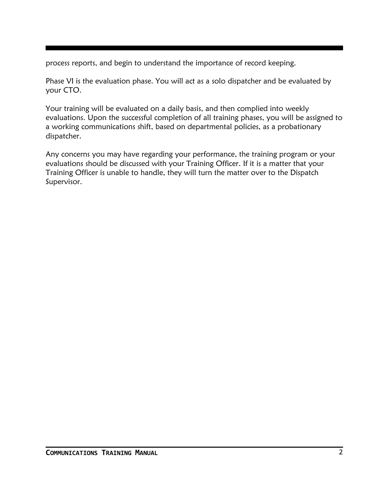process reports, and begin to understand the importance of record keeping.

Phase VI is the evaluation phase. You will act as a solo dispatcher and be evaluated by your CTO.

Your training will be evaluated on a daily basis, and then complied into weekly evaluations. Upon the successful completion of all training phases, you will be assigned to a working communications shift, based on departmental policies, as a probationary dispatcher.

Any concerns you may have regarding your performance, the training program or your evaluations should be discussed with your Training Officer. If it is a matter that your Training Officer is unable to handle, they will turn the matter over to the Dispatch Supervisor.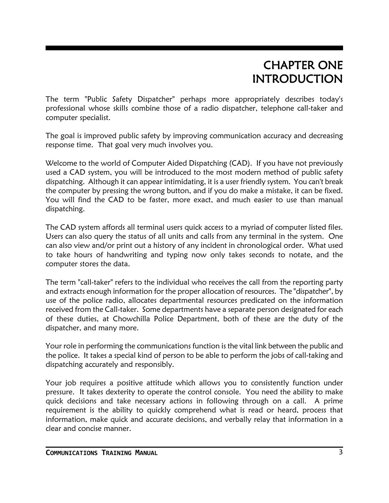## CHAPTER ONE INTRODUCTION

The term "Public Safety Dispatcher" perhaps more appropriately describes today's professional whose skills combine those of a radio dispatcher, telephone call-taker and computer specialist.

The goal is improved public safety by improving communication accuracy and decreasing response time. That goal very much involves you.

Welcome to the world of Computer Aided Dispatching (CAD). If you have not previously used a CAD system, you will be introduced to the most modern method of public safety dispatching. Although it can appear intimidating, it is a user friendly system. You can't break the computer by pressing the wrong button, and if you do make a mistake, it can be fixed. You will find the CAD to be faster, more exact, and much easier to use than manual dispatching.

The CAD system affords all terminal users quick access to a myriad of computer listed files. Users can also query the status of all units and calls from any terminal in the system. One can also view and/or print out a history of any incident in chronological order. What used to take hours of handwriting and typing now only takes seconds to notate, and the computer stores the data.

The term "call-taker" refers to the individual who receives the call from the reporting party and extracts enough information for the proper allocation of resources. The "dispatcher", by use of the police radio, allocates departmental resources predicated on the information received from the Call-taker. Some departments have a separate person designated for each of these duties, at Chowchilla Police Department, both of these are the duty of the dispatcher, and many more.

Your role in performing the communications function is the vital link between the public and the police. It takes a special kind of person to be able to perform the jobs of call-taking and dispatching accurately and responsibly.

Your job requires a positive attitude which allows you to consistently function under pressure. It takes dexterity to operate the control console. You need the ability to make quick decisions and take necessary actions in following through on a call. A prime requirement is the ability to quickly comprehend what is read or heard, process that information, make quick and accurate decisions, and verbally relay that information in a clear and concise manner.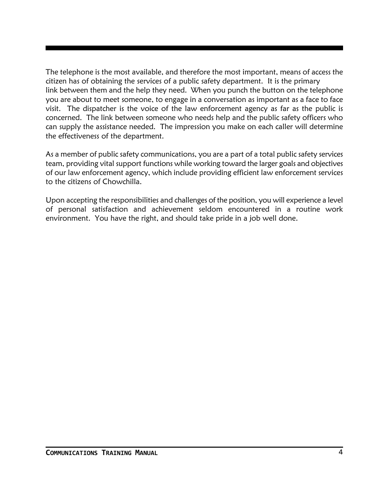The telephone is the most available, and therefore the most important, means of access the citizen has of obtaining the services of a public safety department. It is the primary link between them and the help they need. When you punch the button on the telephone you are about to meet someone, to engage in a conversation as important as a face to face visit. The dispatcher is the voice of the law enforcement agency as far as the public is concerned. The link between someone who needs help and the public safety officers who can supply the assistance needed. The impression you make on each caller will determine the effectiveness of the department.

As a member of public safety communications, you are a part of a total public safety services team, providing vital support functions while working toward the larger goals and objectives of our law enforcement agency, which include providing efficient law enforcement services to the citizens of Chowchilla.

Upon accepting the responsibilities and challenges of the position, you will experience a level of personal satisfaction and achievement seldom encountered in a routine work environment. You have the right, and should take pride in a job well done.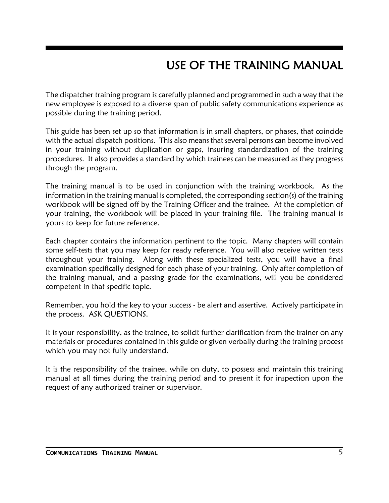# USE OF THE TRAINING MANUAL

The dispatcher training program is carefully planned and programmed in such a way that the new employee is exposed to a diverse span of public safety communications experience as possible during the training period.

This guide has been set up so that information is in small chapters, or phases, that coincide with the actual dispatch positions. This also means that several persons can become involved in your training without duplication or gaps, insuring standardization of the training procedures. It also provides a standard by which trainees can be measured as they progress through the program.

The training manual is to be used in conjunction with the training workbook. As the information in the training manual is completed, the corresponding section(s) of the training workbook will be signed off by the Training Officer and the trainee. At the completion of your training, the workbook will be placed in your training file. The training manual is yours to keep for future reference.

Each chapter contains the information pertinent to the topic. Many chapters will contain some self-tests that you may keep for ready reference. You will also receive written tests throughout your training. Along with these specialized tests, you will have a final examination specifically designed for each phase of your training. Only after completion of the training manual, and a passing grade for the examinations, will you be considered competent in that specific topic.

Remember, you hold the key to your success - be alert and assertive. Actively participate in the process. ASK QUESTIONS.

It is your responsibility, as the trainee, to solicit further clarification from the trainer on any materials or procedures contained in this guide or given verbally during the training process which you may not fully understand.

It is the responsibility of the trainee, while on duty, to possess and maintain this training manual at all times during the training period and to present it for inspection upon the request of any authorized trainer or supervisor.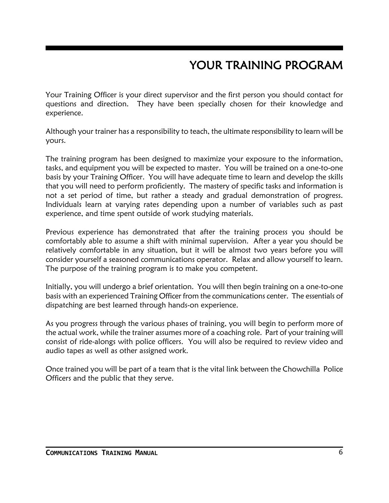# YOUR TRAINING PROGRAM

Your Training Officer is your direct supervisor and the first person you should contact for questions and direction. They have been specially chosen for their knowledge and experience.

Although your trainer has a responsibility to teach, the ultimate responsibility to learn will be yours.

The training program has been designed to maximize your exposure to the information, tasks, and equipment you will be expected to master. You will be trained on a one-to-one basis by your Training Officer. You will have adequate time to learn and develop the skills that you will need to perform proficiently. The mastery of specific tasks and information is not a set period of time, but rather a steady and gradual demonstration of progress. Individuals learn at varying rates depending upon a number of variables such as past experience, and time spent outside of work studying materials.

Previous experience has demonstrated that after the training process you should be comfortably able to assume a shift with minimal supervision. After a year you should be relatively comfortable in any situation, but it will be almost two years before you will consider yourself a seasoned communications operator. Relax and allow yourself to learn. The purpose of the training program is to make you competent.

Initially, you will undergo a brief orientation. You will then begin training on a one-to-one basis with an experienced Training Officer from the communications center. The essentials of dispatching are best learned through hands-on experience.

As you progress through the various phases of training, you will begin to perform more of the actual work, while the trainer assumes more of a coaching role. Part of your training will consist of ride-alongs with police officers. You will also be required to review video and audio tapes as well as other assigned work.

Once trained you will be part of a team that is the vital link between the Chowchilla Police Officers and the public that they serve.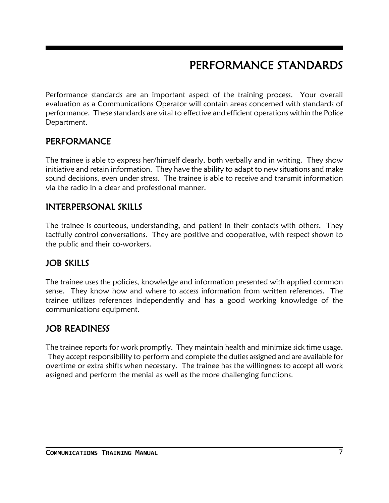# PERFORMANCE STANDARDS

Performance standards are an important aspect of the training process. Your overall evaluation as a Communications Operator will contain areas concerned with standards of performance. These standards are vital to effective and efficient operations within the Police Department.

### PERFORMANCE

The trainee is able to express her/himself clearly, both verbally and in writing. They show initiative and retain information. They have the ability to adapt to new situations and make sound decisions, even under stress. The trainee is able to receive and transmit information via the radio in a clear and professional manner.

### INTERPERSONAL SKILLS

The trainee is courteous, understanding, and patient in their contacts with others. They tactfully control conversations. They are positive and cooperative, with respect shown to the public and their co-workers.

### JOB SKILLS

The trainee uses the policies, knowledge and information presented with applied common sense. They know how and where to access information from written references. The trainee utilizes references independently and has a good working knowledge of the communications equipment.

### JOB READINESS

The trainee reports for work promptly. They maintain health and minimize sick time usage. They accept responsibility to perform and complete the duties assigned and are available for overtime or extra shifts when necessary. The trainee has the willingness to accept all work assigned and perform the menial as well as the more challenging functions.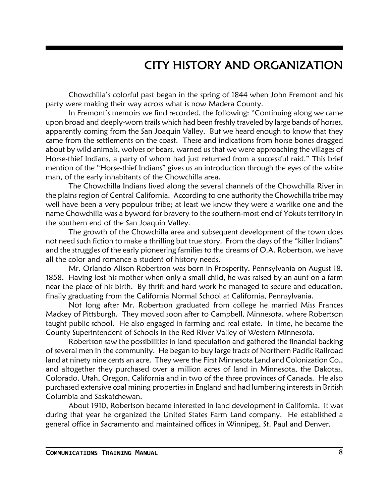### CITY HISTORY AND ORGANIZATION

Chowchilla's colorful past began in the spring of 1844 when John Fremont and his party were making their way across what is now Madera County.

In Fremont's memoirs we find recorded, the following: "Continuing along we came upon broad and deeply-worn trails which had been freshly traveled by large bands of horses, apparently coming from the San Joaquin Valley. But we heard enough to know that they came from the settlements on the coast. These and indications from horse bones dragged about by wild animals, wolves or bears, warned us that we were approaching the villages of Horse-thief Indians, a party of whom had just returned from a successful raid." This brief mention of the "Horse-thief Indians" gives us an introduction through the eyes of the white man, of the early inhabitants of the Chowchilla area.

The Chowchilla Indians lived along the several channels of the Chowchilla River in the plains region of Central California. According to one authority the Chowchilla tribe may well have been a very populous tribe; at least we know they were a warlike one and the name Chowchilla was a byword for bravery to the southern-most end of Yokuts territory in the southern end of the San Joaquin Valley.

The growth of the Chowchilla area and subsequent development of the town does not need such fiction to make a thrilling but true story. From the days of the "killer Indians" and the struggles of the early pioneering families to the dreams of O.A. Robertson, we have all the color and romance a student of history needs.

Mr. Orlando Alison Robertson was born in Prosperity, Pennsylvania on August 18, 1858. Having lost his mother when only a small child, he was raised by an aunt on a farm near the place of his birth. By thrift and hard work he managed to secure and education, finally graduating from the California Normal School at California, Pennsylvania.

Not long after Mr. Robertson graduated from college he married Miss Frances Mackey of Pittsburgh. They moved soon after to Campbell, Minnesota, where Robertson taught public school. He also engaged in farming and real estate. In time, he became the County Superintendent of Schools in the Red River Valley of Western Minnesota.

Robertson saw the possibilities in land speculation and gathered the financial backing of several men in the community. He began to buy large tracts of Northern Pacific Railroad land at ninety nine cents an acre. They were the First Minnesota Land and Colonization Co., and altogether they purchased over a million acres of land in Minnesota, the Dakotas, Colorado, Utah, Oregon, California and in two of the three provinces of Canada. He also purchased extensive coal mining properties in England and had lumbering interests in British Columbia and Saskatchewan.

About 1910, Robertson became interested in land development in California. It was during that year he organized the United States Farm Land company. He established a general office in Sacramento and maintained offices in Winnipeg, St. Paul and Denver.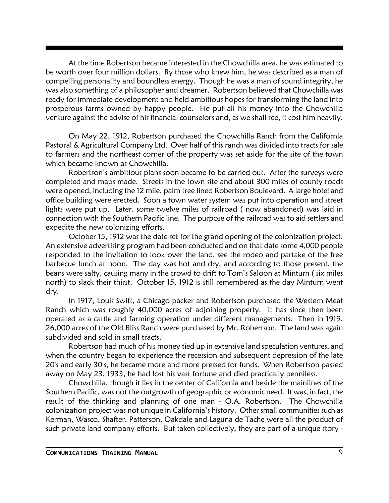At the time Robertson became interested in the Chowchilla area, he was estimated to be worth over four million dollars. By those who knew him, he was described as a man of compelling personality and boundless energy. Though he was a man of sound integrity, he was also something of a philosopher and dreamer. Robertson believed that Chowchilla was ready for immediate development and held ambitious hopes for transforming the land into prosperous farms owned by happy people. He put all his money into the Chowchilla venture against the advise of his financial counselors and, as we shall see, it cost him heavily.

On May 22, 1912, Robertson purchased the Chowchilla Ranch from the California Pastoral & Agricultural Company Ltd. Over half of this ranch was divided into tracts for sale to farmers and the northeast corner of the property was set aside for the site of the town which became known as Chowchilla.

Robertson's ambitious plans soon became to be carried out. After the surveys were completed and maps made. Streets in the town site and about 300 miles of county roads were opened, including the 12 mile, palm tree lined Robertson Boulevard. A large hotel and office building were erected. Soon a town water system was put into operation and street lights were put up. Later, some twelve miles of railroad ( now abandoned) was laid in connection with the Southern Pacific line. The purpose of the railroad was to aid settlers and expedite the new colonizing efforts.

October 15, 1912 was the date set for the grand opening of the colonization project. An extensive advertising program had been conducted and on that date some 4,000 people responded to the invitation to look over the land, see the rodeo and partake of the free barbecue lunch at noon. The day was hot and dry, and according to those present, the beans were salty, causing many in the crowd to drift to Tom's Saloon at Minturn ( six miles north) to slack their thirst. October 15, 1912 is still remembered as the day Minturn went dry.

In 1917, Louis Swift, a Chicago packer and Robertson purchased the Western Meat Ranch which was roughly 40,000 acres of adjoining property. It has since then been operated as a cattle and farming operation under different managements. Then in 1919, 26,000 acres of the Old Bliss Ranch were purchased by Mr. Robertson. The land was again subdivided and sold in small tracts.

Robertson had much of his money tied up in extensive land speculation ventures, and when the country began to experience the recession and subsequent depression of the late 20's and early 30's, he became more and more pressed for funds. When Robertson passed away on May 23, 1933, he had lost his vast fortune and died practically penniless.

Chowchilla, though it lies in the center of California and beside the mainlines of the Southern Pacific, was not the outgrowth of geographic or economic need. It was, in fact, the result of the thinking and planning of one man - O.A. Robertson. The Chowchilla colonization project was not unique in California's history. Other small communities such as Kerman, Wasco, Shafter, Patterson, Oakdale and Laguna de Tache were all the product of such private land company efforts. But taken collectively, they are part of a unique story -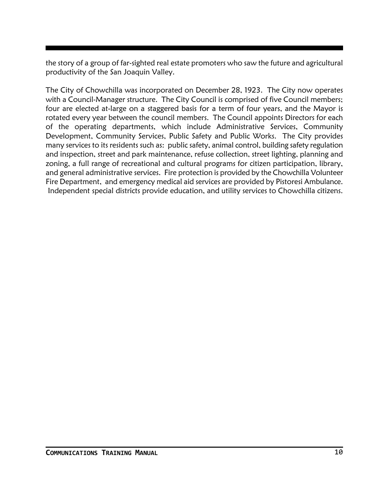the story of a group of far-sighted real estate promoters who saw the future and agricultural productivity of the San Joaquin Valley.

The City of Chowchilla was incorporated on December 28, 1923. The City now operates with a Council-Manager structure. The City Council is comprised of five Council members; four are elected at-large on a staggered basis for a term of four years, and the Mayor is rotated every year between the council members. The Council appoints Directors for each of the operating departments, which include Administrative Services, Community Development, Community Services, Public Safety and Public Works. The City provides many services to its residents such as: public safety, animal control, building safety regulation and inspection, street and park maintenance, refuse collection, street lighting, planning and zoning, a full range of recreational and cultural programs for citizen participation, library, and general administrative services. Fire protection is provided by the Chowchilla Volunteer Fire Department, and emergency medical aid services are provided by Pistoresi Ambulance. Independent special districts provide education, and utility services to Chowchilla citizens.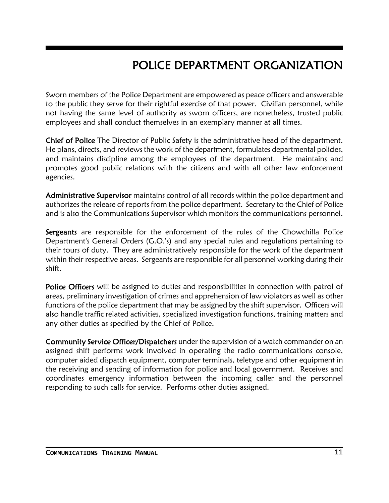# POLICE DEPARTMENT ORGANIZATION

Sworn members of the Police Department are empowered as peace officers and answerable to the public they serve for their rightful exercise of that power. Civilian personnel, while not having the same level of authority as sworn officers, are nonetheless, trusted public employees and shall conduct themselves in an exemplary manner at all times.

Chief of Police The Director of Public Safety is the administrative head of the department. He plans, directs, and reviews the work of the department, formulates departmental policies, and maintains discipline among the employees of the department. He maintains and promotes good public relations with the citizens and with all other law enforcement agencies.

Administrative Supervisor maintains control of all records within the police department and authorizes the release of reports from the police department. Secretary to the Chief of Police and is also the Communications Supervisor which monitors the communications personnel.

Sergeants are responsible for the enforcement of the rules of the Chowchilla Police Department's General Orders (G.O.'s) and any special rules and regulations pertaining to their tours of duty. They are administratively responsible for the work of the department within their respective areas. Sergeants are responsible for all personnel working during their shift.

Police Officers will be assigned to duties and responsibilities in connection with patrol of areas, preliminary investigation of crimes and apprehension of law violators as well as other functions of the police department that may be assigned by the shift supervisor. Officers will also handle traffic related activities, specialized investigation functions, training matters and any other duties as specified by the Chief of Police.

Community Service Officer/Dispatchers under the supervision of a watch commander on an assigned shift performs work involved in operating the radio communications console, computer aided dispatch equipment, computer terminals, teletype and other equipment in the receiving and sending of information for police and local government. Receives and coordinates emergency information between the incoming caller and the personnel responding to such calls for service. Performs other duties assigned.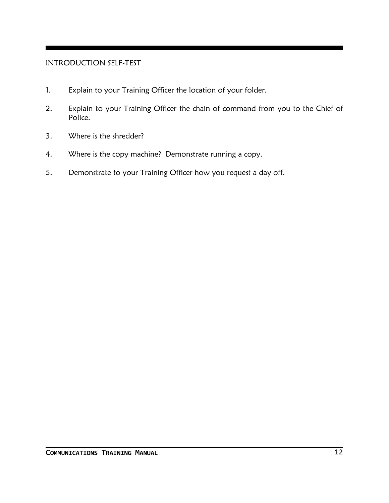#### INTRODUCTION SELF-TEST

- 1. Explain to your Training Officer the location of your folder.
- 2. Explain to your Training Officer the chain of command from you to the Chief of Police.
- 3. Where is the shredder?
- 4. Where is the copy machine? Demonstrate running a copy.
- 5. Demonstrate to your Training Officer how you request a day off.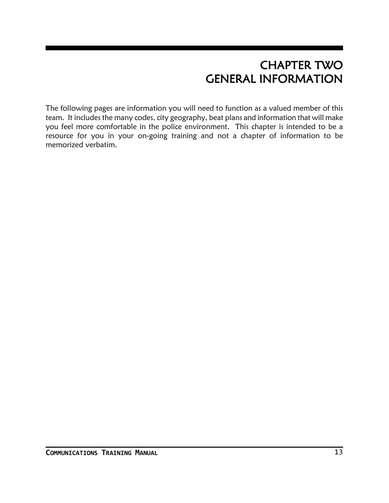## CHAPTER TWO GENERAL INFORMATION

The following pages are information you will need to function as a valued member of this team. It includes the many codes, city geography, beat plans and information that will make you feel more comfortable in the police environment. This chapter is intended to be a resource for you in your on-going training and not a chapter of information to be memorized verbatim.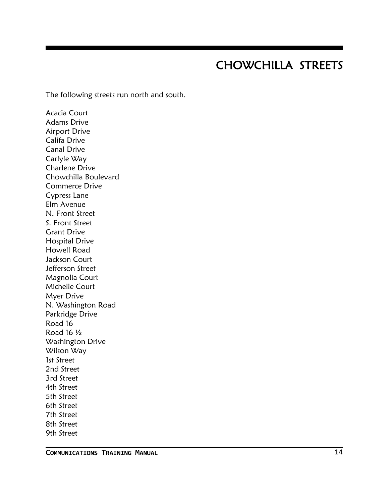### CHOWCHILLA STREETS

The following streets run north and south.

Acacia Court Adams Drive Airport Drive Califa Drive Canal Drive Carlyle Way Charlene Drive Chowchilla Boulevard Commerce Drive Cypress Lane Elm Avenue N. Front Street S. Front Street Grant Drive Hospital Drive Howell Road Jackson Court Jefferson Street Magnolia Court Michelle Court Myer Drive N. Washington Road Parkridge Drive Road 16 Road 16 ½ Washington Drive Wilson Way 1st Street 2nd Street 3rd Street 4th Street 5th Street 6th Street 7th Street 8th Street 9th Street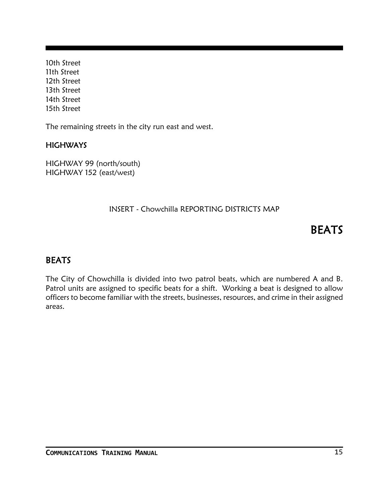10th Street 11th Street 12th Street 13th Street 14th Street 15th Street

The remaining streets in the city run east and west.

#### **HIGHWAYS**

HIGHWAY 99 (north/south) HIGHWAY 152 (east/west)

#### INSERT - Chowchilla REPORTING DISTRICTS MAP

### **BEATS**

#### **BEATS**

The City of Chowchilla is divided into two patrol beats, which are numbered A and B. Patrol units are assigned to specific beats for a shift. Working a beat is designed to allow officers to become familiar with the streets, businesses, resources, and crime in their assigned areas.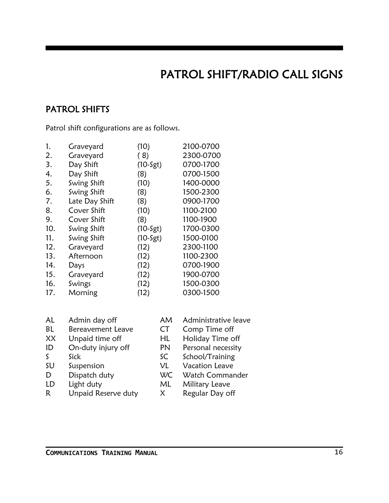# PATROL SHIFT/RADIO CALL SIGNS

### PATROL SHIFTS

Patrol shift configurations are as follows.

| 1.  | Graveyard      | (10)       | 2100-0700 |
|-----|----------------|------------|-----------|
| 2.  | Graveyard      | (8)        | 2300-0700 |
| 3.  | Day Shift      | $(10-5gt)$ | 0700-1700 |
| 4.  | Day Shift      | (8)        | 0700-1500 |
| 5.  | Swing Shift    | (10)       | 1400-0000 |
| 6.  | Swing Shift    | (8)        | 1500-2300 |
| 7.  | Late Day Shift | (8)        | 0900-1700 |
| 8.  | Cover Shift    | (10)       | 1100-2100 |
| 9.  | Cover Shift    | (8)        | 1100-1900 |
| 10. | Swing Shift    | $(10-5gt)$ | 1700-0300 |
| 11. | Swing Shift    | $(10-Sgt)$ | 1500-0100 |
| 12. | Graveyard      | (12)       | 2300-1100 |
| 13. | Afternoon      | (12)       | 1100-2300 |
| 14. | Days           | (12)       | 0700-1900 |
| 15. | Graveyard      | (12)       | 1900-0700 |
| 16. | Swings         | (12)       | 1500-0300 |
| 17. | Morning        | (12)       | 0300-1500 |

| AL | Admin day off       | AM        | Administrative leave  |
|----|---------------------|-----------|-----------------------|
| BL | Bereavement Leave   | <b>CT</b> | Comp Time off         |
| XX | Unpaid time off     | HL        | Holiday Time off      |
| ID | On-duty injury off  | PN        | Personal necessity    |
| S. | Sick                | SC        | School/Training       |
| SU | Suspension          | VL        | <b>Vacation Leave</b> |
| D  | Dispatch duty       | WC        | Watch Commander       |
| LD | Light duty          | ML        | Military Leave        |
| R. | Unpaid Reserve duty | X.        | Regular Day off       |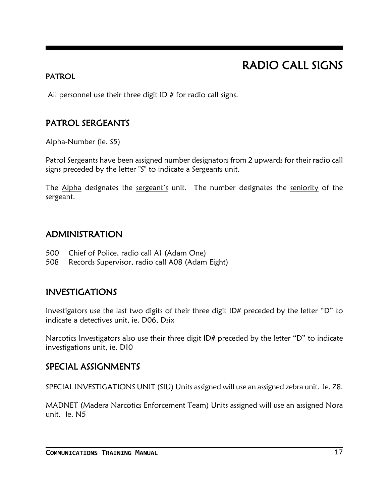# RADIO CALL SIGNS

#### PATROL

All personnel use their three digit ID  $#$  for radio call signs.

### PATROL SERGEANTS

Alpha-Number (ie. S5)

Patrol Sergeants have been assigned number designators from 2 upwards for their radio call signs preceded by the letter "S" to indicate a Sergeants unit.

The Alpha designates the sergeant's unit. The number designates the seniority of the sergeant.

### ADMINISTRATION

- 500 Chief of Police, radio call A1 (Adam One)
- 508 Records Supervisor, radio call A08 (Adam Eight)

### INVESTIGATIONS

Investigators use the last two digits of their three digit ID# preceded by the letter "D" to indicate a detectives unit, ie. D06, Dsix

Narcotics Investigators also use their three digit ID# preceded by the letter "D" to indicate investigations unit, ie. D10

### SPECIAL ASSIGNMENTS

SPECIAL INVESTIGATIONS UNIT (SIU) Units assigned will use an assigned zebra unit. Ie. Z8.

MADNET (Madera Narcotics Enforcement Team) Units assigned will use an assigned Nora unit. Ie. N5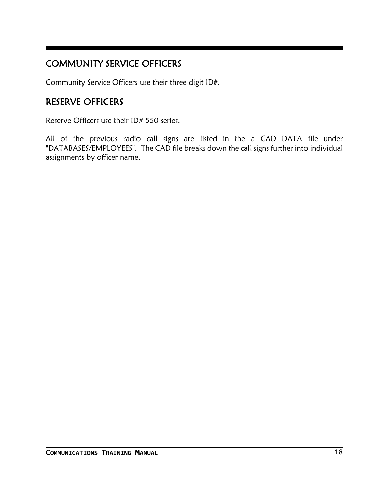### COMMUNITY SERVICE OFFICERS

Community Service Officers use their three digit ID#.

### RESERVE OFFICERS

Reserve Officers use their ID# 550 series.

All of the previous radio call signs are listed in the a CAD DATA file under "DATABASES/EMPLOYEES". The CAD file breaks down the call signs further into individual assignments by officer name.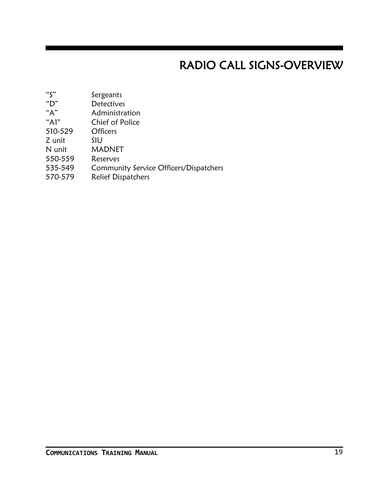# RADIO CALL SIGNS-OVERVIEW

- "S" Sergeants
- "D" Detectives
- Administration
- "A1" Chief of Police
- 510-529 Officers
- Z unit SIU
- N unit MADNET
- 550-559 Reserves
- 535-549 Community Service Officers/Dispatchers
- 570-579 Relief Dispatchers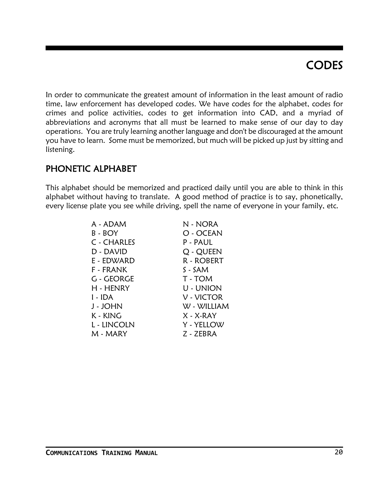# **CODES**

In order to communicate the greatest amount of information in the least amount of radio time, law enforcement has developed codes. We have codes for the alphabet, codes for crimes and police activities, codes to get information into CAD, and a myriad of abbreviations and acronyms that all must be learned to make sense of our day to day operations. You are truly learning another language and don't be discouraged at the amount you have to learn. Some must be memorized, but much will be picked up just by sitting and listening.

### PHONETIC ALPHABET

This alphabet should be memorized and practiced daily until you are able to think in this alphabet without having to translate. A good method of practice is to say, phonetically, every license plate you see while driving, spell the name of everyone in your family, etc.

| A - ADAM    | N - NORA    |
|-------------|-------------|
| $B - BOY$   | O - OCEAN   |
| C - CHARLES | P-PAUL      |
| D - DAVID   | Q - QUEEN   |
| E - EDWARD  | R - ROBERT  |
| F - FRANK   | $S - SAM$   |
| G - GEORGE  | T - TOM     |
| H - HENRY   | U - UNION   |
| l - IDA     | V - VICTOR  |
| J - JOHN    | W - WILLIAM |
| K - KING    | $X - X-RAY$ |
| L - LINCOLN | Y - YELLOW  |
| M - MARY    | Z - ZEBRA   |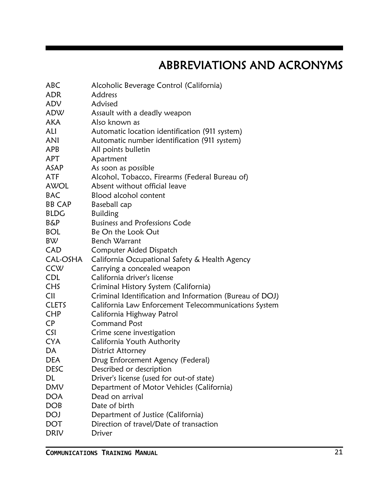# ABBREVIATIONS AND ACRONYMS

| ABC            | Alcoholic Beverage Control (California)                 |
|----------------|---------------------------------------------------------|
| <b>ADR</b>     | Address                                                 |
| ADV            | Advised                                                 |
| ADW            | Assault with a deadly weapon                            |
| <b>AKA</b>     | Also known as                                           |
| ALI            | Automatic location identification (911 system)          |
| ANI            | Automatic number identification (911 system)            |
| <b>APB</b>     | All points bulletin                                     |
| APT            | Apartment                                               |
| ASAP           | As soon as possible                                     |
| ATF            | Alcohol, Tobacco, Firearms (Federal Bureau of)          |
| AWOL           | Absent without official leave                           |
| <b>BAC</b>     | Blood alcohol content                                   |
| <b>BB CAP</b>  | Baseball cap                                            |
| <b>BLDG</b>    | <b>Building</b>                                         |
| <b>B&amp;P</b> | <b>Business and Professions Code</b>                    |
| <b>BOL</b>     | Be On the Look Out                                      |
| <b>BW</b>      | Bench Warrant                                           |
| CAD            | Computer Aided Dispatch                                 |
| CAL-OSHA       | California Occupational Safety & Health Agency          |
| CCW            | Carrying a concealed weapon                             |
| <b>CDL</b>     | California driver's license                             |
| <b>CHS</b>     | Criminal History System (California)                    |
| CII            | Criminal Identification and Information (Bureau of DOJ) |
| <b>CLETS</b>   | California Law Enforcement Telecommunications System    |
| <b>CHP</b>     | California Highway Patrol                               |
| <b>CP</b>      | <b>Command Post</b>                                     |
| <b>CSI</b>     | Crime scene investigation                               |
| <b>CYA</b>     | California Youth Authority                              |
| DA             | <b>District Attorney</b>                                |
| <b>DEA</b>     | Drug Enforcement Agency (Federal)                       |
| <b>DESC</b>    | Described or description                                |
| DL             | Driver's license (used for out-of state)                |
| <b>DMV</b>     | Department of Motor Vehicles (California)               |
| <b>DOA</b>     | Dead on arrival                                         |
| <b>DOB</b>     | Date of birth                                           |
| <b>DOJ</b>     | Department of Justice (California)                      |
| <b>DOT</b>     | Direction of travel/Date of transaction                 |
| DRIV           | Driver                                                  |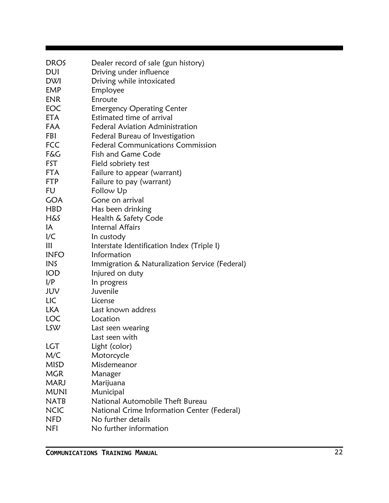| <b>DROS</b>    | Dealer record of sale (gun history)            |
|----------------|------------------------------------------------|
| DUI            | Driving under influence                        |
| <b>DWI</b>     | Driving while intoxicated                      |
| <b>EMP</b>     | Employee                                       |
| <b>ENR</b>     | Enroute                                        |
| EOC            | <b>Emergency Operating Center</b>              |
| <b>ETA</b>     | Estimated time of arrival                      |
| FAA            | <b>Federal Aviation Administration</b>         |
| FBI            | Federal Bureau of Investigation                |
| <b>FCC</b>     | <b>Federal Communications Commission</b>       |
| F&G            | Fish and Game Code                             |
| FST            | Field sobriety test                            |
| <b>FTA</b>     | Failure to appear (warrant)                    |
| <b>FTP</b>     | Failure to pay (warrant)                       |
| FU             | Follow Up                                      |
| <b>GOA</b>     | Gone on arrival                                |
| <b>HBD</b>     | Has been drinking                              |
| <b>H&amp;S</b> | Health & Safety Code                           |
| IA             | Internal Affairs                               |
| I/C            | In custody                                     |
| $\mathbf{III}$ | Interstate Identification Index (Triple I)     |
| <b>INFO</b>    | Information                                    |
| <b>INS</b>     | Immigration & Naturalization Service (Federal) |
| <b>IOD</b>     | Injured on duty                                |
| 1/P            | In progress                                    |
| JUV            | Juvenile                                       |
| LIC            | License                                        |
| <b>LKA</b>     | Last known address                             |
| <b>LOC</b>     | Location                                       |
| LSW            | Last seen wearing                              |
|                | Last seen with                                 |
| LGT            | Light (color)                                  |
| M/C            | Motorcycle                                     |
| <b>MISD</b>    | Misdemeanor                                    |
| <b>MGR</b>     | Manager                                        |
| <b>MARJ</b>    | Marijuana                                      |
| <b>MUNI</b>    | Municipal                                      |
| <b>NATB</b>    | National Automobile Theft Bureau               |
| <b>NCIC</b>    | National Crime Information Center (Federal)    |
| <b>NFD</b>     | No further details                             |
| <b>NFI</b>     | No further information                         |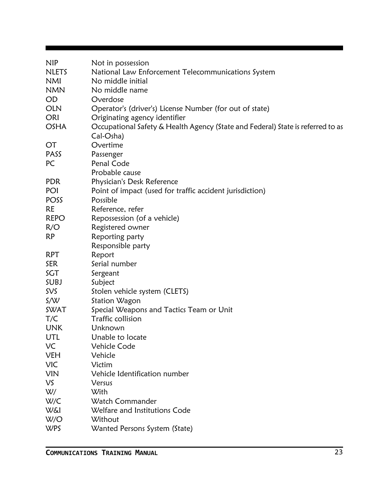| <b>NIP</b><br><b>NLETS</b><br><b>NMI</b> | Not in possession<br>National Law Enforcement Telecommunications System<br>No middle initial |
|------------------------------------------|----------------------------------------------------------------------------------------------|
| <b>NMN</b>                               | No middle name                                                                               |
| <b>OD</b>                                | Overdose                                                                                     |
| <b>OLN</b>                               | Operator's (driver's) License Number (for out of state)                                      |
| ORI                                      | Originating agency identifier                                                                |
| <b>OSHA</b>                              | Occupational Safety & Health Agency (State and Federal) State is referred to as<br>Cal-Osha) |
| <b>OT</b>                                | Overtime                                                                                     |
| PASS                                     | Passenger                                                                                    |
| PC                                       | Penal Code                                                                                   |
|                                          | Probable cause                                                                               |
| <b>PDR</b>                               | Physician's Desk Reference                                                                   |
| POI                                      | Point of impact (used for traffic accident jurisdiction)                                     |
| POSS                                     | Possible                                                                                     |
| <b>RE</b>                                | Reference, refer                                                                             |
| <b>REPO</b>                              | Repossession (of a vehicle)                                                                  |
| R/O                                      | Registered owner                                                                             |
| <b>RP</b>                                | Reporting party                                                                              |
|                                          | Responsible party                                                                            |
| <b>RPT</b>                               | Report                                                                                       |
| <b>SER</b>                               | Serial number                                                                                |
| SGT                                      | Sergeant                                                                                     |
| SUBJ                                     | Subject                                                                                      |
| <b>SVS</b>                               | Stolen vehicle system (CLETS)                                                                |
| S/N                                      | Station Wagon                                                                                |
| <b>SWAT</b>                              | Special Weapons and Tactics Team or Unit                                                     |
| T/C                                      | Traffic collision                                                                            |
| <b>UNK</b>                               | Unknown                                                                                      |
| UTL                                      | Unable to locate                                                                             |
| VC                                       | Vehicle Code                                                                                 |
| <b>VEH</b>                               | Vehicle                                                                                      |
| <b>VIC</b>                               | Victim                                                                                       |
| <b>VIN</b>                               | Vehicle Identification number                                                                |
| VS.                                      | Versus                                                                                       |
| W/                                       | With                                                                                         |
| W/C                                      | Watch Commander                                                                              |
| <b>W&amp;I</b>                           | Welfare and Institutions Code                                                                |
| W/O                                      | Without                                                                                      |
| <b>WPS</b>                               | Wanted Persons System (State)                                                                |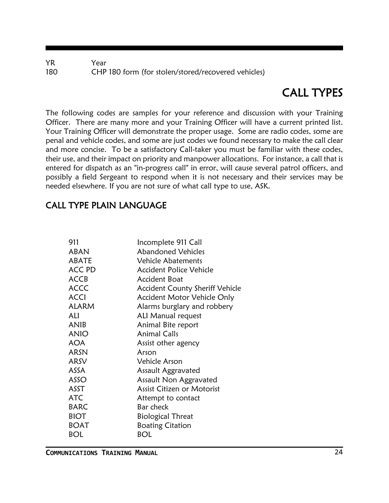YR Year 180 CHP 180 form (for stolen/stored/recovered vehicles)

# CALL TYPES

The following codes are samples for your reference and discussion with your Training Officer. There are many more and your Training Officer will have a current printed list. Your Training Officer will demonstrate the proper usage. Some are radio codes, some are penal and vehicle codes, and some are just codes we found necessary to make the call clear and more concise. To be a satisfactory Call-taker you must be familiar with these codes, their use, and their impact on priority and manpower allocations. For instance, a call that is entered for dispatch as an "in-progress call" in error, will cause several patrol officers, and possibly a field Sergeant to respond when it is not necessary and their services may be needed elsewhere. If you are not sure of what call type to use, ASK.

### CALL TYPE PLAIN LANGUAGE

| 911           | Incomplete 911 Call                    |
|---------------|----------------------------------------|
| <b>ABAN</b>   | <b>Abandoned Vehicles</b>              |
| ABATE         | <b>Vehicle Abatements</b>              |
| <b>ACC PD</b> | <b>Accident Police Vehicle</b>         |
| <b>ACCB</b>   | Accident Boat                          |
| <b>ACCC</b>   | <b>Accident County Sheriff Vehicle</b> |
| <b>ACCI</b>   | Accident Motor Vehicle Only            |
| <b>ALARM</b>  | Alarms burglary and robbery            |
| ALI           | <b>ALI Manual request</b>              |
| ANIB          | Animal Bite report                     |
| <b>ANIO</b>   | <b>Animal Calls</b>                    |
| <b>AOA</b>    | Assist other agency                    |
| <b>ARSN</b>   | Arson                                  |
| ARSV          | Vehicle Arson                          |
| ASSA          | Assault Aggravated                     |
| ASSO          | Assault Non Aggravated                 |
| ASST          | <b>Assist Citizen or Motorist</b>      |
| ATC           | Attempt to contact                     |
| <b>BARC</b>   | Bar check                              |
| <b>BIOT</b>   | <b>Biological Threat</b>               |
| <b>BOAT</b>   | <b>Boating Citation</b>                |
| BOL           | BOL                                    |
|               |                                        |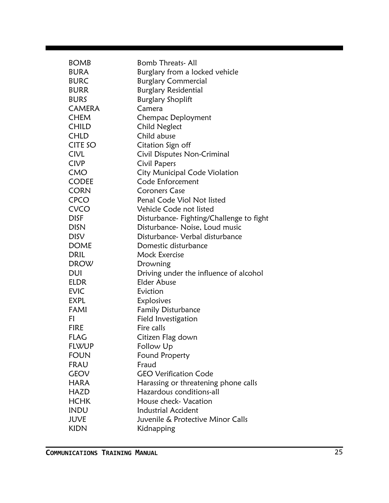| <b>BOMB</b>   | Bomb Threats-All                         |
|---------------|------------------------------------------|
| <b>BURA</b>   | Burglary from a locked vehicle           |
| <b>BURC</b>   | <b>Burglary Commercial</b>               |
| <b>BURR</b>   | <b>Burglary Residential</b>              |
| <b>BURS</b>   | <b>Burglary Shoplift</b>                 |
| <b>CAMERA</b> | Camera                                   |
| <b>CHEM</b>   | Chempac Deployment                       |
| <b>CHILD</b>  | <b>Child Neglect</b>                     |
| <b>CHLD</b>   | Child abuse                              |
| CITE SO       | Citation Sign off                        |
| CIVL          | Civil Disputes Non-Criminal              |
| <b>CIVP</b>   | Civil Papers                             |
| <b>CMO</b>    | City Municipal Code Violation            |
| <b>CODEE</b>  | Code Enforcement                         |
| <b>CORN</b>   | Coroners Case                            |
| <b>CPCO</b>   | Penal Code Viol Not listed               |
| <b>CVCO</b>   | Vehicle Code not listed                  |
| <b>DISF</b>   | Disturbance- Fighting/Challenge to fight |
| <b>DISN</b>   | Disturbance- Noise, Loud music           |
| <b>DISV</b>   | Disturbance- Verbal disturbance          |
| <b>DOME</b>   | Domestic disturbance                     |
| DRIL          | <b>Mock Exercise</b>                     |
| <b>DROW</b>   | Drowning                                 |
| DUI           | Driving under the influence of alcohol   |
| ELDR          | <b>Elder Abuse</b>                       |
| EVIC          | Eviction                                 |
| <b>EXPL</b>   | Explosives                               |
| FAMI          | <b>Family Disturbance</b>                |
| FI            | Field Investigation                      |
| <b>FIRE</b>   | Fire calls                               |
| FLAG          | Citizen Flag down                        |
| <b>FLWUP</b>  | Follow Up                                |
| <b>FOUN</b>   | Found Property                           |
| FRAU          | Fraud                                    |
| <b>GEOV</b>   | <b>GEO Verification Code</b>             |
| <b>HARA</b>   | Harassing or threatening phone calls     |
| HAZD          | Hazardous conditions-all                 |
| <b>HCHK</b>   | House check- Vacation                    |
| <b>INDU</b>   | <b>Industrial Accident</b>               |
| JUVE          | Juvenile & Protective Minor Calls        |
| <b>KIDN</b>   | Kidnapping                               |
|               |                                          |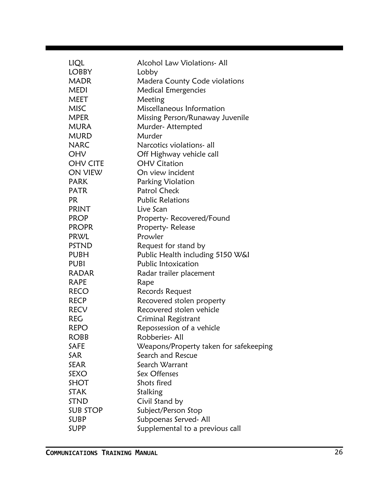| LIQL            | Alcohol Law Violations-All             |
|-----------------|----------------------------------------|
| <b>LOBBY</b>    | Lobby                                  |
| <b>MADR</b>     | Madera County Code violations          |
| <b>MEDI</b>     | <b>Medical Emergencies</b>             |
| MEET            | Meeting                                |
| <b>MISC</b>     | Miscellaneous Information              |
| <b>MPER</b>     | Missing Person/Runaway Juvenile        |
| <b>MURA</b>     | Murder-Attempted                       |
| <b>MURD</b>     | Murder                                 |
| <b>NARC</b>     | Narcotics violations- all              |
| OHV             | Off Highway vehicle call               |
| <b>OHV CITE</b> | <b>OHV Citation</b>                    |
| ON VIEW         | On view incident                       |
| <b>PARK</b>     | Parking Violation                      |
| <b>PATR</b>     | <b>Patrol Check</b>                    |
| PR.             | <b>Public Relations</b>                |
| <b>PRINT</b>    | Live Scan                              |
| <b>PROP</b>     | Property-Recovered/Found               |
| <b>PROPR</b>    | Property-Release                       |
| PRWL            | Prowler                                |
| PSTND           | Request for stand by                   |
| PUBH            | Public Health including 5150 W&I       |
| PUBI            | <b>Public Intoxication</b>             |
| RADAR           | Radar trailer placement                |
| RAPE            | Rape                                   |
| <b>RECO</b>     | Records Request                        |
| <b>RECP</b>     | Recovered stolen property              |
| <b>RECV</b>     | Recovered stolen vehicle               |
| REG             | Criminal Registrant                    |
| <b>REPO</b>     | Repossession of a vehicle              |
| <b>ROBB</b>     | Robberies-All                          |
| <b>SAFE</b>     | Weapons/Property taken for safekeeping |
| SAR             | Search and Rescue                      |
| <b>SEAR</b>     | Search Warrant                         |
| SEXO            | Sex Offenses                           |
| <b>SHOT</b>     | Shots fired                            |
| <b>STAK</b>     | Stalking                               |
| <b>STND</b>     | Civil Stand by                         |
| <b>SUB STOP</b> | Subject/Person Stop                    |
| SUBP            | Subpoenas Served- All                  |
| SUPP            | Supplemental to a previous call        |
|                 |                                        |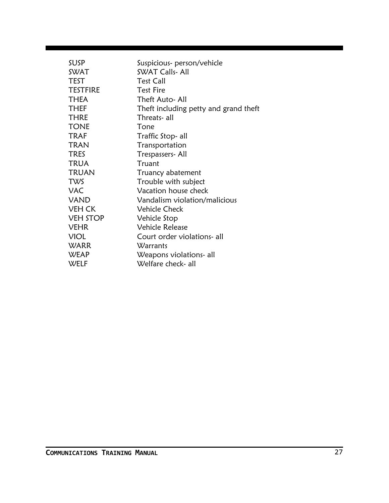| Suspicious- person/vehicle            |
|---------------------------------------|
| <b>SWAT Calls-All</b>                 |
| <b>Test Call</b>                      |
| <b>Test Fire</b>                      |
| Theft Auto- All                       |
| Theft including petty and grand theft |
| Threats- all                          |
| Tone                                  |
| Traffic Stop- all                     |
| Transportation                        |
| Trespassers- All                      |
| Truant                                |
| Truancy abatement                     |
| Trouble with subject                  |
| Vacation house check                  |
| Vandalism violation/malicious         |
| <b>Vehicle Check</b>                  |
| Vehicle Stop                          |
| <b>Vehicle Release</b>                |
| Court order violations- all           |
| Warrants                              |
| Weapons violations- all               |
| Welfare check- all                    |
|                                       |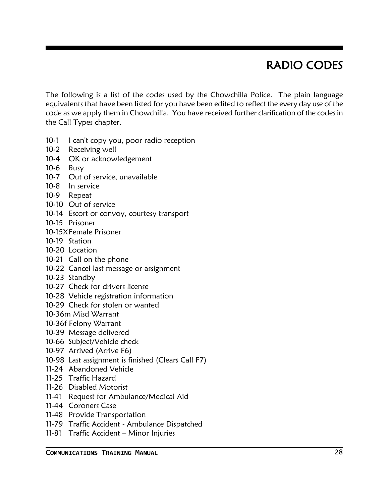# RADIO CODES

The following is a list of the codes used by the Chowchilla Police. The plain language equivalents that have been listed for you have been edited to reflect the every day use of the code as we apply them in Chowchilla. You have received further clarification of the codes in the Call Types chapter.

- 10-1 I can't copy you, poor radio reception
- 10-2 Receiving well
- 10-4 OK or acknowledgement
- 10-6 Busy
- 10-7 Out of service, unavailable
- 10-8 In service
- 10-9 Repeat
- 10-10 Out of service
- 10-14 Escort or convoy, courtesy transport
- 10-15 Prisoner
- 10-15XFemale Prisoner
- 10-19 Station
- 10-20 Location
- 10-21 Call on the phone
- 10-22 Cancel last message or assignment
- 10-23 Standby
- 10-27 Check for drivers license
- 10-28 Vehicle registration information
- 10-29 Check for stolen or wanted
- 10-36m Misd Warrant
- 10-36f Felony Warrant
- 10-39 Message delivered
- 10-66 Subject/Vehicle check
- 10-97 Arrived (Arrive F6)
- 10-98 Last assignment is finished (Clears Call F7)
- 11-24 Abandoned Vehicle
- 11-25 Traffic Hazard
- 11-26 Disabled Motorist
- 11-41 Request for Ambulance/Medical Aid
- 11-44 Coroners Case
- 11-48 Provide Transportation
- 11-79 Traffic Accident Ambulance Dispatched
- 11-81 Traffic Accident Minor Injuries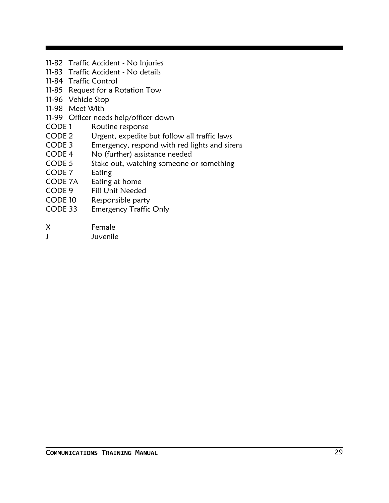- 11-82 Traffic Accident No Injuries
- 11-83 Traffic Accident No details
- 11-84 Traffic Control
- 11-85 Request for a Rotation Tow
- 11-96 Vehicle Stop
- 11-98 Meet With
- 11-99 Officer needs help/officer down
- CODE 1 Routine response
- CODE 2 Urgent, expedite but follow all traffic laws
- CODE 3 Emergency, respond with red lights and sirens
- CODE 4 No (further) assistance needed
- CODE 5 Stake out, watching someone or something
- CODE 7 Eating
- CODE 7A Eating at home
- CODE 9 Fill Unit Needed
- CODE 10 Responsible party
- CODE 33 Emergency Traffic Only
- X Female
- J Juvenile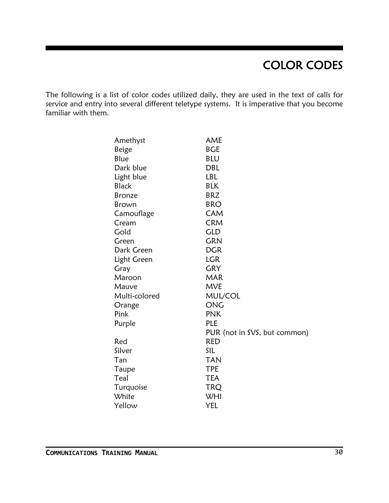# COLOR CODES

The following is a list of color codes utilized daily, they are used in the text of calls for service and entry into several different teletype systems. It is imperative that you become familiar with them.

| Amethyst      | AME                          |
|---------------|------------------------------|
| Beige         | <b>BGE</b>                   |
| Blue          | <b>BLU</b>                   |
| Dark blue     | <b>DBL</b>                   |
| Light blue    | LBL                          |
| <b>Black</b>  | <b>BLK</b>                   |
| <b>Bronze</b> | <b>BRZ</b>                   |
| Brown         | <b>BRO</b>                   |
| Camouflage    | <b>CAM</b>                   |
| Cream         | <b>CRM</b>                   |
| Gold          | <b>GLD</b>                   |
| Green         | <b>GRN</b>                   |
| Dark Green    | <b>DGR</b>                   |
| Light Green   | <b>LGR</b>                   |
| Gray          | <b>GRY</b>                   |
| Maroon        | <b>MAR</b>                   |
| Mauve         | <b>MVE</b>                   |
| Multi-colored | MUL/COL                      |
| Orange        | ONG                          |
| Pink          | <b>PNK</b>                   |
| Purple        | <b>PLE</b>                   |
|               | PUR (not in SVS, but common) |
| Red           | <b>RED</b>                   |
| Silver        | SIL                          |
| Tan           | <b>TAN</b>                   |
| Taupe         | TPE                          |
| Teal          | <b>TEA</b>                   |
| Turquoise     | TRQ                          |
| White         | WHI                          |
| Yellow        | YEL                          |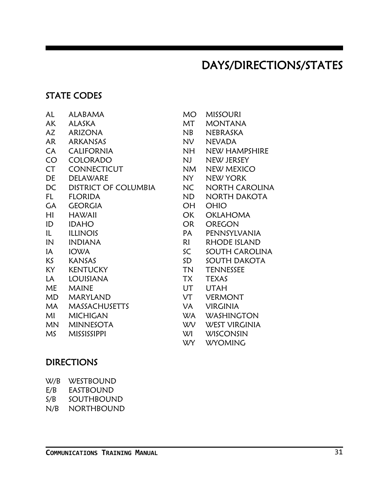### DAYS/DIRECTIONS/STATES

### STATE CODES

| AL        | ALABAMA                     | MO        | MISSO            |
|-----------|-----------------------------|-----------|------------------|
| AK        | <b>ALASKA</b>               | МT        | MON <sup>-</sup> |
| AZ        | <b>ARIZONA</b>              | NB        | NEBR/            |
| <b>AR</b> | ARKANSAS                    | <b>NV</b> | <b>NEVAI</b>     |
| CA        | <b>CALIFORNIA</b>           | <b>NH</b> | NEW I            |
| CO        | <b>COLORADO</b>             | NJ.       | NEW.             |
| <b>CT</b> | <b>CONNECTICUT</b>          | <b>NM</b> | NEW I            |
| DE        | <b>DELAWARE</b>             | NY        | NEW'             |
| DC        | <b>DISTRICT OF COLUMBIA</b> | <b>NC</b> | <b>NORT</b>      |
| FL.       | <b>FLORIDA</b>              | ND        | <b>NORT</b>      |
| GA        | <b>GEORGIA</b>              | OН        | <b>OHIO</b>      |
| HI        | <b>HAWAII</b>               | <b>OK</b> | <b>OKLAI</b>     |
| ID        | <b>IDAHO</b>                | <b>OR</b> | <b>OREG</b>      |
| IL        | <b>ILLINOIS</b>             | PA        | PENN:            |
| IN        | <b>INDIANA</b>              | RI        | <b>RHOD</b>      |
| IA        | <b>IOWA</b>                 | SC        | SOUTI            |
| KS        | <b>KANSAS</b>               | SD        | SOUTI            |
| KY        | <b>KENTUCKY</b>             | <b>TN</b> | <b>TENN</b>      |
| LA        | <b>LOUISIANA</b>            | <b>TX</b> | <b>TEXAS</b>     |
| ME        | <b>MAINE</b>                | UT        | <b>UTAH</b>      |
| <b>MD</b> | <b>MARYLAND</b>             | VT        | <b>VERM</b>      |
| MA        | <b>MASSACHUSETTS</b>        | VA        | <b>VIRGII</b>    |
| MI        | <b>MICHIGAN</b>             | <b>WA</b> | WASH             |
| <b>MN</b> | <b>MINNESOTA</b>            | <b>WV</b> | <b>WEST</b>      |
| MS        | <b>MISSISSIPPI</b>          | WI        | WISCO            |
|           |                             |           |                  |

NH NEW HAMPSHIRE NJ NEW JERSEY NM NEW MEXICO NY NEW YORK NC NORTH CAROLINA ND NORTH DAKOTA OH OHIO OK OKLAHOMA OR OREGON PA PENNSYLVANIA RI RHODE ISLAND **SC SOUTH CAROLINA** SD SOUTH DAKOTA TN TENNESSEE TX TEXAS VT VERMONT VA VIRGINIA WA WASHINGTON WV WEST VIRGINIA WI WISCONSIN

MO MISSOURI MT MONTANA NB NEBRASKA NV NEVADA

WY WYOMING

### **DIRECTIONS**

| W/B | WESTROUND        |
|-----|------------------|
| E/B | <b>EASTBOUND</b> |
| S/B | SOUTHROUND       |
| N/B | NORTHBOUND       |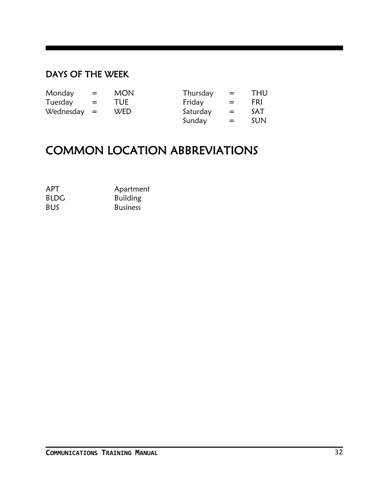### DAYS OF THE WEEK

| Monday        | $=$ | <b>MON</b> | Thursday | $=$ | <b>THU</b> |
|---------------|-----|------------|----------|-----|------------|
| Tuesday       | $=$ | <b>TUE</b> | Friday   | $=$ | FRI        |
| $Wednesday =$ |     | <b>WED</b> | Saturday | $=$ | SAT        |
|               |     |            | Sunday   | $=$ | SUN.       |

## COMMON LOCATION ABBREVIATIONS

| <b>APT</b>  | Apartment       |
|-------------|-----------------|
| <b>BLDG</b> | <b>Building</b> |
| <b>BUS</b>  | <b>Business</b> |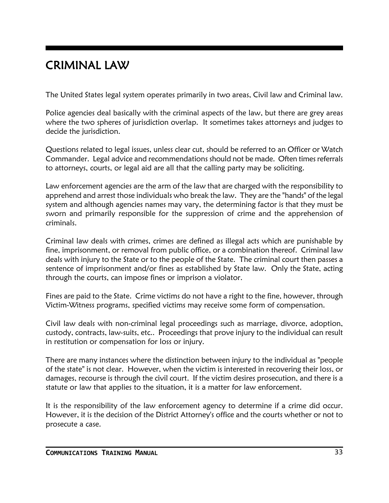## CRIMINAL LAW

The United States legal system operates primarily in two areas, Civil law and Criminal law.

Police agencies deal basically with the criminal aspects of the law, but there are grey areas where the two spheres of jurisdiction overlap. It sometimes takes attorneys and judges to decide the jurisdiction.

Questions related to legal issues, unless clear cut, should be referred to an Officer or Watch Commander. Legal advice and recommendations should not be made. Often times referrals to attorneys, courts, or legal aid are all that the calling party may be soliciting.

Law enforcement agencies are the arm of the law that are charged with the responsibility to apprehend and arrest those individuals who break the law. They are the "hands" of the legal system and although agencies names may vary, the determining factor is that they must be sworn and primarily responsible for the suppression of crime and the apprehension of criminals.

Criminal law deals with crimes, crimes are defined as illegal acts which are punishable by fine, imprisonment, or removal from public office, or a combination thereof. Criminal law deals with injury to the State or to the people of the State. The criminal court then passes a sentence of imprisonment and/or fines as established by State law. Only the State, acting through the courts, can impose fines or imprison a violator.

Fines are paid to the State. Crime victims do not have a right to the fine, however, through Victim-Witness programs, specified victims may receive some form of compensation.

Civil law deals with non-criminal legal proceedings such as marriage, divorce, adoption, custody, contracts, law-suits, etc.. Proceedings that prove injury to the individual can result in restitution or compensation for loss or injury.

There are many instances where the distinction between injury to the individual as "people of the state" is not clear. However, when the victim is interested in recovering their loss, or damages, recourse is through the civil court. If the victim desires prosecution, and there is a statute or law that applies to the situation, it is a matter for law enforcement.

It is the responsibility of the law enforcement agency to determine if a crime did occur. However, it is the decision of the District Attorney's office and the courts whether or not to prosecute a case.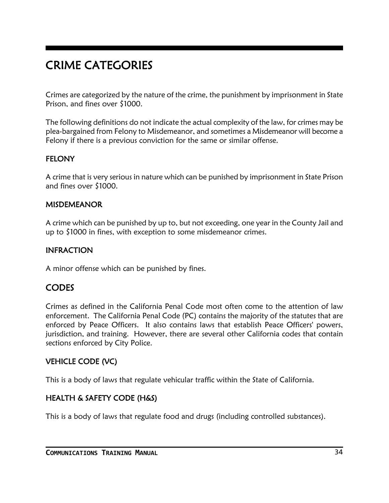# CRIME CATEGORIES

Crimes are categorized by the nature of the crime, the punishment by imprisonment in State Prison, and fines over \$1000.

The following definitions do not indicate the actual complexity of the law, for crimes may be plea-bargained from Felony to Misdemeanor, and sometimes a Misdemeanor will become a Felony if there is a previous conviction for the same or similar offense.

### **FELONY**

A crime that is very serious in nature which can be punished by imprisonment in State Prison and fines over \$1000.

#### MISDEMEANOR

A crime which can be punished by up to, but not exceeding, one year in the County Jail and up to \$1000 in fines, with exception to some misdemeanor crimes.

### INFRACTION

A minor offense which can be punished by fines.

### **CODES**

Crimes as defined in the California Penal Code most often come to the attention of law enforcement. The California Penal Code (PC) contains the majority of the statutes that are enforced by Peace Officers. It also contains laws that establish Peace Officers' powers, jurisdiction, and training. However, there are several other California codes that contain sections enforced by City Police.

### VEHICLE CODE (VC)

This is a body of laws that regulate vehicular traffic within the State of California.

### HEALTH & SAFETY CODE (H&S)

This is a body of laws that regulate food and drugs (including controlled substances).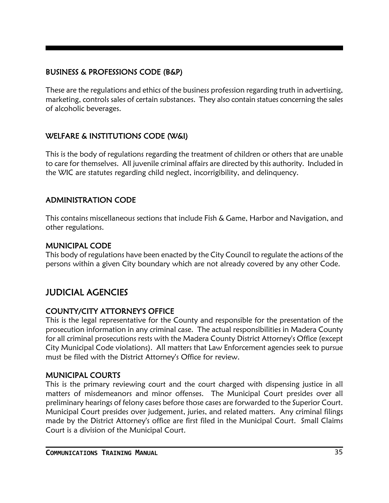### BUSINESS & PROFESSIONS CODE (B&P)

These are the regulations and ethics of the business profession regarding truth in advertising, marketing, controls sales of certain substances. They also contain statues concerning the sales of alcoholic beverages.

### WELFARE & INSTITUTIONS CODE (W&I)

This is the body of regulations regarding the treatment of children or others that are unable to care for themselves. All juvenile criminal affairs are directed by this authority. Included in the WIC are statutes regarding child neglect, incorrigibility, and delinquency.

### ADMINISTRATION CODE

This contains miscellaneous sections that include Fish & Game, Harbor and Navigation, and other regulations.

### MUNICIPAL CODE

This body of regulations have been enacted by the City Council to regulate the actions of the persons within a given City boundary which are not already covered by any other Code.

# JUDICIAL AGENCIES

### COUNTY/CITY ATTORNEY'S OFFICE

This is the legal representative for the County and responsible for the presentation of the prosecution information in any criminal case. The actual responsibilities in Madera County for all criminal prosecutions rests with the Madera County District Attorney's Office (except City Municipal Code violations). All matters that Law Enforcement agencies seek to pursue must be filed with the District Attorney's Office for review.

#### MUNICIPAL COURTS

This is the primary reviewing court and the court charged with dispensing justice in all matters of misdemeanors and minor offenses. The Municipal Court presides over all preliminary hearings of felony cases before those cases are forwarded to the Superior Court. Municipal Court presides over judgement, juries, and related matters. Any criminal filings made by the District Attorney's office are first filed in the Municipal Court. Small Claims Court is a division of the Municipal Court.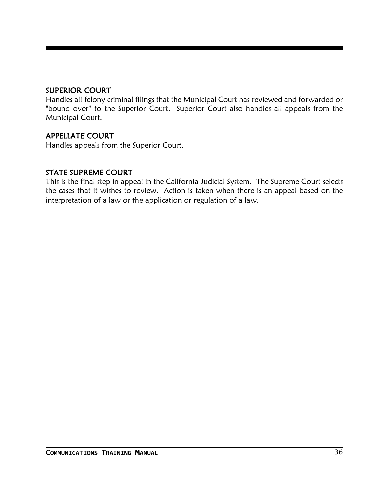#### SUPERIOR COURT

Handles all felony criminal filings that the Municipal Court has reviewed and forwarded or "bound over" to the Superior Court. Superior Court also handles all appeals from the Municipal Court.

#### APPELLATE COURT

Handles appeals from the Superior Court.

#### STATE SUPREME COURT

This is the final step in appeal in the California Judicial System. The Supreme Court selects the cases that it wishes to review. Action is taken when there is an appeal based on the interpretation of a law or the application or regulation of a law.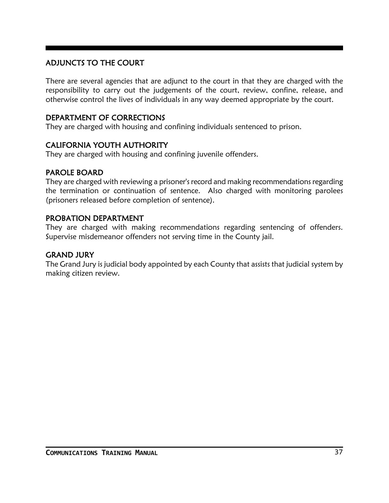### ADJUNCTS TO THE COURT

There are several agencies that are adjunct to the court in that they are charged with the responsibility to carry out the judgements of the court, review, confine, release, and otherwise control the lives of individuals in any way deemed appropriate by the court.

#### DEPARTMENT OF CORRECTIONS

They are charged with housing and confining individuals sentenced to prison.

#### CALIFORNIA YOUTH AUTHORITY

They are charged with housing and confining juvenile offenders.

#### PAROLE BOARD

They are charged with reviewing a prisoner's record and making recommendations regarding the termination or continuation of sentence. Also charged with monitoring parolees (prisoners released before completion of sentence).

#### PROBATION DEPARTMENT

They are charged with making recommendations regarding sentencing of offenders. Supervise misdemeanor offenders not serving time in the County jail.

#### GRAND JURY

The Grand Jury is judicial body appointed by each County that assists that judicial system by making citizen review.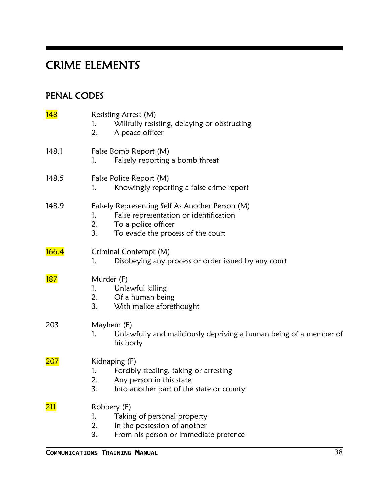# CRIME ELEMENTS

# PENAL CODES

| 148        | Resisting Arrest (M)<br>Willfully resisting, delaying or obstructing<br>1.<br>2.<br>A peace officer                                                                     |
|------------|-------------------------------------------------------------------------------------------------------------------------------------------------------------------------|
| 148.1      | False Bomb Report (M)<br>Falsely reporting a bomb threat<br>1.                                                                                                          |
| 148.5      | False Police Report (M)<br>Knowingly reporting a false crime report<br>1.                                                                                               |
| 148.9      | Falsely Representing Self As Another Person (M)<br>1.<br>False representation or identification<br>2.<br>To a police officer<br>3.<br>To evade the process of the court |
| 166.4      | Criminal Contempt (M)<br>Disobeying any process or order issued by any court<br>1.                                                                                      |
| <b>187</b> | Murder (F)<br>Unlawful killing<br>1.<br>2.<br>Of a human being<br>3.<br>With malice aforethought                                                                        |
| 203        | Mayhem (F)<br>Unlawfully and maliciously depriving a human being of a member of<br>1.<br>his body                                                                       |
| <b>207</b> | Kidnaping (F)<br>1.<br>Forcibly stealing, taking or arresting<br>2.<br>Any person in this state<br>3.<br>Into another part of the state or county                       |
| <b>211</b> | Robbery (F)<br>Taking of personal property<br>1.<br>In the possession of another<br>2.<br>3.<br>From his person or immediate presence                                   |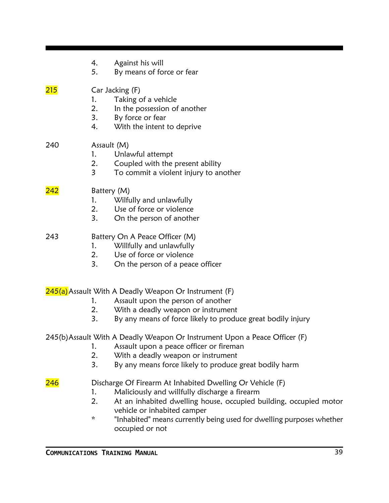|             | Against his will<br>4.<br>5.<br>By means of force or fear                                                                                                                                                                                                                                                                        |
|-------------|----------------------------------------------------------------------------------------------------------------------------------------------------------------------------------------------------------------------------------------------------------------------------------------------------------------------------------|
| 215         | Car Jacking (F)<br>Taking of a vehicle<br>1.<br>2.<br>In the possession of another<br>3.<br>By force or fear<br>4.<br>With the intent to deprive                                                                                                                                                                                 |
| 240         | Assault (M)<br>Unlawful attempt<br>1.<br>2.<br>Coupled with the present ability<br>$\overline{3}$<br>To commit a violent injury to another                                                                                                                                                                                       |
| <u> 242</u> | Battery (M)<br>Wilfully and unlawfully<br>1.<br>2.<br>Use of force or violence<br>3.<br>On the person of another                                                                                                                                                                                                                 |
| 243         | Battery On A Peace Officer (M)<br>Willfully and unlawfully<br>1.<br>2.<br>Use of force or violence<br>3.<br>On the person of a peace officer                                                                                                                                                                                     |
|             | 245(a) Assault With A Deadly Weapon Or Instrument (F)<br>Assault upon the person of another<br>1.<br>With a deadly weapon or instrument<br>2.<br>3.<br>By any means of force likely to produce great bodily injury                                                                                                               |
|             | 245(b) Assault With A Deadly Weapon Or Instrument Upon a Peace Officer (F)<br>Assault upon a peace officer or fireman<br>1.<br>2.<br>With a deadly weapon or instrument<br>3.<br>By any means force likely to produce great bodily harm                                                                                          |
| <u> 246</u> | Discharge Of Firearm At Inhabited Dwelling Or Vehicle (F)<br>Maliciously and willfully discharge a firearm<br>1.<br>2.<br>At an inhabited dwelling house, occupied building, occupied motor<br>vehicle or inhabited camper<br>$\star$<br>"Inhabited" means currently being used for dwelling purposes whether<br>occupied or not |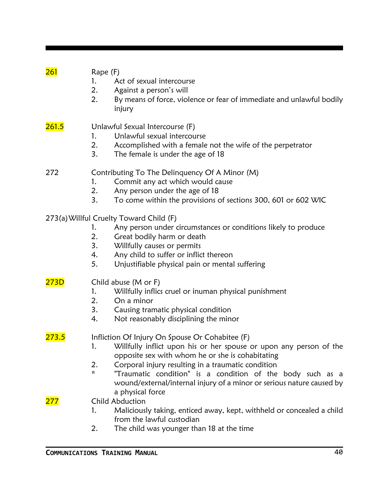| 261          | Rape (F)<br>1.<br>2.<br>2. | Act of sexual intercourse<br>Against a person's will<br>By means of force, violence or fear of immediate and unlawful bodily<br>injury                                                                                                                                                                                                                                                     |
|--------------|----------------------------|--------------------------------------------------------------------------------------------------------------------------------------------------------------------------------------------------------------------------------------------------------------------------------------------------------------------------------------------------------------------------------------------|
| <b>261.5</b> | 1.<br>2.<br>3.             | Unlawful Sexual Intercourse (F)<br>Unlawful sexual intercourse<br>Accomplished with a female not the wife of the perpetrator<br>The female is under the age of 18                                                                                                                                                                                                                          |
| 272          | 1.<br>2.<br>3.             | Contributing To The Delinquency Of A Minor (M)<br>Commit any act which would cause<br>Any person under the age of 18<br>To come within the provisions of sections 300, 601 or 602 WIC                                                                                                                                                                                                      |
|              | 1.<br>2.<br>3.<br>4.<br>5. | 273(a) Willful Cruelty Toward Child (F)<br>Any person under circumstances or conditions likely to produce<br>Great bodily harm or death<br>Willfully causes or permits<br>Any child to suffer or inflict thereon<br>Unjustifiable physical pain or mental suffering                                                                                                                        |
| 273D         | 1.<br>2.<br>3.<br>4.       | Child abuse (M or F)<br>Willfully inflics cruel or inuman physical punishment<br>On a minor<br>Causing tramatic physical condition<br>Not reasonably disciplining the minor                                                                                                                                                                                                                |
| 273.5        | 1.<br>2.<br>$\star$        | Infliction Of Injury On Spouse Or Cohabitee (F)<br>Willfully inflict upon his or her spouse or upon any person of the<br>opposite sex with whom he or she is cohabitating<br>Corporal injury resulting in a traumatic condition<br>"Traumatic condition" is a condition of the body such as a<br>wound/external/internal injury of a minor or serious nature caused by<br>a physical force |
| 277          | 1.<br>2.                   | <b>Child Abduction</b><br>Maliciously taking, enticed away, kept, withheld or concealed a child<br>from the lawful custodian<br>The child was younger than 18 at the time                                                                                                                                                                                                                  |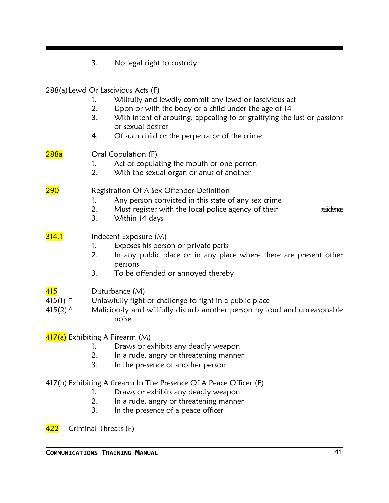3. No legal right to custody 288(a)Lewd Or Lascivious Acts (F) 1. Willfully and lewdly commit any lewd or lascivious act 2. Upon or with the body of a child under the age of 14 3. With intent of arousing, appealing to or gratifying the lust or passions or sexual desires 4. Of such child or the perpetrator of the crime 288a **Oral Copulation (F)** 1. Act of copulating the mouth or one person 2. With the sexual organ or anus of another 290 Registration Of A Sex Offender-Definition 1. Any person convicted in this state of any sex crime 2. Must register with the local police agency of their residence 3. Within 14 days **314.1** Indecent Exposure (M) 1. Exposes his person or private parts 2. In any public place or in any place where there are present other persons 3. To be offended or annoyed thereby 415 Disturbance (M) 415(1) \* Unlawfully fight or challenge to fight in a public place 415(2) \* Maliciously and willfully disturb another person by loud and unreasonable noise 417(a) Exhibiting A Firearm (M) 1. Draws or exhibits any deadly weapon 2. In a rude, angry or threatening manner 3. In the presence of another person 417(b) Exhibiting A firearm In The Presence Of A Peace Officer (F) 1. Draws or exhibits any deadly weapon 2. In a rude, angry or threatening manner 3. In the presence of a peace officer 422 Criminal Threats (F)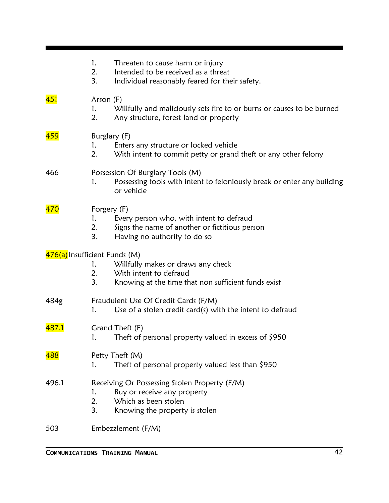|                               | 1.<br>2.<br>3.                | Threaten to cause harm or injury<br>Intended to be received as a threat<br>Individual reasonably feared for their safety.              |
|-------------------------------|-------------------------------|----------------------------------------------------------------------------------------------------------------------------------------|
| <mark>451</mark>              | Arson (F)<br>1.<br>2.         | Willfully and maliciously sets fire to or burns or causes to be burned<br>Any structure, forest land or property                       |
| <mark>459</mark>              | Burglary (F)<br>1.<br>2.      | Enters any structure or locked vehicle<br>With intent to commit petty or grand theft or any other felony                               |
| 466                           | 1.                            | Possession Of Burglary Tools (M)<br>Possessing tools with intent to feloniously break or enter any building<br>or vehicle              |
| 470                           | Forgery (F)<br>1.<br>2.<br>3. | Every person who, with intent to defraud<br>Signs the name of another or fictitious person<br>Having no authority to do so             |
| 476(a) Insufficient Funds (M) | 1.<br>2.<br>3.                | Willfully makes or draws any check<br>With intent to defraud<br>Knowing at the time that non sufficient funds exist                    |
| 484g                          | 1.                            | Fraudulent Use Of Credit Cards (F/M)<br>Use of a stolen credit card $(s)$ with the intent to defraud                                   |
| 487.1                         | 1.                            | Grand Theft (F)<br>Theft of personal property valued in excess of \$950                                                                |
| 488                           | 1.                            | Petty Theft (M)<br>Theft of personal property valued less than $$950$                                                                  |
| 496.1                         | 1.<br>2.<br>3.                | Receiving Or Possessing Stolen Property (F/M)<br>Buy or receive any property<br>Which as been stolen<br>Knowing the property is stolen |
| 503                           |                               | Embezzlement (F/M)                                                                                                                     |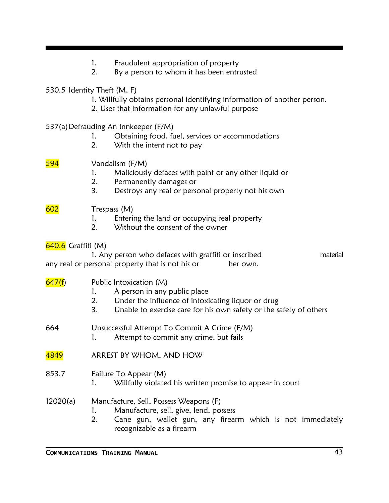- 1. Fraudulent appropriation of property
- 2. By a person to whom it has been entrusted
- 530.5 Identity Theft (M, F)
	- 1. Willfully obtains personal identifying information of another person.
	- 2. Uses that information for any unlawful purpose
- 537(a)Defrauding An Innkeeper (F/M)
	- 1. Obtaining food, fuel, services or accommodations
	- 2. With the intent not to pay

594 Vandalism (F/M)

- 1. Maliciously defaces with paint or any other liquid or
- 2. Permanently damages or
- 3. Destroys any real or personal property not his own

## 602 Trespass (M)

- 1. Entering the land or occupying real property
- 2. Without the consent of the owner

### **640.6** Graffiti (M)

| 1. Any person who defaces with graffiti or inscribed |          | material |
|------------------------------------------------------|----------|----------|
| any real or personal property that is not his or     | her own. |          |

### $647(f)$  Public Intoxication (M)

- 1. A person in any public place
- 2. Under the influence of intoxicating liquor or drug
- 3. Unable to exercise care for his own safety or the safety of others

664 Unsuccessful Attempt To Commit A Crime (F/M)

- 1. Attempt to commit any crime, but fails
- 4849 ARREST BY WHOM, AND HOW
- 853.7 Failure To Appear (M)
	- 1. Willfully violated his written promise to appear in court

## 12020(a) Manufacture, Sell, Possess Weapons (F)

- 1. Manufacture, sell, give, lend, possess
- 2. Cane gun, wallet gun, any firearm which is not immediately recognizable as a firearm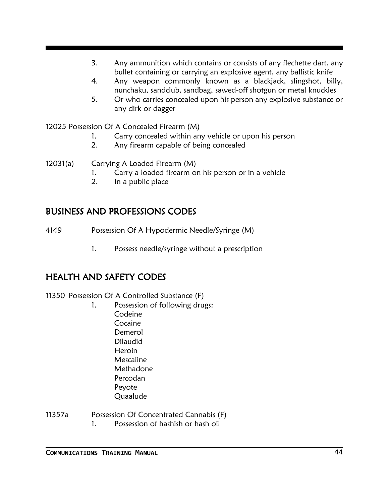- 3. Any ammunition which contains or consists of any flechette dart, any bullet containing or carrying an explosive agent, any ballistic knife
- 4. Any weapon commonly known as a blackjack, slingshot, billy, nunchaku, sandclub, sandbag, sawed-off shotgun or metal knuckles
- 5. Or who carries concealed upon his person any explosive substance or any dirk or dagger

12025 Possession Of A Concealed Firearm (M)

- 1. Carry concealed within any vehicle or upon his person
- 2. Any firearm capable of being concealed

12031(a) Carrying A Loaded Firearm (M)

- 1. Carry a loaded firearm on his person or in a vehicle
- 2. In a public place

## BUSINESS AND PROFESSIONS CODES

4149 Possession Of A Hypodermic Needle/Syringe (M)

1. Possess needle/syringe without a prescription

# HEALTH AND SAFETY CODES

11350 Possession Of A Controlled Substance (F)

1. Possession of following drugs: Codeine Cocaine Demerol Dilaudid Heroin Mescaline Methadone Percodan Peyote Quaalude

11357a Possession Of Concentrated Cannabis (F) 1. Possession of hashish or hash oil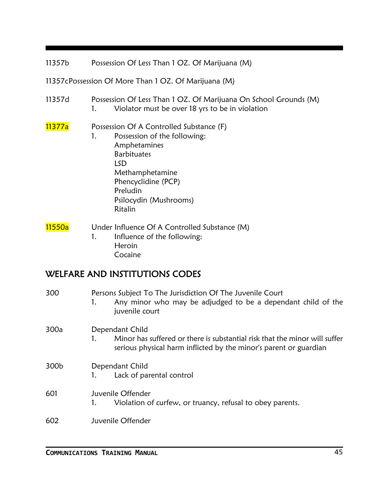11357b Possession Of Less Than 1 OZ. Of Marijuana (M)

11357cPossession Of More Than 1 OZ. Of Marijuana (M)

11357d Possession Of Less Than 1 OZ. Of Marijuana On School Grounds (M) 1. Violator must be over 18 yrs to be in violation

#### 11377a Possession Of A Controlled Substance (F)

1. Possession of the following: Amphetamines **Barbituates** LSD Methamphetamine Phencyclidine (PCP) Preludin Psilocydin (Mushrooms) Ritalin

#### 11550a Under Influence Of A Controlled Substance (M) 1. Influence of the following: Heroin Cocaine

# WELFARE AND INSTITUTIONS CODES

| 300  | Persons Subject To The Jurisdiction Of The Juvenile Court<br>Any minor who may be adjudged to be a dependant child of the<br>juvenile court                        |
|------|--------------------------------------------------------------------------------------------------------------------------------------------------------------------|
| 300a | Dependant Child<br>Minor has suffered or there is substantial risk that the minor will suffer<br>serious physical harm inflicted by the minor's parent or guardian |
| 300b | Dependant Child<br>Lack of parental control                                                                                                                        |
| 601  | Juvenile Offender<br>Violation of curfew, or truancy, refusal to obey parents.                                                                                     |
| 602  | Juvenile Offender                                                                                                                                                  |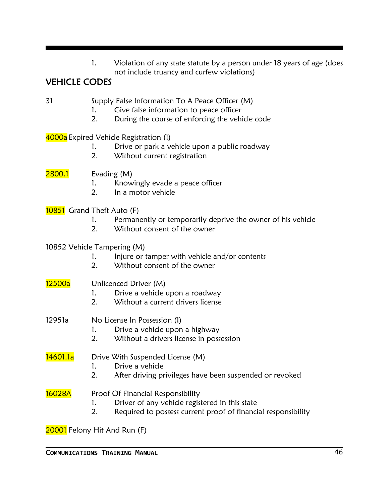| Violation of any state statute by a person under 18 years of age (does |
|------------------------------------------------------------------------|
| not include truancy and curfew violations)                             |

# VEHICLE CODES

| 31 | Supply False Information To A Peace Officer (M) |
|----|-------------------------------------------------|
|----|-------------------------------------------------|

- 1. Give false information to peace officer
- 2. During the course of enforcing the vehicle code

4000a Expired Vehicle Registration (I)

- 1. Drive or park a vehicle upon a public roadway
- 2. Without current registration
- **2800.1** Evading (M)
	- 1. Knowingly evade a peace officer
	- 2. In a motor vehicle

#### 10851 Grand Theft Auto (F)

- 1. Permanently or temporarily deprive the owner of his vehicle
- 2. Without consent of the owner

#### 10852 Vehicle Tampering (M)

- 1. Injure or tamper with vehicle and/or contents
- 2. Without consent of the owner

### 12500a Unlicenced Driver (M)

- 1. Drive a vehicle upon a roadway
- 2. Without a current drivers license

### 12951a No License In Possession (I)

- 1. Drive a vehicle upon a highway
- 2. Without a drivers license in possession

14601.1a Drive With Suspended License (M)

- 1. Drive a vehicle
- 2. After driving privileges have been suspended or revoked

16028A Proof Of Financial Responsibility

- 1. Driver of any vehicle registered in this state
- 2. Required to possess current proof of financial responsibility

20001 Felony Hit And Run (F)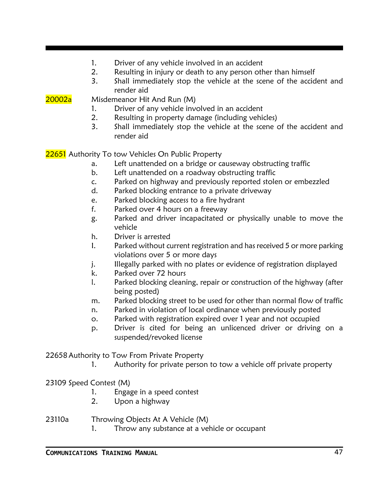- 1. Driver of any vehicle involved in an accident
- 2. Resulting in injury or death to any person other than himself
- 3. Shall immediately stop the vehicle at the scene of the accident and render aid

20002a Misdemeanor Hit And Run (M)

- 1. Driver of any vehicle involved in an accident
- 2. Resulting in property damage (including vehicles)
- 3. Shall immediately stop the vehicle at the scene of the accident and render aid

22651 Authority To tow Vehicles On Public Property

- a. Left unattended on a bridge or causeway obstructing traffic
- b. Left unattended on a roadway obstructing traffic
- c. Parked on highway and previously reported stolen or embezzled
- d. Parked blocking entrance to a private driveway
- e. Parked blocking access to a fire hydrant
- f. Parked over 4 hours on a freeway
- g. Parked and driver incapacitated or physically unable to move the vehicle
- h. Driver is arrested
- I. Parked without current registration and has received 5 or more parking violations over 5 or more days
- j. Illegally parked with no plates or evidence of registration displayed
- k. Parked over 72 hours
- l. Parked blocking cleaning, repair or construction of the highway (after being posted)
- m. Parked blocking street to be used for other than normal flow of traffic
- n. Parked in violation of local ordinance when previously posted
- o. Parked with registration expired over 1 year and not occupied
- p. Driver is cited for being an unlicenced driver or driving on a suspended/revoked license

22658Authority to Tow From Private Property

1. Authority for private person to tow a vehicle off private property

23109 Speed Contest (M)

- 1. Engage in a speed contest
- 2. Upon a highway

23110a Throwing Objects At A Vehicle (M)

1. Throw any substance at a vehicle or occupant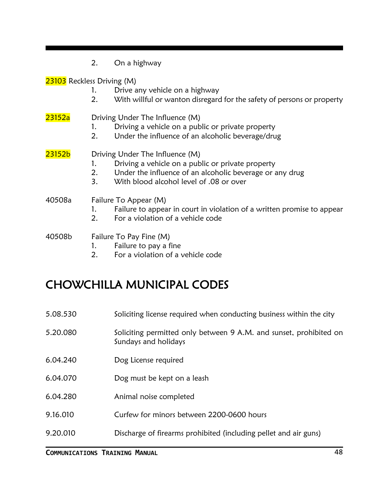|                            | 2.       | On a highway                                                                                             |
|----------------------------|----------|----------------------------------------------------------------------------------------------------------|
| 23103 Reckless Driving (M) |          |                                                                                                          |
|                            | 1.<br>2. | Drive any vehicle on a highway<br>With willful or wanton disregard for the safety of persons or property |
| 23152a                     |          | Driving Under The Influence (M)                                                                          |
|                            | 1.       | Driving a vehicle on a public or private property                                                        |
|                            | 2.       | Under the influence of an alcoholic beverage/drug                                                        |
| 23152b                     |          | Driving Under The Influence (M)                                                                          |
|                            | 1.       | Driving a vehicle on a public or private property                                                        |
|                            |          | 2. Under the influence of an alcoholic beverage or any drug                                              |
|                            | 3.       | With blood alcohol level of .08 or over                                                                  |
| 40508a                     |          | Failure To Appear (M)                                                                                    |
|                            | 1.       | Failure to appear in court in violation of a written promise to appear                                   |
|                            | 2.       | For a violation of a vehicle code                                                                        |
| 40508b                     |          | Failure To Pay Fine (M)                                                                                  |
|                            |          | Failure to pay a fine                                                                                    |

2. For a violation of a vehicle code

# CHOWCHILLA MUNICIPAL CODES

| 5.08.530 | Soliciting license required when conducting business within the city                       |
|----------|--------------------------------------------------------------------------------------------|
| 5.20.080 | Soliciting permitted only between 9 A.M. and sunset, prohibited on<br>Sundays and holidays |
| 6.04.240 | Dog License required                                                                       |
| 6.04.070 | Dog must be kept on a leash                                                                |
| 6.04.280 | Animal noise completed                                                                     |
| 9.16.010 | Curfew for minors between 2200-0600 hours                                                  |
| 9.20.010 | Discharge of firearms prohibited (including pellet and air guns)                           |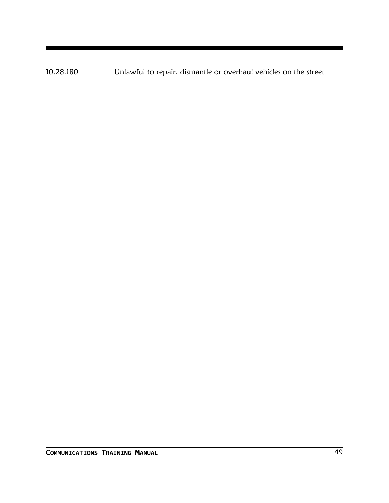10.28.180 Unlawful to repair, dismantle or overhaul vehicles on the street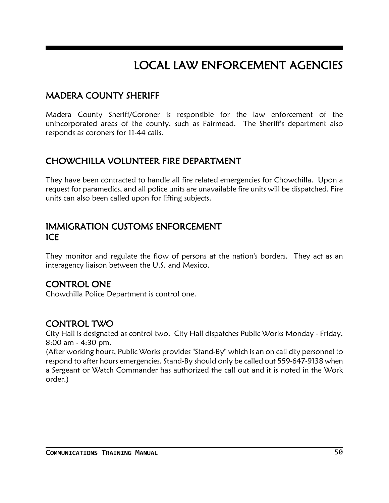# LOCAL LAW ENFORCEMENT AGENCIES

# MADERA COUNTY SHERIFF

Madera County Sheriff/Coroner is responsible for the law enforcement of the unincorporated areas of the county, such as Fairmead. The Sheriff's department also responds as coroners for 11-44 calls.

# CHOWCHILLA VOLUNTEER FIRE DEPARTMENT

They have been contracted to handle all fire related emergencies for Chowchilla. Upon a request for paramedics, and all police units are unavailable fire units will be dispatched. Fire units can also been called upon for lifting subjects.

### IMMIGRATION CUSTOMS ENFORCEMENT ICE

They monitor and regulate the flow of persons at the nation's borders. They act as an interagency liaison between the U.S. and Mexico.

### CONTROL ONE

Chowchilla Police Department is control one.

## CONTROL TWO

City Hall is designated as control two. City Hall dispatches Public Works Monday - Friday, 8:00 am - 4:30 pm.

(After working hours, Public Works provides "Stand-By" which is an on call city personnel to respond to after hours emergencies. Stand-By should only be called out 559-647-9138 when a Sergeant or Watch Commander has authorized the call out and it is noted in the Work order.)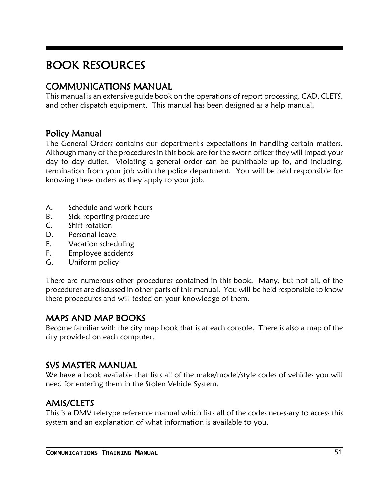# BOOK RESOURCES

# COMMUNICATIONS MANUAL

This manual is an extensive guide book on the operations of report processing, CAD, CLETS, and other dispatch equipment. This manual has been designed as a help manual.

## Policy Manual

The General Orders contains our department's expectations in handling certain matters. Although many of the procedures in this book are for the sworn officer they will impact your day to day duties. Violating a general order can be punishable up to, and including, termination from your job with the police department. You will be held responsible for knowing these orders as they apply to your job.

- A. Schedule and work hours
- B. Sick reporting procedure
- C. Shift rotation
- D. Personal leave
- E. Vacation scheduling
- F. Employee accidents
- G. Uniform policy

There are numerous other procedures contained in this book. Many, but not all, of the procedures are discussed in other parts of this manual. You will be held responsible to know these procedures and will tested on your knowledge of them.

## MAPS AND MAP BOOKS

Become familiar with the city map book that is at each console. There is also a map of the city provided on each computer.

### SVS MASTER MANUAL

We have a book available that lists all of the make/model/style codes of vehicles you will need for entering them in the Stolen Vehicle System.

## AMIS/CLETS

This is a DMV teletype reference manual which lists all of the codes necessary to access this system and an explanation of what information is available to you.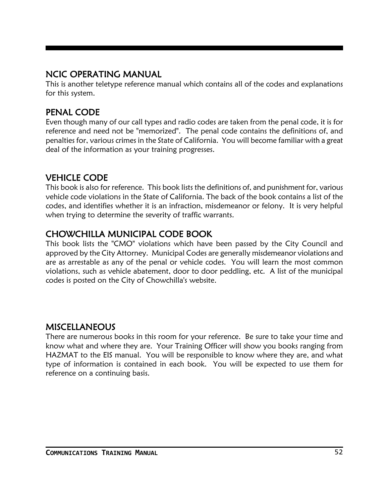## NCIC OPERATING MANUAL

This is another teletype reference manual which contains all of the codes and explanations for this system.

# PENAL CODE

Even though many of our call types and radio codes are taken from the penal code, it is for reference and need not be "memorized". The penal code contains the definitions of, and penalties for, various crimes in the State of California. You will become familiar with a great deal of the information as your training progresses.

# VEHICLE CODE

This book is also for reference. This book lists the definitions of, and punishment for, various vehicle code violations in the State of California. The back of the book contains a list of the codes, and identifies whether it is an infraction, misdemeanor or felony. It is very helpful when trying to determine the severity of traffic warrants.

# CHOWCHILLA MUNICIPAL CODE BOOK

This book lists the "CMO" violations which have been passed by the City Council and approved by the City Attorney. Municipal Codes are generally misdemeanor violations and are as arrestable as any of the penal or vehicle codes. You will learn the most common violations, such as vehicle abatement, door to door peddling, etc. A list of the municipal codes is posted on the City of Chowchilla's website.

### **MISCELLANEOUS**

There are numerous books in this room for your reference. Be sure to take your time and know what and where they are. Your Training Officer will show you books ranging from HAZMAT to the EIS manual. You will be responsible to know where they are, and what type of information is contained in each book. You will be expected to use them for reference on a continuing basis.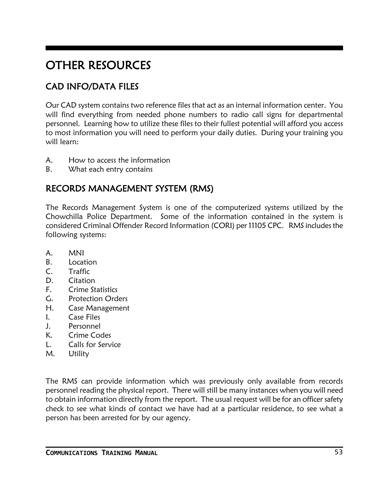# OTHER RESOURCES

# CAD INFO/DATA FILES

Our CAD system contains two reference files that act as an internal information center. You will find everything from needed phone numbers to radio call signs for departmental personnel. Learning how to utilize these files to their fullest potential will afford you access to most information you will need to perform your daily duties. During your training you will learn:

- A. How to access the information
- B. What each entry contains

# RECORDS MANAGEMENT SYSTEM (RMS)

The Records Management System is one of the computerized systems utilized by the Chowchilla Police Department. Some of the information contained in the system is considered Criminal Offender Record Information (CORI) per 11105 CPC. RMS includes the following systems:

- A. MNI
- B. Location
- C. Traffic
- D. Citation
- F. Crime Statistics
- G. Protection Orders
- H. Case Management
- I. Case Files
- J. Personnel
- K. Crime Codes
- L. Calls for Service
- M. Utility

The RMS can provide information which was previously only available from records personnel reading the physical report. There will still be many instances when you will need to obtain information directly from the report. The usual request will be for an officer safety check to see what kinds of contact we have had at a particular residence, to see what a person has been arrested for by our agency.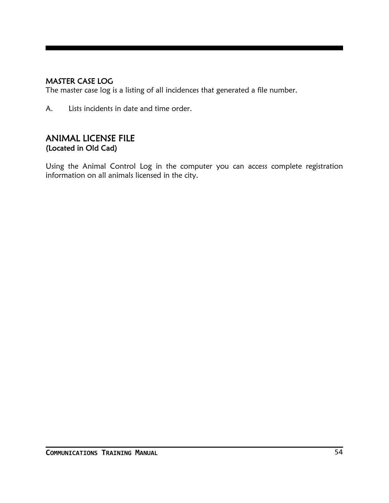### MASTER CASE LOG

The master case log is a listing of all incidences that generated a file number.

A. Lists incidents in date and time order.

### ANIMAL LICENSE FILE (Located in Old Cad)

Using the Animal Control Log in the computer you can access complete registration information on all animals licensed in the city.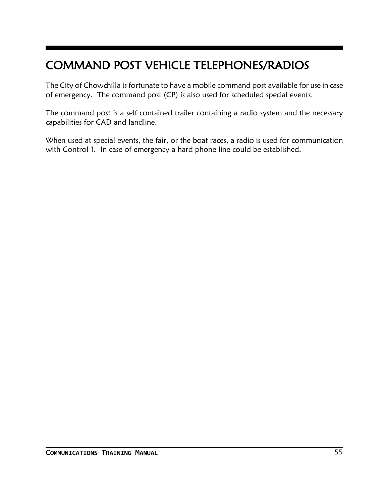# COMMAND POST VEHICLE TELEPHONES/RADIOS

The City of Chowchilla is fortunate to have a mobile command post available for use in case of emergency. The command post (CP) is also used for scheduled special events.

The command post is a self contained trailer containing a radio system and the necessary capabilities for CAD and landline.

When used at special events, the fair, or the boat races, a radio is used for communication with Control 1. In case of emergency a hard phone line could be established.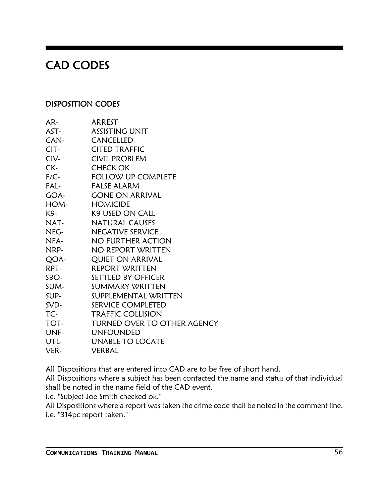# CAD CODES

### DISPOSITION CODES

| AR-    | ARREST                      |
|--------|-----------------------------|
| AST-   | <b>ASSISTING UNIT</b>       |
| CAN-   | <b>CANCELLED</b>            |
| CIT-   | <b>CITED TRAFFIC</b>        |
| CIV-   | <b>CIVIL PROBLEM</b>        |
| CK-    | <b>CHECK OK</b>             |
| $F/C-$ | <b>FOLLOW UP COMPLETE</b>   |
| FAL-   | <b>FALSE ALARM</b>          |
| GOA-   | <b>GONE ON ARRIVAL</b>      |
| HOM-   | <b>HOMICIDE</b>             |
| K9-    | <b>K9 USED ON CALL</b>      |
| NAT-   | <b>NATURAL CAUSES</b>       |
| NEG-   | <b>NEGATIVE SERVICE</b>     |
| NFA-   | NO FURTHER ACTION           |
| NRP-   | NO REPORT WRITTEN           |
| QOA-   | <b>QUIET ON ARRIVAL</b>     |
| RPT-   | <b>REPORT WRITTEN</b>       |
| SBO-   | <b>SETTLED BY OFFICER</b>   |
| SUM-   | SUMMARY WRITTEN             |
| SUP-   | SUPPLEMENTAL WRITTEN        |
| SVD-   | <b>SERVICE COMPLETED</b>    |
| TC-    | <b>TRAFFIC COLLISION</b>    |
| TOT-   | TURNED OVER TO OTHER AGENCY |
| UNF-   | <b>UNFOUNDED</b>            |
| UTL-   | <b>UNABLE TO LOCATE</b>     |
| VER-   | VERBAL                      |

All Dispositions that are entered into CAD are to be free of short hand.

All Dispositions where a subject has been contacted the name and status of that individual shall be noted in the name field of the CAD event.

i.e. "Subject Joe Smith checked ok."

All Dispositions where a report was taken the crime code shall be noted in the comment line. i.e. "314pc report taken."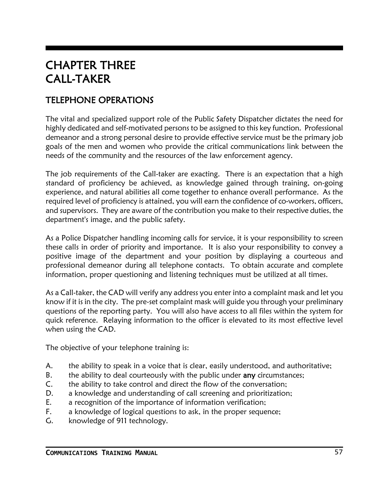# CHAPTER THREE CALL-TAKER

# TELEPHONE OPERATIONS

The vital and specialized support role of the Public Safety Dispatcher dictates the need for highly dedicated and self-motivated persons to be assigned to this key function. Professional demeanor and a strong personal desire to provide effective service must be the primary job goals of the men and women who provide the critical communications link between the needs of the community and the resources of the law enforcement agency.

The job requirements of the Call-taker are exacting. There is an expectation that a high standard of proficiency be achieved, as knowledge gained through training, on-going experience, and natural abilities all come together to enhance overall performance. As the required level of proficiency is attained, you will earn the confidence of co-workers, officers, and supervisors. They are aware of the contribution you make to their respective duties, the department's image, and the public safety.

As a Police Dispatcher handling incoming calls for service, it is your responsibility to screen these calls in order of priority and importance. It is also your responsibility to convey a positive image of the department and your position by displaying a courteous and professional demeanor during all telephone contacts. To obtain accurate and complete information, proper questioning and listening techniques must be utilized at all times.

As a Call-taker, the CAD will verify any address you enter into a complaint mask and let you know if it is in the city. The pre-set complaint mask will guide you through your preliminary questions of the reporting party. You will also have access to all files within the system for quick reference. Relaying information to the officer is elevated to its most effective level when using the CAD.

The objective of your telephone training is:

- A. the ability to speak in a voice that is clear, easily understood, and authoritative;
- B. the ability to deal courteously with the public under any circumstances;
- C. the ability to take control and direct the flow of the conversation;
- D. a knowledge and understanding of call screening and prioritization;
- E. a recognition of the importance of information verification;
- F. a knowledge of logical questions to ask, in the proper sequence;
- G. knowledge of 911 technology.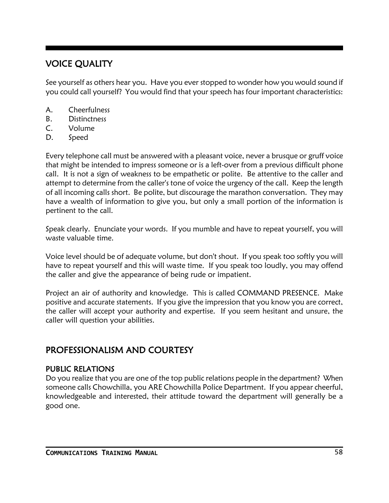# VOICE QUALITY

See yourself as others hear you. Have you ever stopped to wonder how you would sound if you could call yourself? You would find that your speech has four important characteristics:

- A. Cheerfulness
- B. Distinctness
- C. Volume
- D. Speed

Every telephone call must be answered with a pleasant voice, never a brusque or gruff voice that might be intended to impress someone or is a left-over from a previous difficult phone call. It is not a sign of weakness to be empathetic or polite. Be attentive to the caller and attempt to determine from the caller's tone of voice the urgency of the call. Keep the length of all incoming calls short. Be polite, but discourage the marathon conversation. They may have a wealth of information to give you, but only a small portion of the information is pertinent to the call.

Speak clearly. Enunciate your words. If you mumble and have to repeat yourself, you will waste valuable time.

Voice level should be of adequate volume, but don't shout. If you speak too softly you will have to repeat yourself and this will waste time. If you speak too loudly, you may offend the caller and give the appearance of being rude or impatient.

Project an air of authority and knowledge. This is called COMMAND PRESENCE. Make positive and accurate statements. If you give the impression that you know you are correct, the caller will accept your authority and expertise. If you seem hesitant and unsure, the caller will question your abilities.

# PROFESSIONALISM AND COURTESY

### PUBLIC RELATIONS

Do you realize that you are one of the top public relations people in the department? When someone calls Chowchilla, you ARE Chowchilla Police Department. If you appear cheerful, knowledgeable and interested, their attitude toward the department will generally be a good one.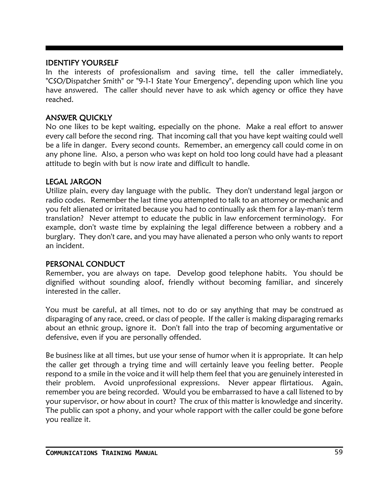#### IDENTIFY YOURSELF

In the interests of professionalism and saving time, tell the caller immediately, "CSO/Dispatcher Smith" or "9-1-1 State Your Emergency", depending upon which line you have answered. The caller should never have to ask which agency or office they have reached.

#### ANSWER QUICKLY

No one likes to be kept waiting, especially on the phone. Make a real effort to answer every call before the second ring. That incoming call that you have kept waiting could well be a life in danger. Every second counts. Remember, an emergency call could come in on any phone line. Also, a person who was kept on hold too long could have had a pleasant attitude to begin with but is now irate and difficult to handle.

#### LEGAL JARGON

Utilize plain, every day language with the public. They don't understand legal jargon or radio codes. Remember the last time you attempted to talk to an attorney or mechanic and you felt alienated or irritated because you had to continually ask them for a lay-man's term translation? Never attempt to educate the public in law enforcement terminology. For example, don't waste time by explaining the legal difference between a robbery and a burglary. They don't care, and you may have alienated a person who only wants to report an incident.

#### PERSONAL CONDUCT

Remember, you are always on tape. Develop good telephone habits. You should be dignified without sounding aloof, friendly without becoming familiar, and sincerely interested in the caller.

You must be careful, at all times, not to do or say anything that may be construed as disparaging of any race, creed, or class of people. If the caller is making disparaging remarks about an ethnic group, ignore it. Don't fall into the trap of becoming argumentative or defensive, even if you are personally offended.

Be business like at all times, but use your sense of humor when it is appropriate. It can help the caller get through a trying time and will certainly leave you feeling better. People respond to a smile in the voice and it will help them feel that you are genuinely interested in their problem. Avoid unprofessional expressions. Never appear flirtatious. Again, remember you are being recorded. Would you be embarrassed to have a call listened to by your supervisor, or how about in court? The crux of this matter is knowledge and sincerity. The public can spot a phony, and your whole rapport with the caller could be gone before you realize it.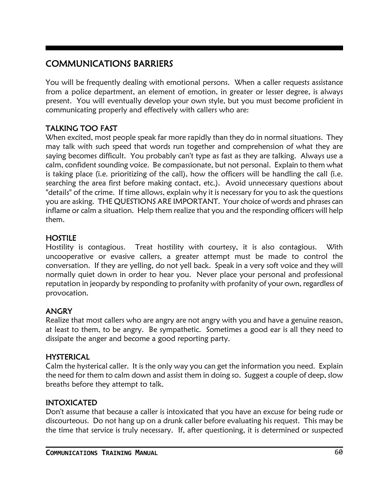# COMMUNICATIONS BARRIERS

You will be frequently dealing with emotional persons. When a caller requests assistance from a police department, an element of emotion, in greater or lesser degree, is always present. You will eventually develop your own style, but you must become proficient in communicating properly and effectively with callers who are:

### TALKING TOO FAST

When excited, most people speak far more rapidly than they do in normal situations. They may talk with such speed that words run together and comprehension of what they are saying becomes difficult. You probably can't type as fast as they are talking. Always use a calm, confident sounding voice. Be compassionate, but not personal. Explain to them what is taking place (i.e. prioritizing of the call), how the officers will be handling the call (i.e. searching the area first before making contact, etc.). Avoid unnecessary questions about "details" of the crime. If time allows, explain why it is necessary for you to ask the questions you are asking. THE QUESTIONS ARE IMPORTANT. Your choice of words and phrases can inflame or calm a situation. Help them realize that you and the responding officers will help them.

### **HOSTILE**

Hostility is contagious. Treat hostility with courtesy, it is also contagious. With uncooperative or evasive callers, a greater attempt must be made to control the conversation. If they are yelling, do not yell back. Speak in a very soft voice and they will normally quiet down in order to hear you. Never place your personal and professional reputation in jeopardy by responding to profanity with profanity of your own, regardless of provocation.

#### ANGRY

Realize that most callers who are angry are not angry with you and have a genuine reason, at least to them, to be angry. Be sympathetic. Sometimes a good ear is all they need to dissipate the anger and become a good reporting party.

#### HYSTERICAL

Calm the hysterical caller. It is the only way you can get the information you need. Explain the need for them to calm down and assist them in doing so. Suggest a couple of deep, slow breaths before they attempt to talk.

### INTOXICATED

Don't assume that because a caller is intoxicated that you have an excuse for being rude or discourteous. Do not hang up on a drunk caller before evaluating his request. This may be the time that service is truly necessary. If, after questioning, it is determined or suspected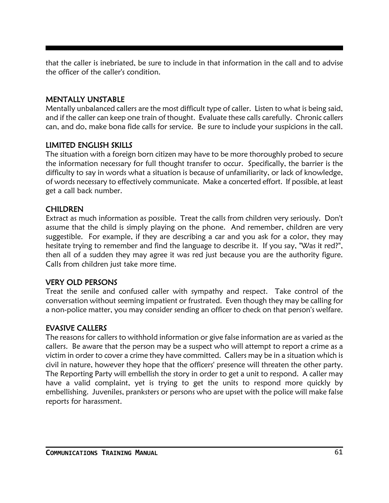that the caller is inebriated, be sure to include in that information in the call and to advise the officer of the caller's condition.

### MENTALLY UNSTABLE

Mentally unbalanced callers are the most difficult type of caller. Listen to what is being said, and if the caller can keep one train of thought. Evaluate these calls carefully. Chronic callers can, and do, make bona fide calls for service. Be sure to include your suspicions in the call.

### LIMITED ENGLISH SKILLS

The situation with a foreign born citizen may have to be more thoroughly probed to secure the information necessary for full thought transfer to occur. Specifically, the barrier is the difficulty to say in words what a situation is because of unfamiliarity, or lack of knowledge, of words necessary to effectively communicate. Make a concerted effort. If possible, at least get a call back number.

### CHILDREN

Extract as much information as possible. Treat the calls from children very seriously. Don't assume that the child is simply playing on the phone. And remember, children are very suggestible. For example, if they are describing a car and you ask for a color, they may hesitate trying to remember and find the language to describe it. If you say, "Was it red?", then all of a sudden they may agree it was red just because you are the authority figure. Calls from children just take more time.

#### VERY OLD PERSONS

Treat the senile and confused caller with sympathy and respect. Take control of the conversation without seeming impatient or frustrated. Even though they may be calling for a non-police matter, you may consider sending an officer to check on that person's welfare.

### EVASIVE CALLERS

The reasons for callers to withhold information or give false information are as varied as the callers. Be aware that the person may be a suspect who will attempt to report a crime as a victim in order to cover a crime they have committed. Callers may be in a situation which is civil in nature, however they hope that the officers' presence will threaten the other party. The Reporting Party will embellish the story in order to get a unit to respond. A caller may have a valid complaint, yet is trying to get the units to respond more quickly by embellishing. Juveniles, pranksters or persons who are upset with the police will make false reports for harassment.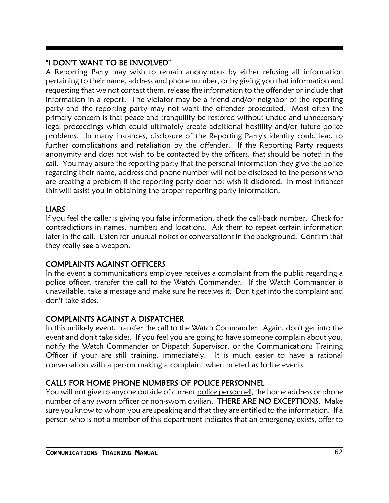### "I DON'T WANT TO BE INVOLVED"

A Reporting Party may wish to remain anonymous by either refusing all information pertaining to their name, address and phone number, or by giving you that information and requesting that we not contact them, release the information to the offender or include that information in a report. The violator may be a friend and/or neighbor of the reporting party and the reporting party may not want the offender prosecuted. Most often the primary concern is that peace and tranquility be restored without undue and unnecessary legal proceedings which could ultimately create additional hostility and/or future police problems. In many instances, disclosure of the Reporting Party's identity could lead to further complications and retaliation by the offender. If the Reporting Party requests anonymity and does not wish to be contacted by the officers, that should be noted in the call. You may assure the reporting party that the personal information they give the police regarding their name, address and phone number will not be disclosed to the persons who are creating a problem if the reporting party does not wish it disclosed. In most instances this will assist you in obtaining the proper reporting party information.

### LIARS

If you feel the caller is giving you false information, check the call-back number. Check for contradictions in names, numbers and locations. Ask them to repeat certain information later in the call. Listen for unusual noises or conversations in the background. Confirm that they really see a weapon.

### COMPLAINTS AGAINST OFFICERS

In the event a communications employee receives a complaint from the public regarding a police officer, transfer the call to the Watch Commander. If the Watch Commander is unavailable, take a message and make sure he receives it. Don't get into the complaint and don't take sides.

### COMPLAINTS AGAINST A DISPATCHER

In this unlikely event, transfer the call to the Watch Commander. Again, don't get into the event and don't take sides. If you feel you are going to have someone complain about you, notify the Watch Commander or Dispatch Supervisor, or the Communications Training Officer if your are still training, immediately. It is much easier to have a rational conversation with a person making a complaint when briefed as to the events.

### CALLS FOR HOME PHONE NUMBERS OF POLICE PERSONNEL

You will not give to anyone outside of current police personnel, the home address or phone number of any sworn officer or non-sworn civilian. THERE ARE NO EXCEPTIONS. Make sure you know to whom you are speaking and that they are entitled to the information. If a person who is not a member of this department indicates that an emergency exists, offer to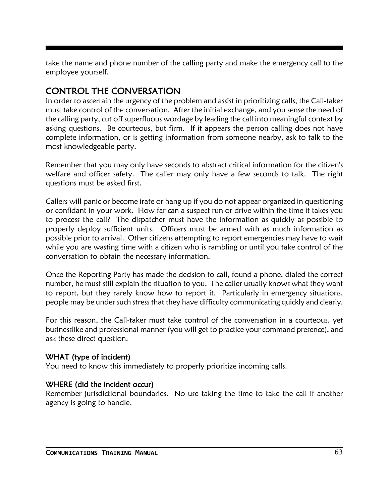take the name and phone number of the calling party and make the emergency call to the employee yourself.

# CONTROL THE CONVERSATION

In order to ascertain the urgency of the problem and assist in prioritizing calls, the Call-taker must take control of the conversation. After the initial exchange, and you sense the need of the calling party, cut off superfluous wordage by leading the call into meaningful context by asking questions. Be courteous, but firm. If it appears the person calling does not have complete information, or is getting information from someone nearby, ask to talk to the most knowledgeable party.

Remember that you may only have seconds to abstract critical information for the citizen's welfare and officer safety. The caller may only have a few seconds to talk. The right questions must be asked first.

Callers will panic or become irate or hang up if you do not appear organized in questioning or confidant in your work. How far can a suspect run or drive within the time it takes you to process the call? The dispatcher must have the information as quickly as possible to properly deploy sufficient units. Officers must be armed with as much information as possible prior to arrival. Other citizens attempting to report emergencies may have to wait while you are wasting time with a citizen who is rambling or until you take control of the conversation to obtain the necessary information.

Once the Reporting Party has made the decision to call, found a phone, dialed the correct number, he must still explain the situation to you. The caller usually knows what they want to report, but they rarely know how to report it. Particularly in emergency situations, people may be under such stress that they have difficulty communicating quickly and clearly.

For this reason, the Call-taker must take control of the conversation in a courteous, yet businesslike and professional manner (you will get to practice your command presence), and ask these direct question.

### WHAT (type of incident)

You need to know this immediately to properly prioritize incoming calls.

### WHERE (did the incident occur)

Remember jurisdictional boundaries. No use taking the time to take the call if another agency is going to handle.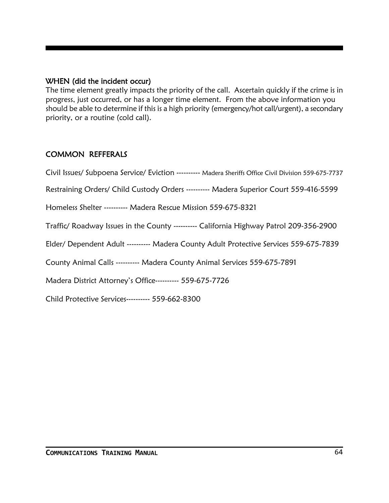#### WHEN (did the incident occur)

The time element greatly impacts the priority of the call. Ascertain quickly if the crime is in progress, just occurred, or has a longer time element. From the above information you should be able to determine if this is a high priority (emergency/hot call/urgent), a secondary priority, or a routine (cold call).

### COMMON REFFERALS

Civil Issues/ Subpoena Service/ Eviction ---------- Madera Sheriffs Office Civil Division 559-675-7737

Restraining Orders/ Child Custody Orders ---------- Madera Superior Court 559-416-5599

Homeless Shelter ---------- Madera Rescue Mission 559-675-8321

Traffic/ Roadway Issues in the County ---------- California Highway Patrol 209-356-2900

Elder/ Dependent Adult ---------- Madera County Adult Protective Services 559-675-7839

County Animal Calls ---------- Madera County Animal Services 559-675-7891

Madera District Attorney's Office---------- 559-675-7726

Child Protective Services---------- 559-662-8300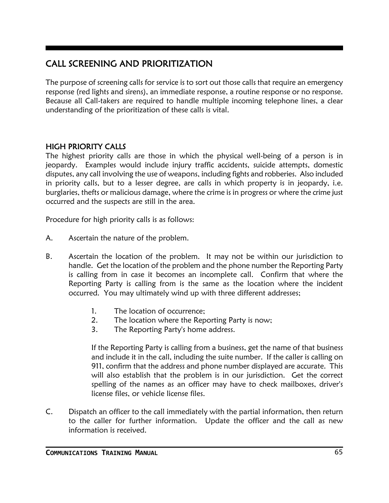# CALL SCREENING AND PRIORITIZATION

The purpose of screening calls for service is to sort out those calls that require an emergency response (red lights and sirens), an immediate response, a routine response or no response. Because all Call-takers are required to handle multiple incoming telephone lines, a clear understanding of the prioritization of these calls is vital.

### HIGH PRIORITY CALLS

The highest priority calls are those in which the physical well-being of a person is in jeopardy. Examples would include injury traffic accidents, suicide attempts, domestic disputes, any call involving the use of weapons, including fights and robberies. Also included in priority calls, but to a lesser degree, are calls in which property is in jeopardy, i.e. burglaries, thefts or malicious damage, where the crime is in progress or where the crime just occurred and the suspects are still in the area.

Procedure for high priority calls is as follows:

- A. Ascertain the nature of the problem.
- B. Ascertain the location of the problem. It may not be within our jurisdiction to handle. Get the location of the problem and the phone number the Reporting Party is calling from in case it becomes an incomplete call. Confirm that where the Reporting Party is calling from is the same as the location where the incident occurred. You may ultimately wind up with three different addresses;
	- 1. The location of occurrence;
	- 2. The location where the Reporting Party is now;
	- 3. The Reporting Party's home address.

If the Reporting Party is calling from a business, get the name of that business and include it in the call, including the suite number. If the caller is calling on 911, confirm that the address and phone number displayed are accurate. This will also establish that the problem is in our jurisdiction. Get the correct spelling of the names as an officer may have to check mailboxes, driver's license files, or vehicle license files.

C. Dispatch an officer to the call immediately with the partial information, then return to the caller for further information. Update the officer and the call as new information is received.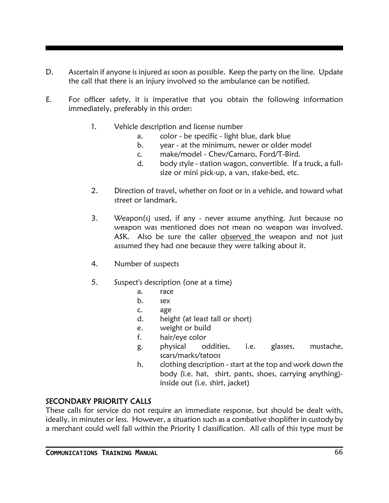- D. Ascertain if anyone is injured as soon as possible. Keep the party on the line. Update the call that there is an injury involved so the ambulance can be notified.
- E. For officer safety, it is imperative that you obtain the following information immediately, preferably in this order:
	- 1. Vehicle description and license number
		- a. color be specific light blue, dark blue
		- b. year at the minimum, newer or older model
		- c. make/model Chev/Camaro, Ford/T-Bird.
		- d. body style station wagon, convertible. If a truck, a fullsize or mini pick-up, a van, stake-bed, etc.
	- 2. Direction of travel, whether on foot or in a vehicle, and toward what street or landmark.
	- 3. Weapon(s) used, if any never assume anything. Just because no weapon was mentioned does not mean no weapon was involved. ASK. Also be sure the caller observed the weapon and not just assumed they had one because they were talking about it.
	- 4. Number of suspects
	- 5. Suspect's description (one at a time)
		- a. race
		- b. sex
		- c. age
		- d. height (at least tall or short)
		- e. weight or build
		- f. hair/eye color
		- g. physical oddities, i.e. glasses, mustache, scars/marks/tatoos
		- h. clothing description start at the top and work down the body (i.e. hat, shirt, pants, shoes, carrying anything) inside out (i.e. shirt, jacket)

### SECONDARY PRIORITY CALLS

These calls for service do not require an immediate response, but should be dealt with, ideally, in minutes or less. However, a situation such as a combative shoplifter in custody by a merchant could well fall within the Priority 1 classification. All calls of this type must be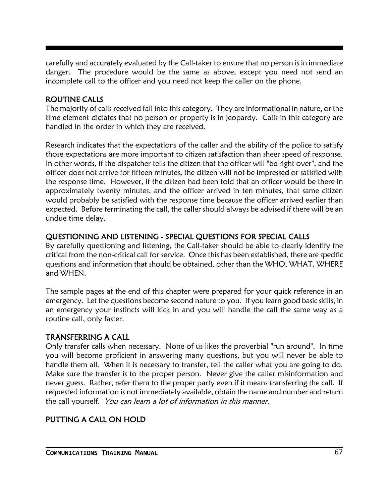carefully and accurately evaluated by the Call-taker to ensure that no person is in immediate danger. The procedure would be the same as above, except you need not send an incomplete call to the officer and you need not keep the caller on the phone.

### ROUTINE CALLS

The majority of calls received fall into this category. They are informational in nature, or the time element dictates that no person or property is in jeopardy. Calls in this category are handled in the order in which they are received.

Research indicates that the expectations of the caller and the ability of the police to satisfy those expectations are more important to citizen satisfaction than sheer speed of response. In other words, if the dispatcher tells the citizen that the officer will "be right over", and the officer does not arrive for fifteen minutes, the citizen will not be impressed or satisfied with the response time. However, if the citizen had been told that an officer would be there in approximately twenty minutes, and the officer arrived in ten minutes, that same citizen would probably be satisfied with the response time because the officer arrived earlier than expected. Before terminating the call, the caller should always be advised if there will be an undue time delay.

### QUESTIONING AND LISTENING - SPECIAL QUESTIONS FOR SPECIAL CALLS

By carefully questioning and listening, the Call-taker should be able to clearly identify the critical from the non-critical call for service. Once this has been established, there are specific questions and information that should be obtained, other than the WHO, WHAT, WHERE and WHEN.

The sample pages at the end of this chapter were prepared for your quick reference in an emergency. Let the questions become second nature to you. If you learn good basic skills, in an emergency your instincts will kick in and you will handle the call the same way as a routine call, only faster.

### TRANSFERRING A CALL

Only transfer calls when necessary. None of us likes the proverbial "run around". In time you will become proficient in answering many questions, but you will never be able to handle them all. When it is necessary to transfer, tell the caller what you are going to do. Make sure the transfer is to the proper person. Never give the caller misinformation and never guess. Rather, refer them to the proper party even if it means transferring the call. If requested information is not immediately available, obtain the name and number and return the call yourself. You can learn a lot of information in this manner.

### PUTTING A CALL ON HOLD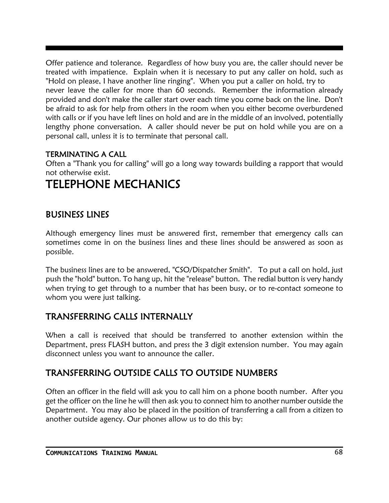Offer patience and tolerance. Regardless of how busy you are, the caller should never be treated with impatience. Explain when it is necessary to put any caller on hold, such as "Hold on please, I have another line ringing". When you put a caller on hold, try to never leave the caller for more than 60 seconds. Remember the information already provided and don't make the caller start over each time you come back on the line. Don't be afraid to ask for help from others in the room when you either become overburdened with calls or if you have left lines on hold and are in the middle of an involved, potentially lengthy phone conversation. A caller should never be put on hold while you are on a personal call, unless it is to terminate that personal call.

### TERMINATING A CALL

Often a "Thank you for calling" will go a long way towards building a rapport that would not otherwise exist.

# TELEPHONE MECHANICS

## BUSINESS LINES

Although emergency lines must be answered first, remember that emergency calls can sometimes come in on the business lines and these lines should be answered as soon as possible.

The business lines are to be answered, "CSO/Dispatcher Smith". To put a call on hold, just push the "hold" button. To hang up, hit the "release" button. The redial button is very handy when trying to get through to a number that has been busy, or to re-contact someone to whom you were just talking.

### TRANSFERRING CALLS INTERNALLY

When a call is received that should be transferred to another extension within the Department, press FLASH button, and press the 3 digit extension number. You may again disconnect unless you want to announce the caller.

# TRANSFERRING OUTSIDE CALLS TO OUTSIDE NUMBERS

Often an officer in the field will ask you to call him on a phone booth number. After you get the officer on the line he will then ask you to connect him to another number outside the Department. You may also be placed in the position of transferring a call from a citizen to another outside agency. Our phones allow us to do this by: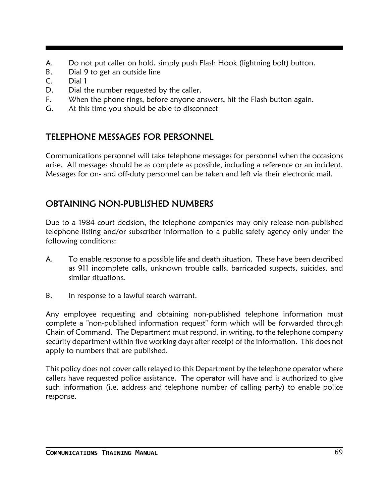- A. Do not put caller on hold, simply push Flash Hook (lightning bolt) button.
- B. Dial 9 to get an outside line
- C. Dial 1
- D. Dial the number requested by the caller.
- F. When the phone rings, before anyone answers, hit the Flash button again.
- G. At this time you should be able to disconnect

# TELEPHONE MESSAGES FOR PERSONNEL

Communications personnel will take telephone messages for personnel when the occasions arise. All messages should be as complete as possible, including a reference or an incident. Messages for on- and off-duty personnel can be taken and left via their electronic mail.

# OBTAINING NON-PUBLISHED NUMBERS

Due to a 1984 court decision, the telephone companies may only release non-published telephone listing and/or subscriber information to a public safety agency only under the following conditions:

- A. To enable response to a possible life and death situation. These have been described as 911 incomplete calls, unknown trouble calls, barricaded suspects, suicides, and similar situations.
- B. In response to a lawful search warrant.

Any employee requesting and obtaining non-published telephone information must complete a "non-published information request" form which will be forwarded through Chain of Command. The Department must respond, in writing, to the telephone company security department within five working days after receipt of the information. This does not apply to numbers that are published.

This policy does not cover calls relayed to this Department by the telephone operator where callers have requested police assistance. The operator will have and is authorized to give such information (i.e. address and telephone number of calling party) to enable police response.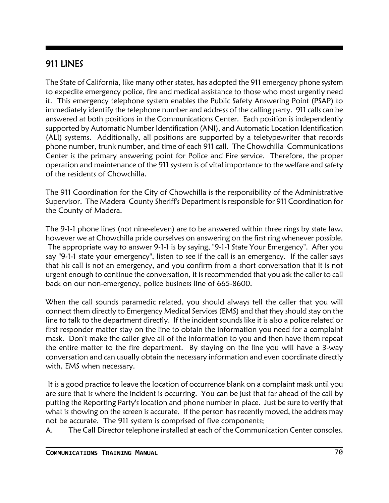#### 911 LINES

The State of California, like many other states, has adopted the 911 emergency phone system to expedite emergency police, fire and medical assistance to those who most urgently need it. This emergency telephone system enables the Public Safety Answering Point (PSAP) to immediately identify the telephone number and address of the calling party. 911 calls can be answered at both positions in the Communications Center. Each position is independently supported by Automatic Number Identification (ANI), and Automatic Location Identification (ALI) systems. Additionally, all positions are supported by a teletypewriter that records phone number, trunk number, and time of each 911 call. The Chowchilla Communications Center is the primary answering point for Police and Fire service. Therefore, the proper operation and maintenance of the 911 system is of vital importance to the welfare and safety of the residents of Chowchilla.

The 911 Coordination for the City of Chowchilla is the responsibility of the Administrative Supervisor. The Madera County Sheriff's Department is responsible for 911 Coordination for the County of Madera.

The 9-1-1 phone lines (not nine-eleven) are to be answered within three rings by state law, however we at Chowchilla pride ourselves on answering on the first ring whenever possible. The appropriate way to answer 9-1-1 is by saying, "9-1-1 State Your Emergency". After you say "9-1-1 state your emergency", listen to see if the call is an emergency. If the caller says that his call is not an emergency, and you confirm from a short conversation that it is not urgent enough to continue the conversation, it is recommended that you ask the caller to call back on our non-emergency, police business line of 665-8600.

When the call sounds paramedic related, you should always tell the caller that you will connect them directly to Emergency Medical Services (EMS) and that they should stay on the line to talk to the department directly. If the incident sounds like it is also a police related or first responder matter stay on the line to obtain the information you need for a complaint mask. Don't make the caller give all of the information to you and then have them repeat the entire matter to the fire department. By staying on the line you will have a 3-way conversation and can usually obtain the necessary information and even coordinate directly with, EMS when necessary.

It is a good practice to leave the location of occurrence blank on a complaint mask until you are sure that is where the incident is occurring. You can be just that far ahead of the call by putting the Reporting Party's location and phone number in place. Just be sure to verify that what is showing on the screen is accurate. If the person has recently moved, the address may not be accurate. The 911 system is comprised of five components;

A. The Call Director telephone installed at each of the Communication Center consoles.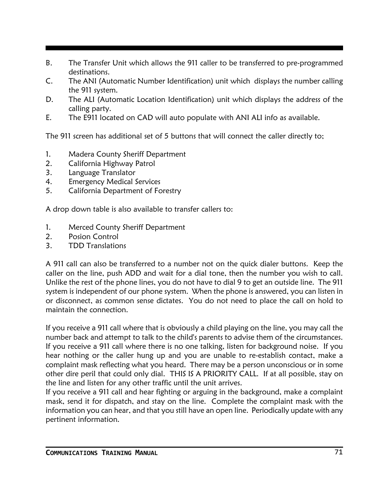- B. The Transfer Unit which allows the 911 caller to be transferred to pre-programmed destinations.
- C. The ANI (Automatic Number Identification) unit which displays the number calling the 911 system.
- D. The ALI (Automatic Location Identification) unit which displays the address of the calling party.
- E. The E911 located on CAD will auto populate with ANI ALI info as available.

The 911 screen has additional set of 5 buttons that will connect the caller directly to;

- 1. Madera County Sheriff Department
- 2. California Highway Patrol
- 3. Language Translator
- 4. Emergency Medical Services
- 5. California Department of Forestry

A drop down table is also available to transfer callers to:

- 1. Merced County Sheriff Department
- 2. Posion Control
- 3. TDD Translations

A 911 call can also be transferred to a number not on the quick dialer buttons. Keep the caller on the line, push ADD and wait for a dial tone, then the number you wish to call. Unlike the rest of the phone lines, you do not have to dial 9 to get an outside line. The 911 system is independent of our phone system. When the phone is answered, you can listen in or disconnect, as common sense dictates. You do not need to place the call on hold to maintain the connection.

If you receive a 911 call where that is obviously a child playing on the line, you may call the number back and attempt to talk to the child's parents to advise them of the circumstances. If you receive a 911 call where there is no one talking, listen for background noise. If you hear nothing or the caller hung up and you are unable to re-establish contact, make a complaint mask reflecting what you heard. There may be a person unconscious or in some other dire peril that could only dial. THIS IS A PRIORITY CALL. If at all possible, stay on the line and listen for any other traffic until the unit arrives.

If you receive a 911 call and hear fighting or arguing in the background, make a complaint mask, send it for dispatch, and stay on the line. Complete the complaint mask with the information you can hear, and that you still have an open line. Periodically update with any pertinent information.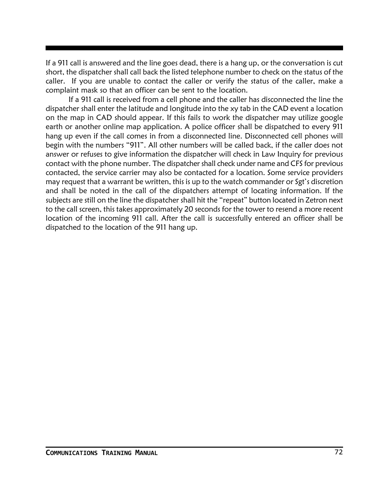If a 911 call is answered and the line goes dead, there is a hang up, or the conversation is cut short, the dispatcher shall call back the listed telephone number to check on the status of the caller. If you are unable to contact the caller or verify the status of the caller, make a complaint mask so that an officer can be sent to the location.

If a 911 call is received from a cell phone and the caller has disconnected the line the dispatcher shall enter the latitude and longitude into the xy tab in the CAD event a location on the map in CAD should appear. If this fails to work the dispatcher may utilize google earth or another online map application. A police officer shall be dispatched to every 911 hang up even if the call comes in from a disconnected line. Disconnected cell phones will begin with the numbers "911". All other numbers will be called back, if the caller does not answer or refuses to give information the dispatcher will check in Law Inquiry for previous contact with the phone number. The dispatcher shall check under name and CFS for previous contacted, the service carrier may also be contacted for a location. Some service providers may request that a warrant be written, this is up to the watch commander or Sgt's discretion and shall be noted in the call of the dispatchers attempt of locating information. If the subjects are still on the line the dispatcher shall hit the "repeat" button located in Zetron next to the call screen, this takes approximately 20 seconds for the tower to resend a more recent location of the incoming 911 call. After the call is successfully entered an officer shall be dispatched to the location of the 911 hang up.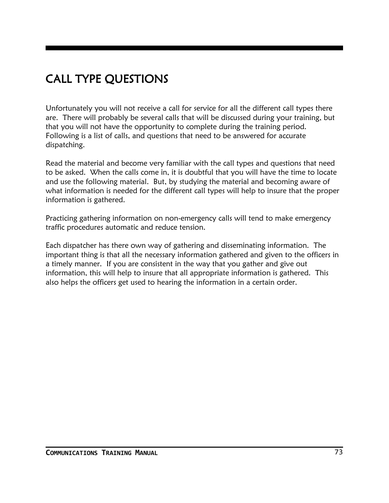# CALL TYPE QUESTIONS

Unfortunately you will not receive a call for service for all the different call types there are. There will probably be several calls that will be discussed during your training, but that you will not have the opportunity to complete during the training period. Following is a list of calls, and questions that need to be answered for accurate dispatching.

Read the material and become very familiar with the call types and questions that need to be asked. When the calls come in, it is doubtful that you will have the time to locate and use the following material. But, by studying the material and becoming aware of what information is needed for the different call types will help to insure that the proper information is gathered.

Practicing gathering information on non-emergency calls will tend to make emergency traffic procedures automatic and reduce tension.

Each dispatcher has there own way of gathering and disseminating information. The important thing is that all the necessary information gathered and given to the officers in a timely manner. If you are consistent in the way that you gather and give out information, this will help to insure that all appropriate information is gathered. This also helps the officers get used to hearing the information in a certain order.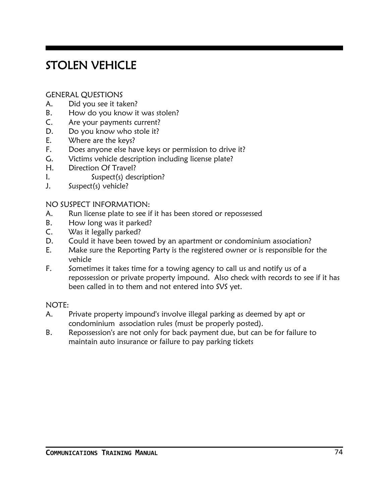## STOLEN VEHICLE

#### GENERAL QUESTIONS

- A. Did you see it taken?
- B. How do you know it was stolen?
- C. Are your payments current?
- D. Do you know who stole it?
- E. Where are the keys?
- F. Does anyone else have keys or permission to drive it?
- G. Victims vehicle description including license plate?
- H. Direction Of Travel?
- I. Suspect(s) description?
- J. Suspect(s) vehicle?

#### NO SUSPECT INFORMATION:

- A. Run license plate to see if it has been stored or repossessed
- B. How long was it parked?
- C. Was it legally parked?
- D. Could it have been towed by an apartment or condominium association?
- E. Make sure the Reporting Party is the registered owner or is responsible for the vehicle
- F. Sometimes it takes time for a towing agency to call us and notify us of a repossession or private property impound. Also check with records to see if it has been called in to them and not entered into SVS yet.

#### NOTE:

- A. Private property impound's involve illegal parking as deemed by apt or condominium association rules (must be properly posted).
- B. Repossession's are not only for back payment due, but can be for failure to maintain auto insurance or failure to pay parking tickets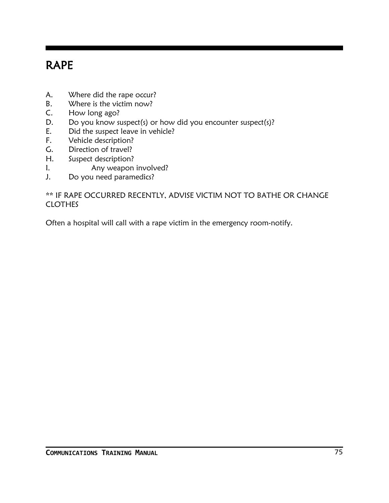## RAPE

- A. Where did the rape occur?
- B. Where is the victim now?
- C. How long ago?
- D. Do you know suspect(s) or how did you encounter suspect(s)?
- E. Did the suspect leave in vehicle?
- F. Vehicle description?
- G. Direction of travel?
- H. Suspect description?
- I. Any weapon involved?
- J. Do you need paramedics?

#### \*\* IF RAPE OCCURRED RECENTLY, ADVISE VICTIM NOT TO BATHE OR CHANGE CLOTHES

Often a hospital will call with a rape victim in the emergency room-notify.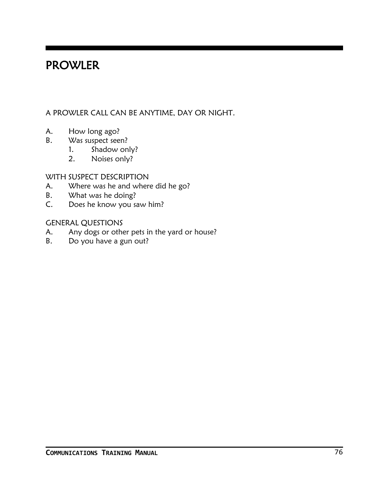#### PROWLER

#### A PROWLER CALL CAN BE ANYTIME, DAY OR NIGHT.

- A. How long ago?
- B. Was suspect seen?
	- 1. Shadow only?
	- 2. Noises only?

#### WITH SUSPECT DESCRIPTION

- A. Where was he and where did he go?
- B. What was he doing?
- C. Does he know you saw him?

#### GENERAL QUESTIONS

- A. Any dogs or other pets in the yard or house?
- B. Do you have a gun out?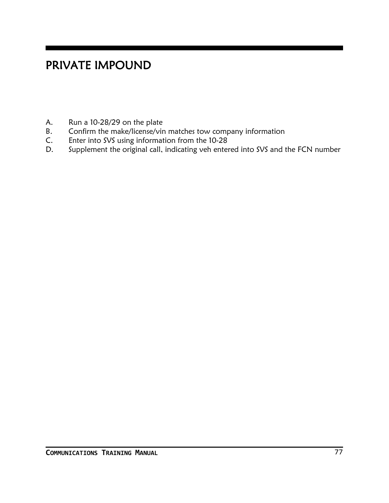## PRIVATE IMPOUND

- A. Run a 10-28/29 on the plate
- B. Confirm the make/license/vin matches tow company information
- C. Enter into SVS using information from the 10-28
- D. Supplement the original call, indicating veh entered into SVS and the FCN number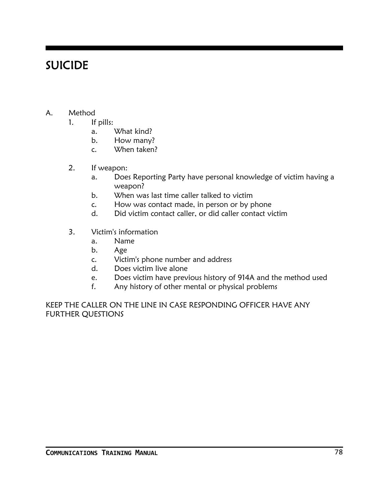### SUICIDE

- A. Method
	- 1. If pills:
		- a. What kind?
		- b. How many?
		- c. When taken?
	- 2. If weapon:
		- a. Does Reporting Party have personal knowledge of victim having a weapon?
		- b. When was last time caller talked to victim
		- c. How was contact made, in person or by phone
		- d. Did victim contact caller, or did caller contact victim
	- 3. Victim's information
		- a. Name
		- b. Age
		- c. Victim's phone number and address
		- d. Does victim live alone
		- e. Does victim have previous history of 914A and the method used
		- f. Any history of other mental or physical problems

KEEP THE CALLER ON THE LINE IN CASE RESPONDING OFFICER HAVE ANY FURTHER QUESTIONS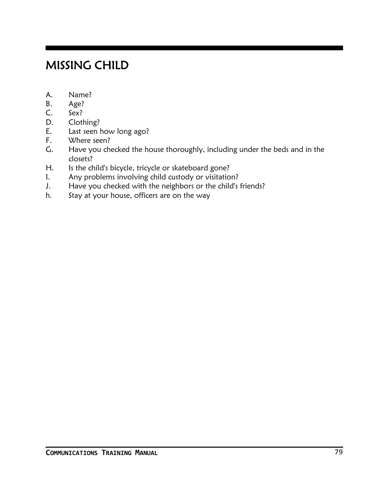## MISSING CHILD

- A. Name?
- B. Age?
- C. Sex?
- D. Clothing?
- E. Last seen how long ago?
- F. Where seen?
- G. Have you checked the house thoroughly, including under the beds and in the closets?
- H. Is the child's bicycle, tricycle or skateboard gone?
- I. Any problems involving child custody or visitation?
- J. Have you checked with the neighbors or the child's friends?
- h. Stay at your house, officers are on the way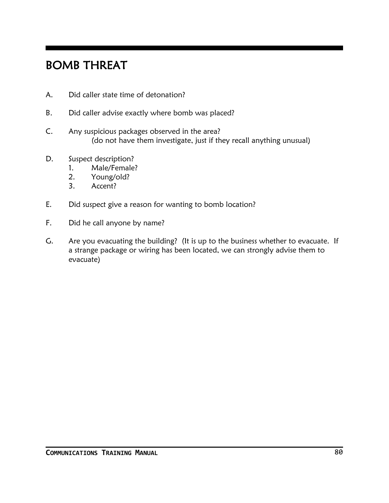### BOMB THREAT

- A. Did caller state time of detonation?
- B. Did caller advise exactly where bomb was placed?
- C. Any suspicious packages observed in the area? (do not have them investigate, just if they recall anything unusual)
- D. Suspect description?
	- 1. Male/Female?
	- 2. Young/old?
	- 3. Accent?
- E. Did suspect give a reason for wanting to bomb location?
- F. Did he call anyone by name?
- G. Are you evacuating the building? (It is up to the business whether to evacuate. If a strange package or wiring has been located, we can strongly advise them to evacuate)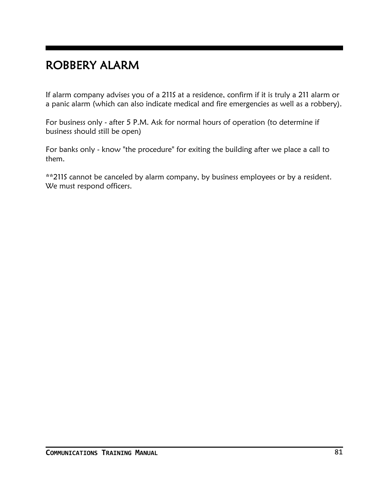### ROBBERY ALARM

If alarm company advises you of a 211S at a residence, confirm if it is truly a 211 alarm or a panic alarm (which can also indicate medical and fire emergencies as well as a robbery).

For business only - after 5 P.M. Ask for normal hours of operation (to determine if business should still be open)

For banks only - know "the procedure" for exiting the building after we place a call to them.

\*\*211S cannot be canceled by alarm company, by business employees or by a resident. We must respond officers.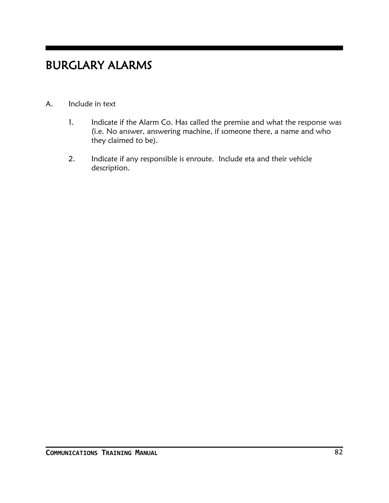### BURGLARY ALARMS

#### A. Include in text

- 1. Indicate if the Alarm Co. Has called the premise and what the response was (i.e. No answer, answering machine, if someone there, a name and who they claimed to be).
- 2. Indicate if any responsible is enroute. Include eta and their vehicle description.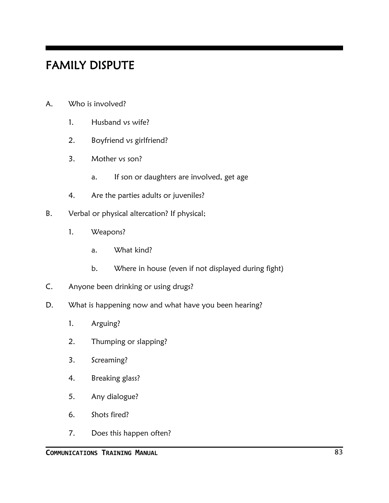#### FAMILY DISPUTE

- A. Who is involved?
	- 1. Husband vs wife?
	- 2. Boyfriend vs girlfriend?
	- 3. Mother vs son?
		- a. If son or daughters are involved, get age
	- 4. Are the parties adults or juveniles?
- B. Verbal or physical altercation? If physical;
	- 1. Weapons?
		- a. What kind?
		- b. Where in house (even if not displayed during fight)
- C. Anyone been drinking or using drugs?
- D. What is happening now and what have you been hearing?
	- 1. Arguing?
	- 2. Thumping or slapping?
	- 3. Screaming?
	- 4. Breaking glass?
	- 5. Any dialogue?
	- 6. Shots fired?
	- 7. Does this happen often?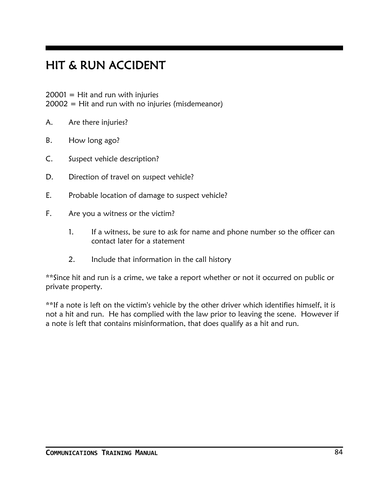## HIT & RUN ACCIDENT

 $20001$  = Hit and run with injuries

 $20002$  = Hit and run with no injuries (misdemeanor)

- A. Are there injuries?
- B. How long ago?
- C. Suspect vehicle description?
- D. Direction of travel on suspect vehicle?
- E. Probable location of damage to suspect vehicle?
- F. Are you a witness or the victim?
	- 1. If a witness, be sure to ask for name and phone number so the officer can contact later for a statement
	- 2. Include that information in the call history

\*\*Since hit and run is a crime, we take a report whether or not it occurred on public or private property.

\*\*If a note is left on the victim's vehicle by the other driver which identifies himself, it is not a hit and run. He has complied with the law prior to leaving the scene. However if a note is left that contains misinformation, that does qualify as a hit and run.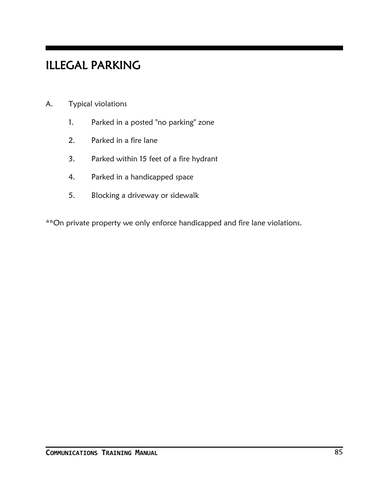## ILLEGAL PARKING

- A. Typical violations
	- 1. Parked in a posted "no parking" zone
	- 2. Parked in a fire lane
	- 3. Parked within 15 feet of a fire hydrant
	- 4. Parked in a handicapped space
	- 5. Blocking a driveway or sidewalk

\*\*On private property we only enforce handicapped and fire lane violations.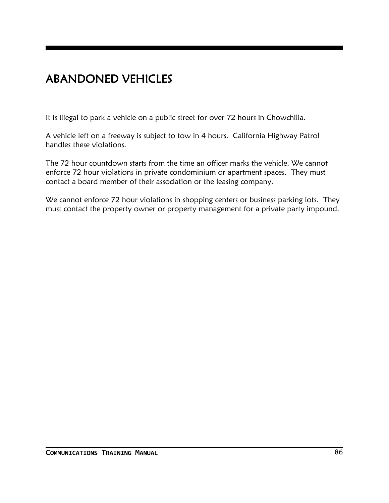## ABANDONED VEHICLES

It is illegal to park a vehicle on a public street for over 72 hours in Chowchilla.

A vehicle left on a freeway is subject to tow in 4 hours. California Highway Patrol handles these violations.

The 72 hour countdown starts from the time an officer marks the vehicle. We cannot enforce 72 hour violations in private condominium or apartment spaces. They must contact a board member of their association or the leasing company.

We cannot enforce 72 hour violations in shopping centers or business parking lots. They must contact the property owner or property management for a private party impound.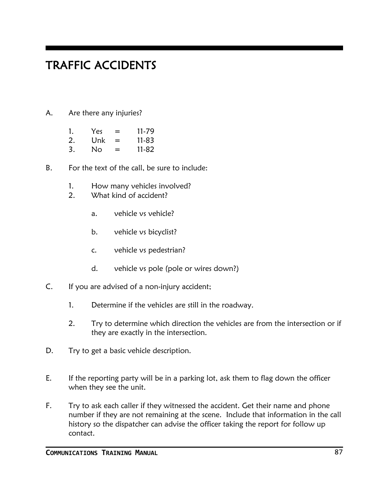### TRAFFIC ACCIDENTS

A. Are there any injuries?

| 1. | Yes: | = | 11-79     |
|----|------|---|-----------|
| 2. | Unk  | = | $11 - 83$ |

- 3. No = 11-82
- B. For the text of the call, be sure to include:
	- 1. How many vehicles involved?
	- 2. What kind of accident?
		- a. vehicle vs vehicle?
		- b. vehicle vs bicyclist?
		- c. vehicle vs pedestrian?
		- d. vehicle vs pole (pole or wires down?)
- C. If you are advised of a non-injury accident;
	- 1. Determine if the vehicles are still in the roadway.
	- 2. Try to determine which direction the vehicles are from the intersection or if they are exactly in the intersection.
- D. Try to get a basic vehicle description.
- E. If the reporting party will be in a parking lot, ask them to flag down the officer when they see the unit.
- F. Try to ask each caller if they witnessed the accident. Get their name and phone number if they are not remaining at the scene. Include that information in the call history so the dispatcher can advise the officer taking the report for follow up contact.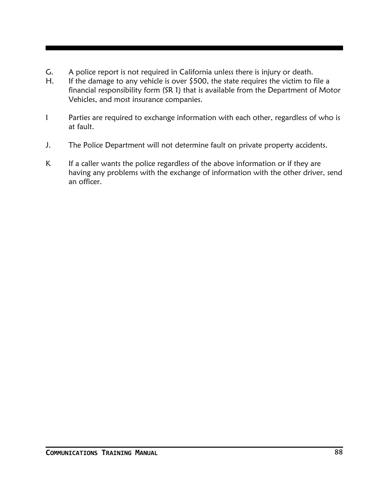- G. A police report is not required in California unless there is injury or death.
- H. If the damage to any vehicle is over  $$500$ , the state requires the victim to file a financial responsibility form (SR 1) that is available from the Department of Motor Vehicles, and most insurance companies.
- I Parties are required to exchange information with each other, regardless of who is at fault.
- J. The Police Department will not determine fault on private property accidents.
- K If a caller wants the police regardless of the above information or if they are having any problems with the exchange of information with the other driver, send an officer.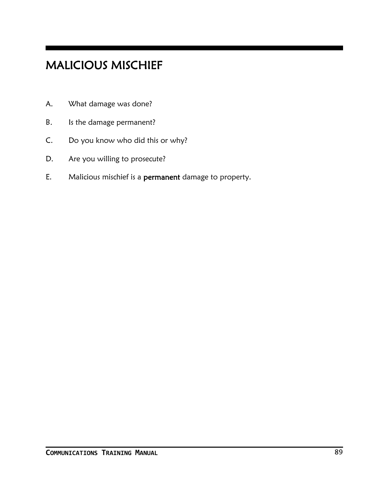# MALICIOUS MISCHIEF

- A. What damage was done?
- B. Is the damage permanent?
- C. Do you know who did this or why?
- D. Are you willing to prosecute?
- E. Malicious mischief is a permanent damage to property.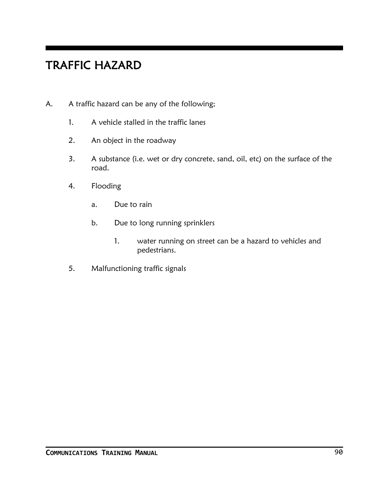# TRAFFIC HAZARD

- A. A traffic hazard can be any of the following;
	- 1. A vehicle stalled in the traffic lanes
	- 2. An object in the roadway
	- 3. A substance (i.e. wet or dry concrete, sand, oil, etc) on the surface of the road.
	- 4. Flooding
		- a. Due to rain
		- b. Due to long running sprinklers
			- 1. water running on street can be a hazard to vehicles and pedestrians.
	- 5. Malfunctioning traffic signals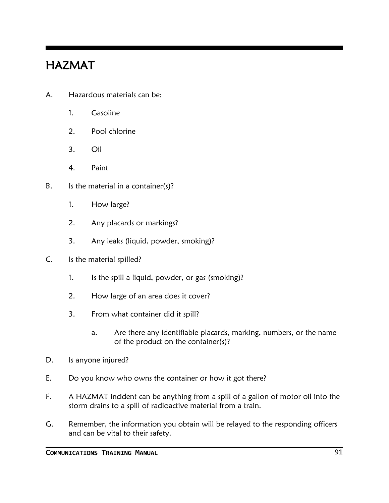### HAZMAT

- A. Hazardous materials can be;
	- 1. Gasoline
	- 2. Pool chlorine
	- 3. Oil
	- 4. Paint
- B. Is the material in a container $(s)$ ?
	- 1. How large?
	- 2. Any placards or markings?
	- 3. Any leaks (liquid, powder, smoking)?
- C. Is the material spilled?
	- 1. Is the spill a liquid, powder, or gas (smoking)?
	- 2. How large of an area does it cover?
	- 3. From what container did it spill?
		- a. Are there any identifiable placards, marking, numbers, or the name of the product on the container(s)?
- D. Is anyone injured?
- E. Do you know who owns the container or how it got there?
- F. A HAZMAT incident can be anything from a spill of a gallon of motor oil into the storm drains to a spill of radioactive material from a train.
- G. Remember, the information you obtain will be relayed to the responding officers and can be vital to their safety.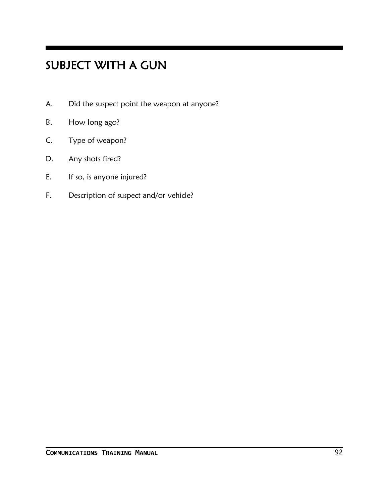## SUBJECT WITH A GUN

- A. Did the suspect point the weapon at anyone?
- B. How long ago?
- C. Type of weapon?
- D. Any shots fired?
- E. If so, is anyone injured?
- F. Description of suspect and/or vehicle?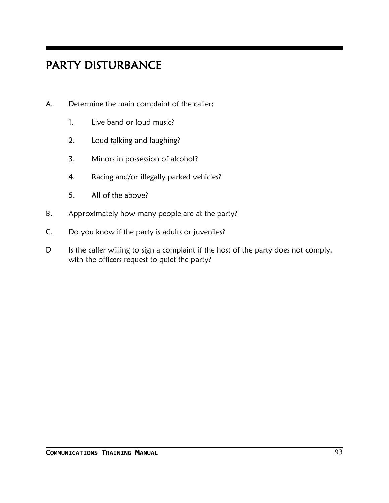## PARTY DISTURBANCE

- A. Determine the main complaint of the caller;
	- 1. Live band or loud music?
	- 2. Loud talking and laughing?
	- 3. Minors in possession of alcohol?
	- 4. Racing and/or illegally parked vehicles?
	- 5. All of the above?
- B. Approximately how many people are at the party?
- C. Do you know if the party is adults or juveniles?
- D Is the caller willing to sign a complaint if the host of the party does not comply. with the officers request to quiet the party?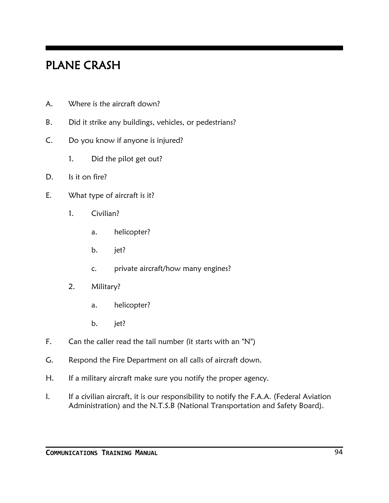### PLANE CRASH

- A. Where is the aircraft down?
- B. Did it strike any buildings, vehicles, or pedestrians?
- C. Do you know if anyone is injured?
	- 1. Did the pilot get out?
- D. Is it on fire?
- E. What type of aircraft is it?
	- 1. Civilian?
		- a. helicopter?
		- b. jet?
		- c. private aircraft/how many engines?
	- 2. Military?
		- a. helicopter?
		- b. jet?
- F. Can the caller read the tail number (it starts with an "N")
- G. Respond the Fire Department on all calls of aircraft down.
- H. If a military aircraft make sure you notify the proper agency.
- I. If a civilian aircraft, it is our responsibility to notify the F.A.A. (Federal Aviation Administration) and the N.T.S.B (National Transportation and Safety Board).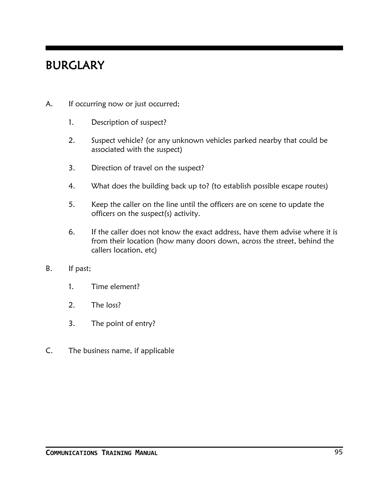### BURGLARY

- A. If occurring now or just occurred;
	- 1. Description of suspect?
	- 2. Suspect vehicle? (or any unknown vehicles parked nearby that could be associated with the suspect)
	- 3. Direction of travel on the suspect?
	- 4. What does the building back up to? (to establish possible escape routes)
	- 5. Keep the caller on the line until the officers are on scene to update the officers on the suspect(s) activity.
	- 6. If the caller does not know the exact address, have them advise where it is from their location (how many doors down, across the street, behind the callers location, etc)
- B. If past;
	- 1. Time element?
	- 2. The loss?
	- 3. The point of entry?
- C. The business name, if applicable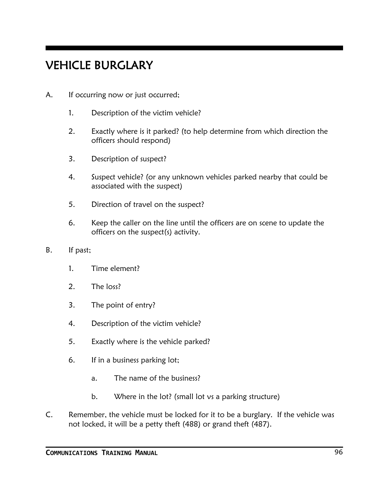## VEHICLE BURGLARY

- A. If occurring now or just occurred;
	- 1. Description of the victim vehicle?
	- 2. Exactly where is it parked? (to help determine from which direction the officers should respond)
	- 3. Description of suspect?
	- 4. Suspect vehicle? (or any unknown vehicles parked nearby that could be associated with the suspect)
	- 5. Direction of travel on the suspect?
	- 6. Keep the caller on the line until the officers are on scene to update the officers on the suspect(s) activity.
- B. If past;
	- 1. Time element?
	- 2. The loss?
	- 3. The point of entry?
	- 4. Description of the victim vehicle?
	- 5. Exactly where is the vehicle parked?
	- 6. If in a business parking lot;
		- a. The name of the business?
		- b. Where in the lot? (small lot vs a parking structure)
- C. Remember, the vehicle must be locked for it to be a burglary. If the vehicle was not locked, it will be a petty theft (488) or grand theft (487).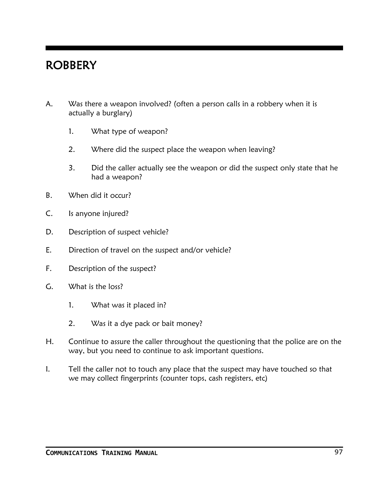#### **ROBBERY**

- A. Was there a weapon involved? (often a person calls in a robbery when it is actually a burglary)
	- 1. What type of weapon?
	- 2. Where did the suspect place the weapon when leaving?
	- 3. Did the caller actually see the weapon or did the suspect only state that he had a weapon?
- B. When did it occur?
- C. Is anyone injured?
- D. Description of suspect vehicle?
- E. Direction of travel on the suspect and/or vehicle?
- F. Description of the suspect?
- G. What is the loss?
	- 1. What was it placed in?
	- 2. Was it a dye pack or bait money?
- H. Continue to assure the caller throughout the questioning that the police are on the way, but you need to continue to ask important questions.
- I. Tell the caller not to touch any place that the suspect may have touched so that we may collect fingerprints (counter tops, cash registers, etc)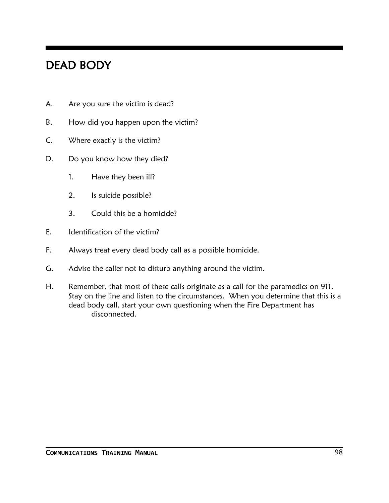### DEAD BODY

- A. Are you sure the victim is dead?
- B. How did you happen upon the victim?
- C. Where exactly is the victim?
- D. Do you know how they died?
	- 1. Have they been ill?
	- 2. Is suicide possible?
	- 3. Could this be a homicide?
- E. Identification of the victim?
- F. Always treat every dead body call as a possible homicide.
- G. Advise the caller not to disturb anything around the victim.
- H. Remember, that most of these calls originate as a call for the paramedics on 911. Stay on the line and listen to the circumstances. When you determine that this is a dead body call, start your own questioning when the Fire Department has disconnected.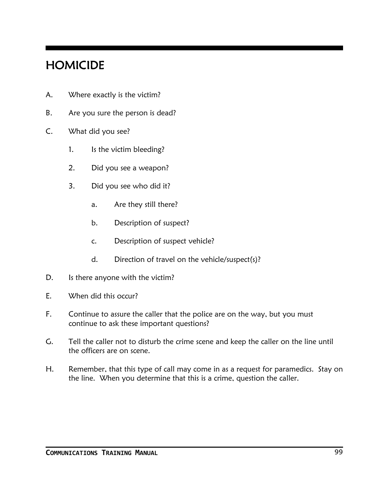### HOMICIDE

- A. Where exactly is the victim?
- B. Are you sure the person is dead?
- C. What did you see?
	- 1. Is the victim bleeding?
	- 2. Did you see a weapon?
	- 3. Did you see who did it?
		- a. Are they still there?
		- b. Description of suspect?
		- c. Description of suspect vehicle?
		- d. Direction of travel on the vehicle/suspect(s)?
- D. Is there anyone with the victim?
- E. When did this occur?
- F. Continue to assure the caller that the police are on the way, but you must continue to ask these important questions?
- G. Tell the caller not to disturb the crime scene and keep the caller on the line until the officers are on scene.
- H. Remember, that this type of call may come in as a request for paramedics. Stay on the line. When you determine that this is a crime, question the caller.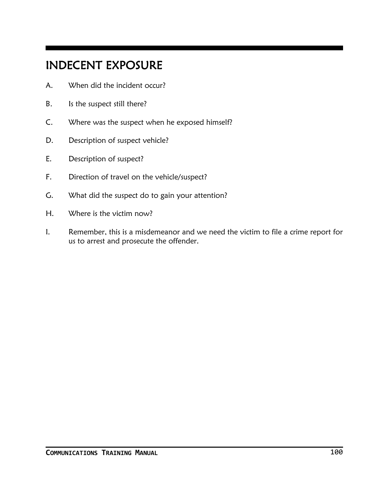### INDECENT EXPOSURE

- A. When did the incident occur?
- B. Is the suspect still there?
- C. Where was the suspect when he exposed himself?
- D. Description of suspect vehicle?
- E. Description of suspect?
- F. Direction of travel on the vehicle/suspect?
- G. What did the suspect do to gain your attention?
- H. Where is the victim now?
- I. Remember, this is a misdemeanor and we need the victim to file a crime report for us to arrest and prosecute the offender.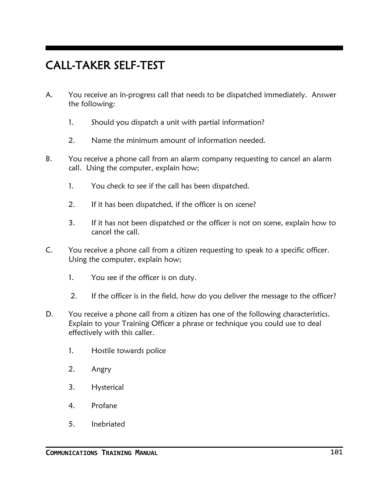### CALL-TAKER SELF-TEST

- A. You receive an in-progress call that needs to be dispatched immediately. Answer the following:
	- 1. Should you dispatch a unit with partial information?
	- 2. Name the minimum amount of information needed.
- B. You receive a phone call from an alarm company requesting to cancel an alarm call. Using the computer, explain how;
	- 1. You check to see if the call has been dispatched.
	- 2. If it has been dispatched, if the officer is on scene?
	- 3. If it has not been dispatched or the officer is not on scene, explain how to cancel the call.
- C. You receive a phone call from a citizen requesting to speak to a specific officer. Using the computer, explain how;
	- 1. You see if the officer is on duty.
	- 2. If the officer is in the field, how do you deliver the message to the officer?
- D. You receive a phone call from a citizen has one of the following characteristics. Explain to your Training Officer a phrase or technique you could use to deal effectively with this caller.
	- 1. Hostile towards police
	- 2. Angry
	- 3. Hysterical
	- 4. Profane
	- 5. Inebriated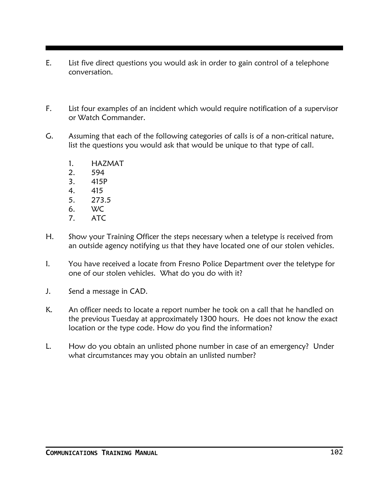- E. List five direct questions you would ask in order to gain control of a telephone conversation.
- F. List four examples of an incident which would require notification of a supervisor or Watch Commander.
- G. Assuming that each of the following categories of calls is of a non-critical nature, list the questions you would ask that would be unique to that type of call.
	- 1. HAZMAT
	- 2. 594
	- 3. 415P
	- 4. 415
	- 5. 273.5
	- 6. WC
	- 7. ATC
- H. Show your Training Officer the steps necessary when a teletype is received from an outside agency notifying us that they have located one of our stolen vehicles.
- I. You have received a locate from Fresno Police Department over the teletype for one of our stolen vehicles. What do you do with it?
- J. Send a message in CAD.
- K. An officer needs to locate a report number he took on a call that he handled on the previous Tuesday at approximately 1300 hours. He does not know the exact location or the type code. How do you find the information?
- L. How do you obtain an unlisted phone number in case of an emergency? Under what circumstances may you obtain an unlisted number?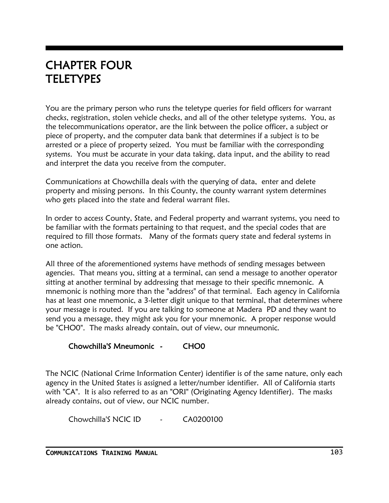#### CHAPTER FOUR **TELETYPES**

You are the primary person who runs the teletype queries for field officers for warrant checks, registration, stolen vehicle checks, and all of the other teletype systems. You, as the telecommunications operator, are the link between the police officer, a subject or piece of property, and the computer data bank that determines if a subject is to be arrested or a piece of property seized. You must be familiar with the corresponding systems. You must be accurate in your data taking, data input, and the ability to read and interpret the data you receive from the computer.

Communications at Chowchilla deals with the querying of data, enter and delete property and missing persons. In this County, the county warrant system determines who gets placed into the state and federal warrant files.

In order to access County, State, and Federal property and warrant systems, you need to be familiar with the formats pertaining to that request, and the special codes that are required to fill those formats. Many of the formats query state and federal systems in one action.

All three of the aforementioned systems have methods of sending messages between agencies. That means you, sitting at a terminal, can send a message to another operator sitting at another terminal by addressing that message to their specific mnemonic. A mnemonic is nothing more than the "address" of that terminal. Each agency in California has at least one mnemonic, a 3-letter digit unique to that terminal, that determines where your message is routed. If you are talking to someone at Madera PD and they want to send you a message, they might ask you for your mnemonic. A proper response would be "CHO0". The masks already contain, out of view, our mneumonic.

#### Chowchilla'S Mneumonic - CHO0

The NCIC (National Crime Information Center) identifier is of the same nature, only each agency in the United States is assigned a letter/number identifier. All of California starts with "CA". It is also referred to as an "ORI" (Originating Agency Identifier). The masks already contains, out of view, our NCIC number.

Chowchilla'S NCIC ID - CA0200100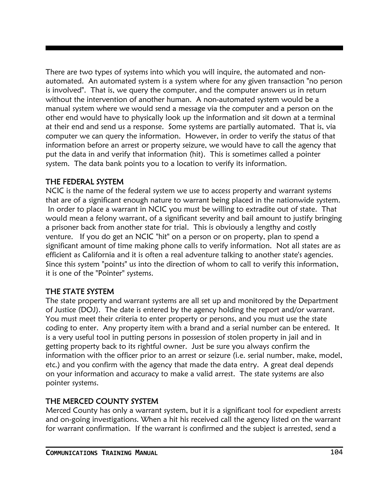There are two types of systems into which you will inquire, the automated and nonautomated. An automated system is a system where for any given transaction "no person is involved". That is, we query the computer, and the computer answers us in return without the intervention of another human. A non-automated system would be a manual system where we would send a message via the computer and a person on the other end would have to physically look up the information and sit down at a terminal at their end and send us a response. Some systems are partially automated. That is, via computer we can query the information. However, in order to verify the status of that information before an arrest or property seizure, we would have to call the agency that put the data in and verify that information (hit). This is sometimes called a pointer system. The data bank points you to a location to verify its information.

#### THE FEDERAL SYSTEM

NCIC is the name of the federal system we use to access property and warrant systems that are of a significant enough nature to warrant being placed in the nationwide system. In order to place a warrant in NCIC you must be willing to extradite out of state. That would mean a felony warrant, of a significant severity and bail amount to justify bringing a prisoner back from another state for trial. This is obviously a lengthy and costly venture. If you do get an NCIC "hit" on a person or on property, plan to spend a significant amount of time making phone calls to verify information. Not all states are as efficient as California and it is often a real adventure talking to another state's agencies. Since this system "points" us into the direction of whom to call to verify this information, it is one of the "Pointer" systems.

#### THE STATE SYSTEM

The state property and warrant systems are all set up and monitored by the Department of Justice (DOJ). The date is entered by the agency holding the report and/or warrant. You must meet their criteria to enter property or persons, and you must use the state coding to enter. Any property item with a brand and a serial number can be entered. It is a very useful tool in putting persons in possession of stolen property in jail and in getting property back to its rightful owner. Just be sure you always confirm the information with the officer prior to an arrest or seizure (i.e. serial number, make, model, etc.) and you confirm with the agency that made the data entry. A great deal depends on your information and accuracy to make a valid arrest. The state systems are also pointer systems.

#### THE MERCED COUNTY SYSTEM

Merced County has only a warrant system, but it is a significant tool for expedient arrests and on-going investigations. When a hit his received call the agency listed on the warrant for warrant confirmation. If the warrant is confirmed and the subject is arrested, send a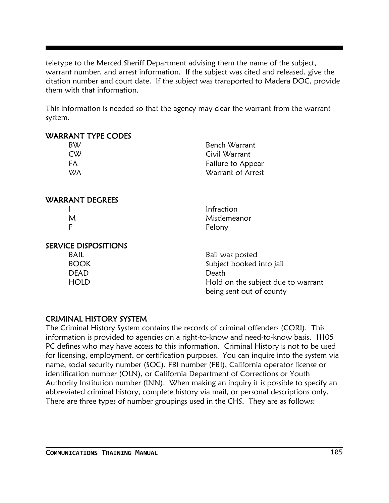teletype to the Merced Sheriff Department advising them the name of the subject, warrant number, and arrest information. If the subject was cited and released, give the citation number and court date. If the subject was transported to Madera DOC, provide them with that information.

This information is needed so that the agency may clear the warrant from the warrant system.

| <b>WARRANT TYPE CODES</b>   |                                                                |
|-----------------------------|----------------------------------------------------------------|
| <b>BW</b>                   | Bench Warrant                                                  |
| CW                          | Civil Warrant                                                  |
| FA                          | Failure to Appear                                              |
| <b>WA</b>                   | Warrant of Arrest                                              |
| <b>WARRANT DEGREES</b>      |                                                                |
|                             | Infraction                                                     |
| M                           | Misdemeanor                                                    |
| F                           | Felony                                                         |
| <b>SERVICE DISPOSITIONS</b> |                                                                |
| <b>BAIL</b>                 | Bail was posted                                                |
| <b>BOOK</b>                 | Subject booked into jail                                       |
| <b>DEAD</b>                 | Death                                                          |
| <b>HOLD</b>                 | Hold on the subject due to warrant<br>being sent out of county |

#### CRIMINAL HISTORY SYSTEM

The Criminal History System contains the records of criminal offenders (CORI). This information is provided to agencies on a right-to-know and need-to-know basis. 11105 PC defines who may have access to this information. Criminal History is not to be used for licensing, employment, or certification purposes. You can inquire into the system via name, social security number (SOC), FBI number (FBI), California operator license or identification number (OLN), or California Department of Corrections or Youth Authority Institution number (INN). When making an inquiry it is possible to specify an abbreviated criminal history, complete history via mail, or personal descriptions only. There are three types of number groupings used in the CHS. They are as follows: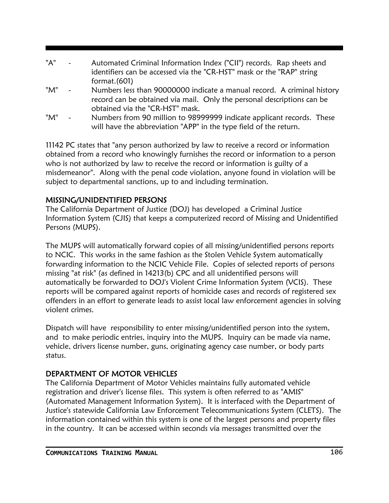| "A" |                       | Automated Criminal Information Index ("CII") records. Rap sheets and<br>identifiers can be accessed via the "CR-HST" mask or the "RAP" string |
|-----|-----------------------|-----------------------------------------------------------------------------------------------------------------------------------------------|
|     |                       | format. $(601)$                                                                                                                               |
| "M" | $\bullet$             | Numbers less than 90000000 indicate a manual record. A criminal history                                                                       |
|     |                       | record can be obtained via mail. Only the personal descriptions can be                                                                        |
|     |                       | obtained via the "CR-HST" mask.                                                                                                               |
| "M" | $\tilde{\phantom{a}}$ | Numbers from 90 million to 98999999 indicate applicant records. These                                                                         |
|     |                       | will have the abbreviation "APP" in the type field of the return.                                                                             |

11142 PC states that "any person authorized by law to receive a record or information obtained from a record who knowingly furnishes the record or information to a person who is not authorized by law to receive the record or information is guilty of a misdemeanor". Along with the penal code violation, anyone found in violation will be subject to departmental sanctions, up to and including termination.

### MISSING/UNIDENTIFIED PERSONS

The California Department of Justice (DOJ) has developed a Criminal Justice Information System (CJIS) that keeps a computerized record of Missing and Unidentified Persons (MUPS).

The MUPS will automatically forward copies of all missing/unidentified persons reports to NCIC. This works in the same fashion as the Stolen Vehicle System automatically forwarding information to the NCIC Vehicle File. Copies of selected reports of persons missing "at risk" (as defined in 14213(b) CPC and all unidentified persons will automatically be forwarded to DOJ's Violent Crime Information System (VCIS). These reports will be compared against reports of homicide cases and records of registered sex offenders in an effort to generate leads to assist local law enforcement agencies in solving violent crimes.

Dispatch will have responsibility to enter missing/unidentified person into the system, and to make periodic entries, inquiry into the MUPS. Inquiry can be made via name, vehicle, drivers license number, guns, originating agency case number, or body parts status.

### DEPARTMENT OF MOTOR VEHICLES

The California Department of Motor Vehicles maintains fully automated vehicle registration and driver's license files. This system is often referred to as "AMIS" (Automated Management Information System). It is interfaced with the Department of Justice's statewide California Law Enforcement Telecommunications System (CLETS). The information contained within this system is one of the largest persons and property files in the country. It can be accessed within seconds via messages transmitted over the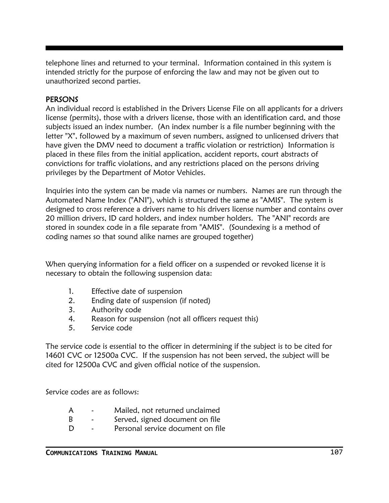telephone lines and returned to your terminal. Information contained in this system is intended strictly for the purpose of enforcing the law and may not be given out to unauthorized second parties.

#### **PERSONS**

An individual record is established in the Drivers License File on all applicants for a drivers license (permits), those with a drivers license, those with an identification card, and those subjects issued an index number. (An index number is a file number beginning with the letter "X", followed by a maximum of seven numbers, assigned to unlicensed drivers that have given the DMV need to document a traffic violation or restriction) Information is placed in these files from the initial application, accident reports, court abstracts of convictions for traffic violations, and any restrictions placed on the persons driving privileges by the Department of Motor Vehicles.

Inquiries into the system can be made via names or numbers. Names are run through the Automated Name Index ("ANI"), which is structured the same as "AMIS". The system is designed to cross reference a drivers name to his drivers license number and contains over 20 million drivers, ID card holders, and index number holders. The "ANI" records are stored in soundex code in a file separate from "AMIS". (Soundexing is a method of coding names so that sound alike names are grouped together)

When querying information for a field officer on a suspended or revoked license it is necessary to obtain the following suspension data:

- 1. Effective date of suspension
- 2. Ending date of suspension (if noted)
- 3. Authority code
- 4. Reason for suspension (not all officers request this)
- 5. Service code

The service code is essential to the officer in determining if the subject is to be cited for 14601 CVC or 12500a CVC. If the suspension has not been served, the subject will be cited for 12500a CVC and given official notice of the suspension.

Service codes are as follows:

| A |  |  | Mailed, not returned unclaimed |
|---|--|--|--------------------------------|
|   |  |  |                                |

- B Served, signed document on file
- D Personal service document on file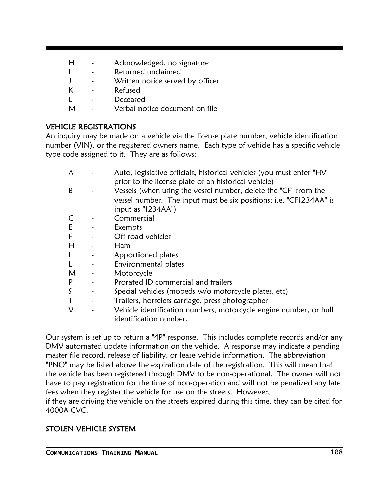- H Acknowledged, no signature
- I Returned unclaimed
- J Written notice served by officer
- K Refused
- L Deceased
- M Verbal notice document on file

### VEHICLE REGISTRATIONS

An inquiry may be made on a vehicle via the license plate number, vehicle identification number (VIN), or the registered owners name. Each type of vehicle has a specific vehicle type code assigned to it. They are as follows:

|  | Auto, legislative officials, historical vehicles (you must enter "HV" |
|--|-----------------------------------------------------------------------|
|  | prior to the license plate of an historical vehicle)                  |

- B Vessels (when using the vessel number, delete the "CF" from the vessel number. The input must be six positions; i.e. "CF1234AA" is input as "1234AA")
- C Commercial
- E Exempts
- F Off road vehicles
- H Ham
- I Apportioned plates
- L Environmental plates
- M Motorcycle
- P Prorated ID commercial and trailers
- S Special vehicles (mopeds w/o motorcycle plates, etc)
- T Trailers, horseless carriage, press photographer
- V Vehicle identification numbers, motorcycle engine number, or hull identification number.

Our system is set up to return a "4P" response. This includes complete records and/or any DMV automated update information on the vehicle. A response may indicate a pending master file record, release of liability, or lease vehicle information. The abbreviation "PNO" may be listed above the expiration date of the registration. This will mean that the vehicle has been registered through DMV to be non-operational. The owner will not have to pay registration for the time of non-operation and will not be penalized any late fees when they register the vehicle for use on the streets. However,

if they are driving the vehicle on the streets expired during this time, they can be cited for 4000A CVC.

### STOLEN VEHICLE SYSTEM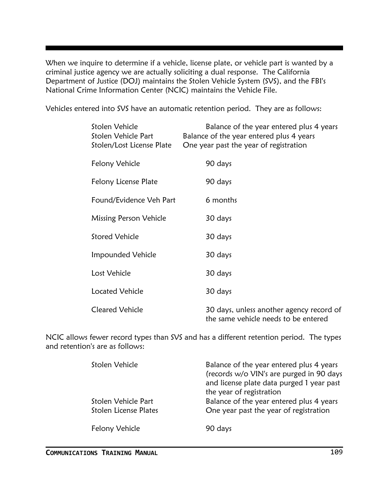When we inquire to determine if a vehicle, license plate, or vehicle part is wanted by a criminal justice agency we are actually soliciting a dual response. The California Department of Justice (DOJ) maintains the Stolen Vehicle System (SVS), and the FBI's National Crime Information Center (NCIC) maintains the Vehicle File.

Vehicles entered into SVS have an automatic retention period. They are as follows:

| Stolen Vehicle<br>Stolen Vehicle Part<br>Stolen/Lost License Plate | Balance of the year entered plus 4 years<br>Balance of the year entered plus 4 years<br>One year past the year of registration |
|--------------------------------------------------------------------|--------------------------------------------------------------------------------------------------------------------------------|
| Felony Vehicle                                                     | 90 days                                                                                                                        |
| Felony License Plate                                               | 90 days                                                                                                                        |
| Found/Evidence Veh Part                                            | 6 months                                                                                                                       |
| Missing Person Vehicle                                             | 30 days                                                                                                                        |
| <b>Stored Vehicle</b>                                              | 30 days                                                                                                                        |
| Impounded Vehicle                                                  | 30 days                                                                                                                        |
| Lost Vehicle                                                       | 30 days                                                                                                                        |
| <b>Located Vehicle</b>                                             | 30 days                                                                                                                        |
| <b>Cleared Vehicle</b>                                             | 30 days, unless another agency record of<br>the same vehicle needs to be entered                                               |

NCIC allows fewer record types than SVS and has a different retention period. The types and retention's are as follows:

| Stolen Vehicle               | Balance of the year entered plus 4 years<br>(records w/o VIN's are purged in 90 days<br>and license plate data purged 1 year past<br>the year of registration |  |  |
|------------------------------|---------------------------------------------------------------------------------------------------------------------------------------------------------------|--|--|
| Stolen Vehicle Part          | Balance of the year entered plus 4 years                                                                                                                      |  |  |
| <b>Stolen License Plates</b> | One year past the year of registration                                                                                                                        |  |  |
| Felony Vehicle               | 90 days                                                                                                                                                       |  |  |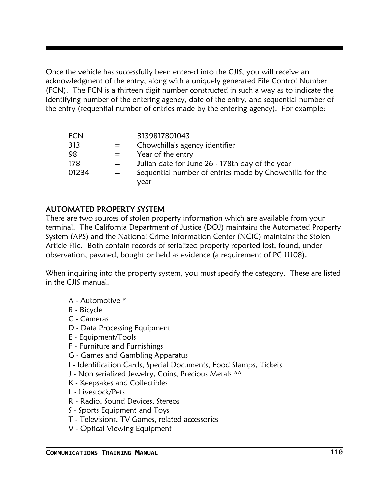Once the vehicle has successfully been entered into the CJIS, you will receive an acknowledgment of the entry, along with a uniquely generated File Control Number (FCN). The FCN is a thirteen digit number constructed in such a way as to indicate the identifying number of the entering agency, date of the entry, and sequential number of the entry (sequential number of entries made by the entering agency). For example:

|     | 3139817801043                                           |
|-----|---------------------------------------------------------|
| $=$ | Chowchilla's agency identifier                          |
|     | Year of the entry                                       |
| $=$ | Julian date for June 26 - 178th day of the year         |
| $=$ | Sequential number of entries made by Chowchilla for the |
|     | vear                                                    |
|     |                                                         |

### AUTOMATED PROPERTY SYSTEM

There are two sources of stolen property information which are available from your terminal. The California Department of Justice (DOJ) maintains the Automated Property System (APS) and the National Crime Information Center (NCIC) maintains the Stolen Article File. Both contain records of serialized property reported lost, found, under observation, pawned, bought or held as evidence (a requirement of PC 11108).

When inquiring into the property system, you must specify the category. These are listed in the CJIS manual.

- A Automotive \*
- B Bicycle
- C Cameras
- D Data Processing Equipment
- E Equipment/Tools
- F Furniture and Furnishings
- G Games and Gambling Apparatus
- I Identification Cards, Special Documents, Food Stamps, Tickets
- J Non serialized Jewelry, Coins, Precious Metals \*\*
- K Keepsakes and Collectibles
- L Livestock/Pets
- R Radio, Sound Devices, Stereos
- S Sports Equipment and Toys
- T Televisions, TV Games, related accessories
- V Optical Viewing Equipment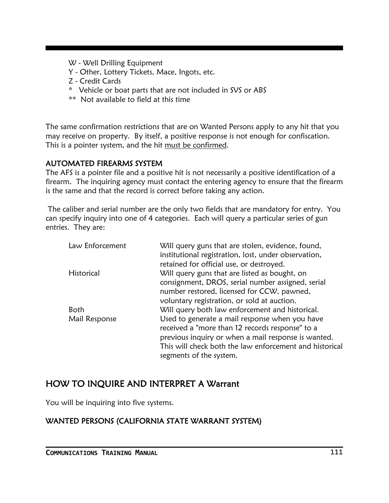- W Well Drilling Equipment
- Y Other, Lottery Tickets, Mace, Ingots, etc.
- Z Credit Cards
- \* Vehicle or boat parts that are not included in SVS or ABS
- \*\* Not available to field at this time

The same confirmation restrictions that are on Wanted Persons apply to any hit that you may receive on property. By itself, a positive response is not enough for confiscation. This is a pointer system, and the hit must be confirmed.

#### AUTOMATED FIREARMS SYSTEM

The AFS is a pointer file and a positive hit is not necessarily a positive identification of a firearm. The inquiring agency must contact the entering agency to ensure that the firearm is the same and that the record is correct before taking any action.

The caliber and serial number are the only two fields that are mandatory for entry. You can specify inquiry into one of 4 categories. Each will query a particular series of gun entries. They are:

| Law Enforcement | Will query guns that are stolen, evidence, found,<br>institutional registration, lost, under observation,<br>retained for official use, or destroyed. |
|-----------------|-------------------------------------------------------------------------------------------------------------------------------------------------------|
| Historical      | Will query guns that are listed as bought, on<br>consignment, DROS, serial number assigned, serial                                                    |
|                 | number restored, licensed for CCW, pawned,<br>voluntary registration, or sold at auction.                                                             |
| <b>Both</b>     | Will query both law enforcement and historical.                                                                                                       |
| Mail Response   | Used to generate a mail response when you have<br>received a "more than 12 records response" to a                                                     |
|                 | previous inquiry or when a mail response is wanted.                                                                                                   |
|                 | This will check both the law enforcement and historical                                                                                               |
|                 | segments of the system.                                                                                                                               |

### HOW TO INQUIRE AND INTERPRET A Warrant

You will be inquiring into five systems.

### WANTED PERSONS (CALIFORNIA STATE WARRANT SYSTEM)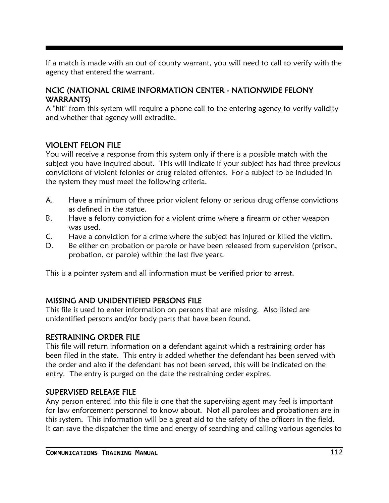If a match is made with an out of county warrant, you will need to call to verify with the agency that entered the warrant.

#### NCIC (NATIONAL CRIME INFORMATION CENTER - NATIONWIDE FELONY WARRANTS)

A "hit" from this system will require a phone call to the entering agency to verify validity and whether that agency will extradite.

#### VIOLENT FELON FILE

You will receive a response from this system only if there is a possible match with the subject you have inquired about. This will indicate if your subject has had three previous convictions of violent felonies or drug related offenses. For a subject to be included in the system they must meet the following criteria.

- A. Have a minimum of three prior violent felony or serious drug offense convictions as defined in the statue.
- B. Have a felony conviction for a violent crime where a firearm or other weapon was used.
- C. Have a conviction for a crime where the subject has injured or killed the victim.
- D. Be either on probation or parole or have been released from supervision (prison, probation, or parole) within the last five years.

This is a pointer system and all information must be verified prior to arrest.

### MISSING AND UNIDENTIFIED PERSONS FILE

This file is used to enter information on persons that are missing. Also listed are unidentified persons and/or body parts that have been found.

### RESTRAINING ORDER FILE

This file will return information on a defendant against which a restraining order has been filed in the state. This entry is added whether the defendant has been served with the order and also if the defendant has not been served, this will be indicated on the entry. The entry is purged on the date the restraining order expires.

### SUPERVISED RELEASE FILE

Any person entered into this file is one that the supervising agent may feel is important for law enforcement personnel to know about. Not all parolees and probationers are in this system. This information will be a great aid to the safety of the officers in the field. It can save the dispatcher the time and energy of searching and calling various agencies to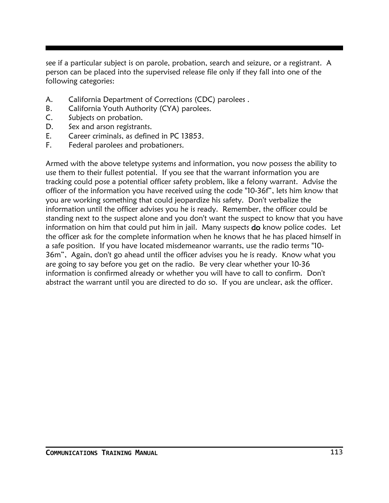see if a particular subject is on parole, probation, search and seizure, or a registrant. A person can be placed into the supervised release file only if they fall into one of the following categories:

- A. California Department of Corrections (CDC) parolees .
- B. California Youth Authority (CYA) parolees.
- C. Subjects on probation.
- D. Sex and arson registrants.
- E. Career criminals, as defined in PC 13853.
- F. Federal parolees and probationers.

Armed with the above teletype systems and information, you now possess the ability to use them to their fullest potential. If you see that the warrant information you are tracking could pose a potential officer safety problem, like a felony warrant. Advise the officer of the information you have received using the code "10-36f", lets him know that you are working something that could jeopardize his safety. Don't verbalize the information until the officer advises you he is ready. Remember, the officer could be standing next to the suspect alone and you don't want the suspect to know that you have information on him that could put him in jail. Many suspects **do** know police codes. Let the officer ask for the complete information when he knows that he has placed himself in a safe position. If you have located misdemeanor warrants, use the radio terms "10- 36m", Again, don't go ahead until the officer advises you he is ready. Know what you are going to say before you get on the radio. Be very clear whether your 10-36 information is confirmed already or whether you will have to call to confirm. Don't abstract the warrant until you are directed to do so. If you are unclear, ask the officer.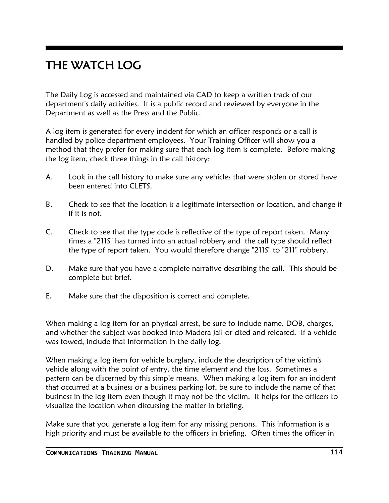# THE WATCH LOG

The Daily Log is accessed and maintained via CAD to keep a written track of our department's daily activities. It is a public record and reviewed by everyone in the Department as well as the Press and the Public.

A log item is generated for every incident for which an officer responds or a call is handled by police department employees. Your Training Officer will show you a method that they prefer for making sure that each log item is complete. Before making the log item, check three things in the call history:

- A. Look in the call history to make sure any vehicles that were stolen or stored have been entered into CLETS.
- B. Check to see that the location is a legitimate intersection or location, and change it if it is not.
- C. Check to see that the type code is reflective of the type of report taken. Many times a "211S" has turned into an actual robbery and the call type should reflect the type of report taken. You would therefore change "211S" to "211" robbery.
- D. Make sure that you have a complete narrative describing the call. This should be complete but brief.
- E. Make sure that the disposition is correct and complete.

When making a log item for an physical arrest, be sure to include name, DOB, charges, and whether the subject was booked into Madera jail or cited and released. If a vehicle was towed, include that information in the daily log.

When making a log item for vehicle burglary, include the description of the victim's vehicle along with the point of entry, the time element and the loss. Sometimes a pattern can be discerned by this simple means. When making a log item for an incident that occurred at a business or a business parking lot, be sure to include the name of that business in the log item even though it may not be the victim. It helps for the officers to visualize the location when discussing the matter in briefing.

Make sure that you generate a log item for any missing persons. This information is a high priority and must be available to the officers in briefing. Often times the officer in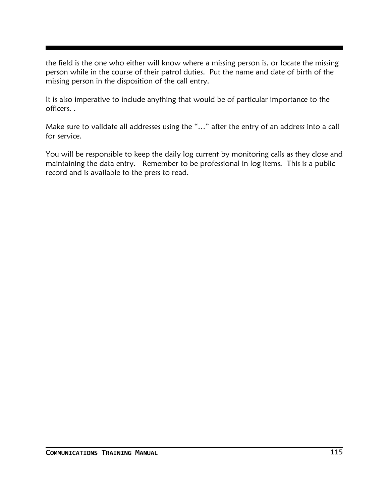the field is the one who either will know where a missing person is, or locate the missing person while in the course of their patrol duties. Put the name and date of birth of the missing person in the disposition of the call entry.

It is also imperative to include anything that would be of particular importance to the officers. .

Make sure to validate all addresses using the "…" after the entry of an address into a call for service.

You will be responsible to keep the daily log current by monitoring calls as they close and maintaining the data entry. Remember to be professional in log items. This is a public record and is available to the press to read.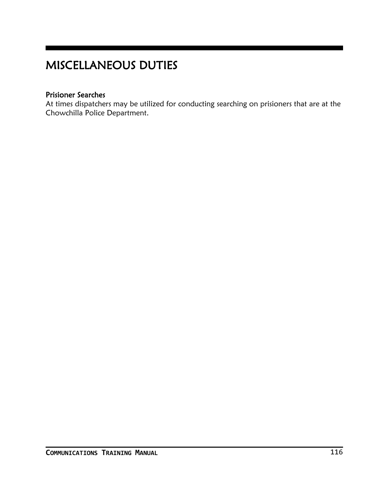# MISCELLANEOUS DUTIES

### Prisioner Searches

At times dispatchers may be utilized for conducting searching on prisioners that are at the Chowchilla Police Department.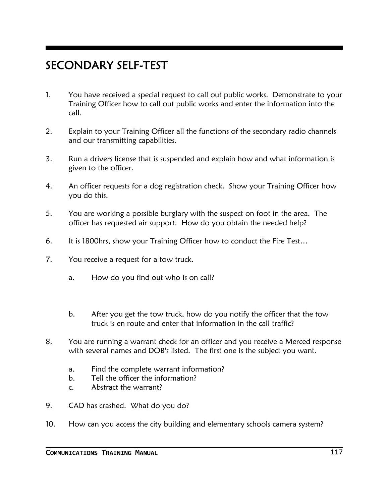## SECONDARY SELF-TEST

- 1. You have received a special request to call out public works. Demonstrate to your Training Officer how to call out public works and enter the information into the call.
- 2. Explain to your Training Officer all the functions of the secondary radio channels and our transmitting capabilities.
- 3. Run a drivers license that is suspended and explain how and what information is given to the officer.
- 4. An officer requests for a dog registration check. Show your Training Officer how you do this.
- 5. You are working a possible burglary with the suspect on foot in the area. The officer has requested air support. How do you obtain the needed help?
- 6. It is 1800hrs, show your Training Officer how to conduct the Fire Test…
- 7. You receive a request for a tow truck.
	- a. How do you find out who is on call?
	- b. After you get the tow truck, how do you notify the officer that the tow truck is en route and enter that information in the call traffic?
- 8. You are running a warrant check for an officer and you receive a Merced response with several names and DOB's listed. The first one is the subject you want.
	- a. Find the complete warrant information?
	- b. Tell the officer the information?
	- c. Abstract the warrant?
- 9. CAD has crashed. What do you do?
- 10. How can you access the city building and elementary schools camera system?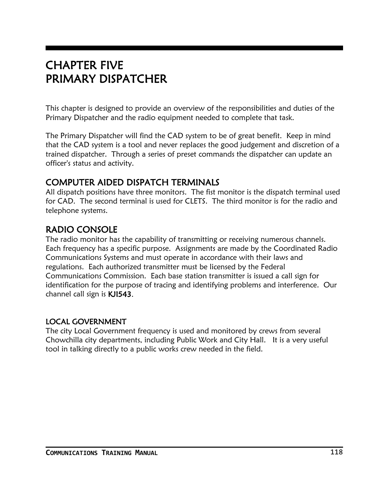### CHAPTER FIVE PRIMARY DISPATCHER

This chapter is designed to provide an overview of the responsibilities and duties of the Primary Dispatcher and the radio equipment needed to complete that task.

The Primary Dispatcher will find the CAD system to be of great benefit. Keep in mind that the CAD system is a tool and never replaces the good judgement and discretion of a trained dispatcher. Through a series of preset commands the dispatcher can update an officer's status and activity.

### COMPUTER AIDED DISPATCH TERMINALS

All dispatch positions have three monitors. The fist monitor is the dispatch terminal used for CAD. The second terminal is used for CLETS. The third monitor is for the radio and telephone systems.

### RADIO CONSOLE

The radio monitor has the capability of transmitting or receiving numerous channels. Each frequency has a specific purpose. Assignments are made by the Coordinated Radio Communications Systems and must operate in accordance with their laws and regulations. Each authorized transmitter must be licensed by the Federal Communications Commission. Each base station transmitter is issued a call sign for identification for the purpose of tracing and identifying problems and interference. Our channel call sign is KJI543.

### LOCAL GOVERNMENT

The city Local Government frequency is used and monitored by crews from several Chowchilla city departments, including Public Work and City Hall. It is a very useful tool in talking directly to a public works crew needed in the field.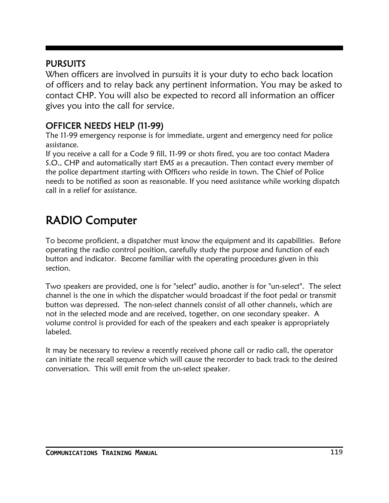### **PURSUITS**

When officers are involved in pursuits it is your duty to echo back location of officers and to relay back any pertinent information. You may be asked to contact CHP. You will also be expected to record all information an officer gives you into the call for service.

### OFFICER NEEDS HELP (11-99)

The 11-99 emergency response is for immediate, urgent and emergency need for police assistance.

If you receive a call for a Code 9 fill, 11-99 or shots fired, you are too contact Madera S.O., CHP and automatically start EMS as a precaution. Then contact every member of the police department starting with Officers who reside in town. The Chief of Police needs to be notified as soon as reasonable. If you need assistance while working dispatch call in a relief for assistance.

# RADIO Computer

To become proficient, a dispatcher must know the equipment and its capabilities. Before operating the radio control position, carefully study the purpose and function of each button and indicator. Become familiar with the operating procedures given in this section.

Two speakers are provided, one is for "select" audio, another is for "un-select". The select channel is the one in which the dispatcher would broadcast if the foot pedal or transmit button was depressed. The non-select channels consist of all other channels, which are not in the selected mode and are received, together, on one secondary speaker. A volume control is provided for each of the speakers and each speaker is appropriately labeled.

It may be necessary to review a recently received phone call or radio call, the operator can initiate the recall sequence which will cause the recorder to back track to the desired conversation. This will emit from the un-select speaker.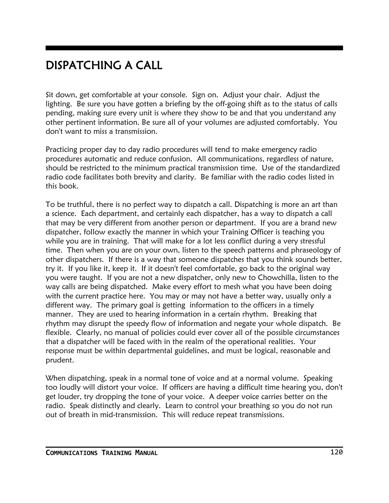# DISPATCHING A CALL

Sit down, get comfortable at your console. Sign on. Adjust your chair. Adjust the lighting. Be sure you have gotten a briefing by the off-going shift as to the status of calls pending, making sure every unit is where they show to be and that you understand any other pertinent information. Be sure all of your volumes are adjusted comfortably. You don't want to miss a transmission.

Practicing proper day to day radio procedures will tend to make emergency radio procedures automatic and reduce confusion. All communications, regardless of nature, should be restricted to the minimum practical transmission time. Use of the standardized radio code facilitates both brevity and clarity. Be familiar with the radio codes listed in this book.

To be truthful, there is no perfect way to dispatch a call. Dispatching is more an art than a science. Each department, and certainly each dispatcher, has a way to dispatch a call that may be very different from another person or department. If you are a brand new dispatcher, follow exactly the manner in which your Training Officer is teaching you while you are in training. That will make for a lot less conflict during a very stressful time. Then when you are on your own, listen to the speech patterns and phraseology of other dispatchers. If there is a way that someone dispatches that you think sounds better, try it. If you like it, keep it. If it doesn't feel comfortable, go back to the original way you were taught. If you are not a new dispatcher, only new to Chowchilla, listen to the way calls are being dispatched. Make every effort to mesh what you have been doing with the current practice here. You may or may not have a better way, usually only a different way. The primary goal is getting information to the officers in a timely manner. They are used to hearing information in a certain rhythm. Breaking that rhythm may disrupt the speedy flow of information and negate your whole dispatch. Be flexible. Clearly, no manual of policies could ever cover all of the possible circumstances that a dispatcher will be faced with in the realm of the operational realities. Your response must be within departmental guidelines, and must be logical, reasonable and prudent.

When dispatching, speak in a normal tone of voice and at a normal volume. Speaking too loudly will distort your voice. If officers are having a difficult time hearing you, don't get louder, try dropping the tone of your voice. A deeper voice carries better on the radio. Speak distinctly and clearly. Learn to control your breathing so you do not run out of breath in mid-transmission. This will reduce repeat transmissions.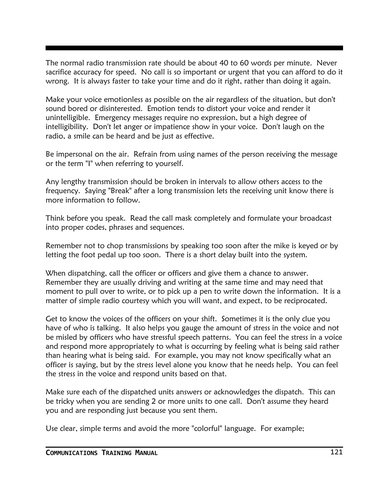The normal radio transmission rate should be about 40 to 60 words per minute. Never sacrifice accuracy for speed. No call is so important or urgent that you can afford to do it wrong. It is always faster to take your time and do it right, rather than doing it again.

Make your voice emotionless as possible on the air regardless of the situation, but don't sound bored or disinterested. Emotion tends to distort your voice and render it unintelligible. Emergency messages require no expression, but a high degree of intelligibility. Don't let anger or impatience show in your voice. Don't laugh on the radio, a smile can be heard and be just as effective.

Be impersonal on the air. Refrain from using names of the person receiving the message or the term "I" when referring to yourself.

Any lengthy transmission should be broken in intervals to allow others access to the frequency. Saying "Break" after a long transmission lets the receiving unit know there is more information to follow.

Think before you speak. Read the call mask completely and formulate your broadcast into proper codes, phrases and sequences.

Remember not to chop transmissions by speaking too soon after the mike is keyed or by letting the foot pedal up too soon. There is a short delay built into the system.

When dispatching, call the officer or officers and give them a chance to answer. Remember they are usually driving and writing at the same time and may need that moment to pull over to write, or to pick up a pen to write down the information. It is a matter of simple radio courtesy which you will want, and expect, to be reciprocated.

Get to know the voices of the officers on your shift. Sometimes it is the only clue you have of who is talking. It also helps you gauge the amount of stress in the voice and not be misled by officers who have stressful speech patterns. You can feel the stress in a voice and respond more appropriately to what is occurring by feeling what is being said rather than hearing what is being said. For example, you may not know specifically what an officer is saying, but by the stress level alone you know that he needs help. You can feel the stress in the voice and respond units based on that.

Make sure each of the dispatched units answers or acknowledges the dispatch. This can be tricky when you are sending 2 or more units to one call. Don't assume they heard you and are responding just because you sent them.

Use clear, simple terms and avoid the more "colorful" language. For example;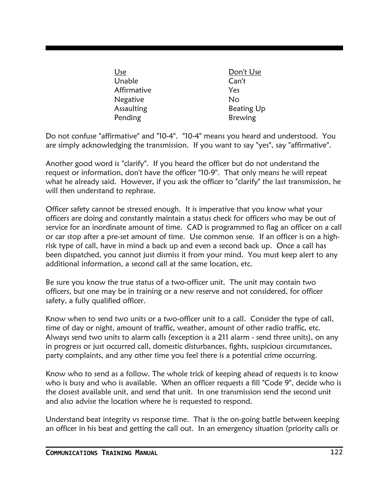| Use         | Don't Use         |
|-------------|-------------------|
| Unable      | Can't             |
| Affirmative | Yes               |
| Negative    | No                |
| Assaulting  | <b>Beating Up</b> |
| Pending     | <b>Brewing</b>    |

Do not confuse "affirmative" and "10-4". "10-4" means you heard and understood. You are simply acknowledging the transmission. If you want to say "yes", say "affirmative".

Another good word is "clarify". If you heard the officer but do not understand the request or information, don't have the officer "10-9". That only means he will repeat what he already said. However, if you ask the officer to "clarify" the last transmission, he will then understand to rephrase.

Officer safety cannot be stressed enough. It is imperative that you know what your officers are doing and constantly maintain a status check for officers who may be out of service for an inordinate amount of time. CAD is programmed to flag an officer on a call or car stop after a pre-set amount of time. Use common sense. If an officer is on a highrisk type of call, have in mind a back up and even a second back up. Once a call has been dispatched, you cannot just dismiss it from your mind. You must keep alert to any additional information, a second call at the same location, etc.

Be sure you know the true status of a two-officer unit. The unit may contain two officers, but one may be in training or a new reserve and not considered, for officer safety, a fully qualified officer.

Know when to send two units or a two-officer unit to a call. Consider the type of call, time of day or night, amount of traffic, weather, amount of other radio traffic, etc. Always send two units to alarm calls (exception is a 211 alarm - send three units), on any in progress or just occurred call, domestic disturbances, fights, suspicious circumstances, party complaints, and any other time you feel there is a potential crime occurring.

Know who to send as a follow. The whole trick of keeping ahead of requests is to know who is busy and who is available. When an officer requests a fill "Code 9", decide who is the closest available unit, and send that unit. In one transmission send the second unit and also advise the location where he is requested to respond.

Understand beat integrity vs response time. That is the on-going battle between keeping an officer in his beat and getting the call out. In an emergency situation (priority calls or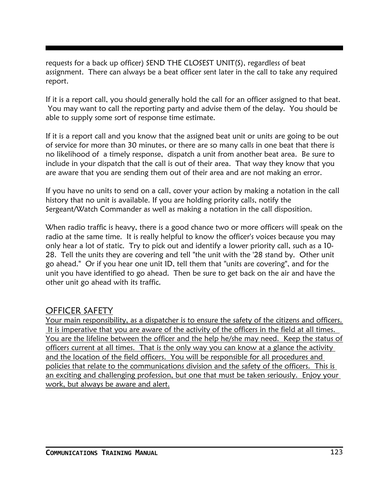requests for a back up officer) SEND THE CLOSEST UNIT(S), regardless of beat assignment. There can always be a beat officer sent later in the call to take any required report.

If it is a report call, you should generally hold the call for an officer assigned to that beat. You may want to call the reporting party and advise them of the delay. You should be able to supply some sort of response time estimate.

If it is a report call and you know that the assigned beat unit or units are going to be out of service for more than 30 minutes, or there are so many calls in one beat that there is no likelihood of a timely response, dispatch a unit from another beat area. Be sure to include in your dispatch that the call is out of their area. That way they know that you are aware that you are sending them out of their area and are not making an error.

If you have no units to send on a call, cover your action by making a notation in the call history that no unit is available. If you are holding priority calls, notify the Sergeant/Watch Commander as well as making a notation in the call disposition.

When radio traffic is heavy, there is a good chance two or more officers will speak on the radio at the same time. It is really helpful to know the officer's voices because you may only hear a lot of static. Try to pick out and identify a lower priority call, such as a 10- 28. Tell the units they are covering and tell "the unit with the '28 stand by. Other unit go ahead." Or if you hear one unit ID, tell them that "units are covering", and for the unit you have identified to go ahead. Then be sure to get back on the air and have the other unit go ahead with its traffic.

### OFFICER SAFETY

Your main responsibility, as a dispatcher is to ensure the safety of the citizens and officers. It is imperative that you are aware of the activity of the officers in the field at all times. You are the lifeline between the officer and the help he/she may need. Keep the status of officers current at all times. That is the only way you can know at a glance the activity and the location of the field officers. You will be responsible for all procedures and policies that relate to the communications division and the safety of the officers. This is an exciting and challenging profession, but one that must be taken seriously. Enjoy your work, but always be aware and alert.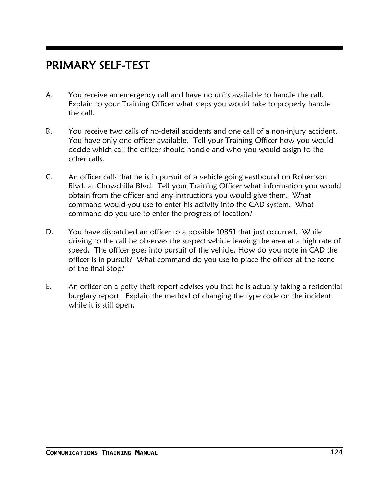### PRIMARY SELF-TEST

- A. You receive an emergency call and have no units available to handle the call. Explain to your Training Officer what steps you would take to properly handle the call.
- B. You receive two calls of no-detail accidents and one call of a non-injury accident. You have only one officer available. Tell your Training Officer how you would decide which call the officer should handle and who you would assign to the other calls.
- C. An officer calls that he is in pursuit of a vehicle going eastbound on Robertson Blvd. at Chowchilla Blvd. Tell your Training Officer what information you would obtain from the officer and any instructions you would give them. What command would you use to enter his activity into the CAD system. What command do you use to enter the progress of location?
- D. You have dispatched an officer to a possible 10851 that just occurred. While driving to the call he observes the suspect vehicle leaving the area at a high rate of speed. The officer goes into pursuit of the vehicle. How do you note in CAD the officer is in pursuit? What command do you use to place the officer at the scene of the final Stop?
- E. An officer on a petty theft report advises you that he is actually taking a residential burglary report. Explain the method of changing the type code on the incident while it is still open.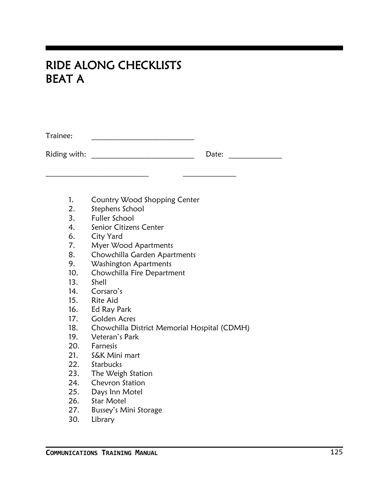### RIDE ALONG CHECKLISTS BEAT A

Trainee: \_\_\_\_\_\_\_\_\_\_\_\_\_\_\_\_\_\_\_\_\_\_\_\_\_\_\_

Riding with: \_\_\_\_\_\_\_\_\_\_\_\_\_\_\_\_\_\_\_\_\_\_\_\_\_\_\_ Date: \_\_\_\_\_\_\_\_\_\_\_\_\_\_

1. Country Wood Shopping Center

\_\_\_\_\_\_\_\_\_\_\_\_\_\_\_\_\_\_\_\_\_\_\_\_\_\_\_ \_\_\_\_\_\_\_\_\_\_\_\_\_\_

- 2. Stephens School
- 3. Fuller School
- 4. Senior Citizens Center
- 6. City Yard
- 7. Myer Wood Apartments
- 8. Chowchilla Garden Apartments
- 9. Washington Apartments
- 10. Chowchilla Fire Department
- 13. Shell
- 14. Corsaro's
- 15. Rite Aid
- 16. Ed Ray Park
- 17. Golden Acres
- 18. Chowchilla District Memorial Hospital (CDMH)
- 19. Veteran's Park
- 20. Farnesis
- 21. S&K Mini mart
- 22. Starbucks
- 23. The Weigh Station
- 24. Chevron Station
- 25. Days Inn Motel
- 26. Star Motel
- 27. Bussey's Mini Storage
- 30. Library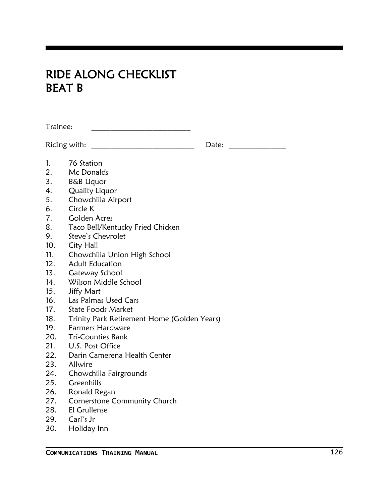## RIDE ALONG CHECKLIST BEAT B

Trainee: \_\_\_\_\_\_\_\_\_\_\_\_\_\_\_\_\_\_\_\_\_\_\_\_\_\_

Riding with: \_\_\_\_\_\_\_\_\_\_\_\_\_\_\_\_\_\_\_\_\_\_\_\_\_\_\_ Date: \_\_\_\_\_\_\_\_\_\_\_\_\_\_\_

- 1. 76 Station 2. Mc Donalds
- 3. B&B Liquor
- 4. Quality Liquor
- 5. Chowchilla Airport
- 6. Circle K
- 7. Golden Acres
- 8. Taco Bell/Kentucky Fried Chicken
- 9. Steve's Chevrolet
- 10. City Hall
- 11. Chowchilla Union High School
- 12. Adult Education
- 13. Gateway School
- 14. Wilson Middle School
- 15. Jiffy Mart
- 16. Las Palmas Used Cars
- 17. State Foods Market
- 18. Trinity Park Retirement Home (Golden Years)
- 19. Farmers Hardware
- 20. Tri-Counties Bank
- 21. U.S. Post Office
- 22. Darin Camerena Health Center
- 23. Allwire
- 24. Chowchilla Fairgrounds
- 25. Greenhills
- 26. Ronald Regan
- 27. Cornerstone Community Church
- 28. El Grullense
- 29. Carl's Jr
- 30. Holiday Inn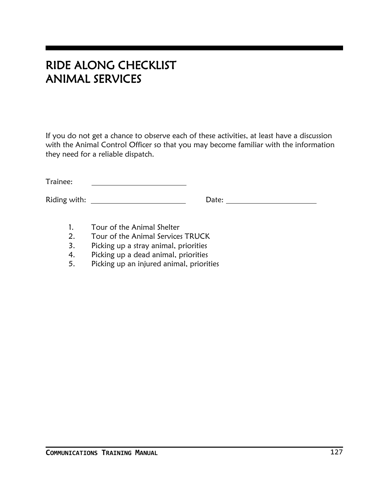## RIDE ALONG CHECKLIST ANIMAL SERVICES

If you do not get a chance to observe each of these activities, at least have a discussion with the Animal Control Officer so that you may become familiar with the information they need for a reliable dispatch.

Trainee: <u> 1980 - Johann Barbara, martin a</u>

Riding with: Date:

- 1. Tour of the Animal Shelter
- 2. Tour of the Animal Services TRUCK
- 3. Picking up a stray animal, priorities
- 4. Picking up a dead animal, priorities
- 5. Picking up an injured animal, priorities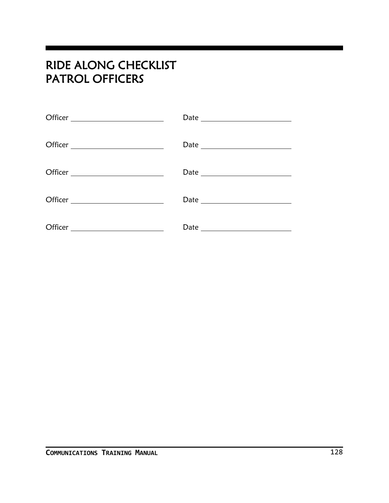## RIDE ALONG CHECKLIST PATROL OFFICERS

| Officer ________________________ |  |
|----------------------------------|--|
|                                  |  |
|                                  |  |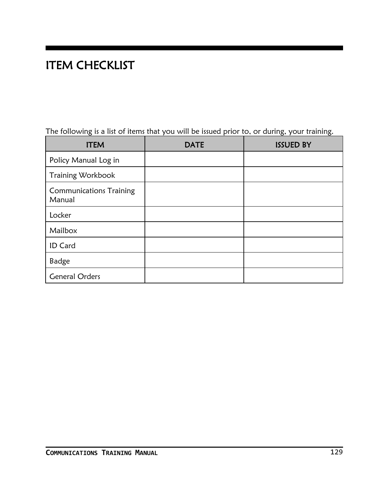# ITEM CHECKLIST

|  |  |  |  | The following is a list of items that you will be issued prior to, or during, your training. |
|--|--|--|--|----------------------------------------------------------------------------------------------|
|  |  |  |  |                                                                                              |

| <b>ITEM</b>                              | <b>DATE</b> | <b>ISSUED BY</b> |
|------------------------------------------|-------------|------------------|
| Policy Manual Log in                     |             |                  |
| Training Workbook                        |             |                  |
| <b>Communications Training</b><br>Manual |             |                  |
| Locker                                   |             |                  |
| Mailbox                                  |             |                  |
| ID Card                                  |             |                  |
| <b>Badge</b>                             |             |                  |
| <b>General Orders</b>                    |             |                  |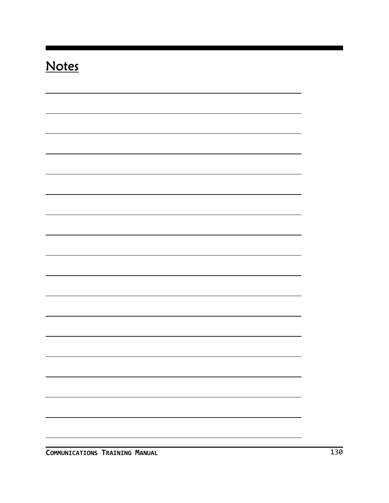# **Notes**

|  | $\blacksquare$ |
|--|----------------|
|  |                |
|  |                |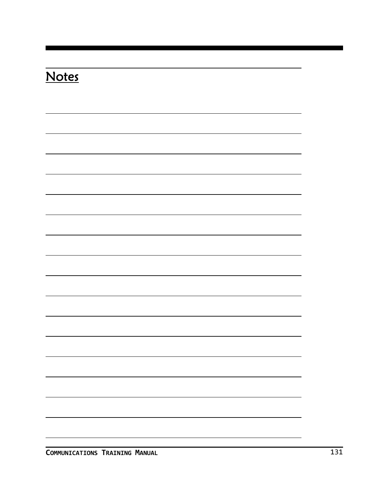| <b>Notes</b> |  |  |  |
|--------------|--|--|--|
|              |  |  |  |
|              |  |  |  |
|              |  |  |  |
|              |  |  |  |
|              |  |  |  |
|              |  |  |  |
|              |  |  |  |
|              |  |  |  |
|              |  |  |  |
|              |  |  |  |
|              |  |  |  |
|              |  |  |  |
|              |  |  |  |
|              |  |  |  |
|              |  |  |  |
|              |  |  |  |
|              |  |  |  |

**COMMUNICATIONS TRAINING MANUAL** 131